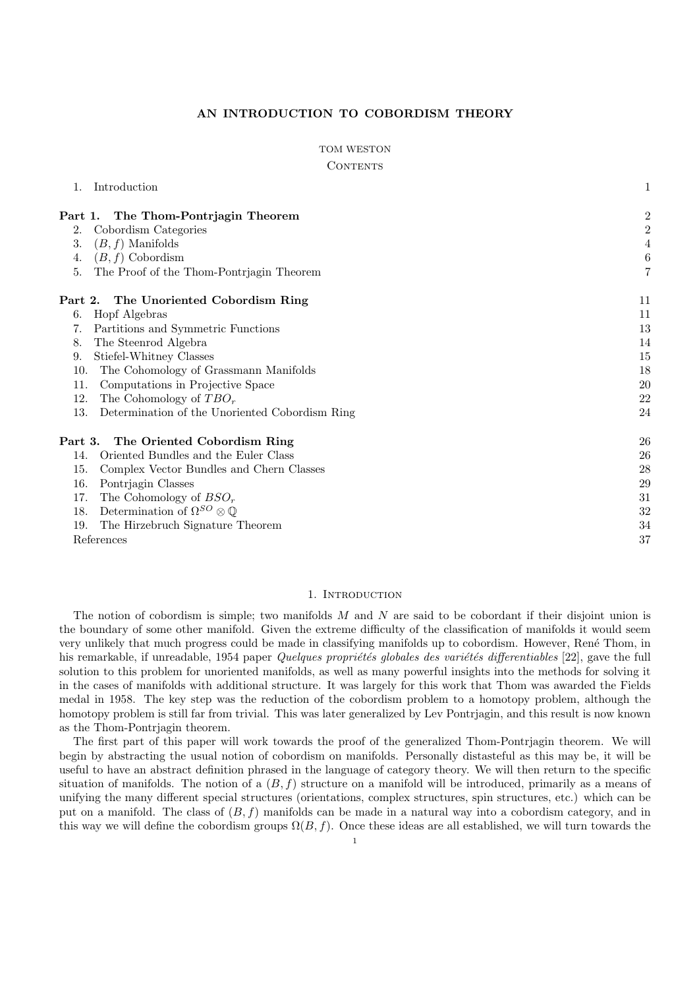# AN INTRODUCTION TO COBORDISM THEORY

## TOM WESTON

CONTENTS

| Introduction<br>1.                                     | $\,1$                   |
|--------------------------------------------------------|-------------------------|
| Part 1. The Thom-Pontrjagin Theorem                    | $\overline{2}$          |
| Cobordism Categories<br>2.                             | $\sqrt{2}$              |
| 3.<br>$(B, f)$ Manifolds                               | $\overline{\mathbf{4}}$ |
| $(B, f)$ Cobordism<br>4.                               | $\boldsymbol{6}$        |
| 5.<br>The Proof of the Thom-Pontrjagin Theorem         | $\overline{7}$          |
| Part 2. The Unoriented Cobordism Ring                  | 11                      |
| Hopf Algebras<br>6.                                    | 11                      |
| Partitions and Symmetric Functions<br>7.               | 13                      |
| The Steenrod Algebra<br>8.                             | 14                      |
| Stiefel-Whitney Classes<br>9.                          | 15                      |
| The Cohomology of Grassmann Manifolds<br>10.           | 18                      |
| Computations in Projective Space<br>11.                | 20                      |
| The Cohomology of $TBO_r$<br>12.                       | 22                      |
| Determination of the Unoriented Cobordism Ring<br>13.  | 24                      |
| Part 3. The Oriented Cobordism Ring                    | 26                      |
| Oriented Bundles and the Euler Class<br>14.            | 26                      |
| Complex Vector Bundles and Chern Classes<br>15.        | 28                      |
| Pontrjagin Classes<br>16.                              | 29                      |
| The Cohomology of $BSO_r$<br>17.                       | 31                      |
| Determination of $\Omega^{SO}\otimes\mathbb{Q}$<br>18. | 32                      |
| The Hirzebruch Signature Theorem<br>19.                | 34                      |
| References                                             | 37                      |

## 1. INTRODUCTION

The notion of cobordism is simple; two manifolds  $M$  and  $N$  are said to be cobordant if their disjoint union is the boundary of some other manifold. Given the extreme difficulty of the classification of manifolds it would seem very unlikely that much progress could be made in classifying manifolds up to cobordism. However, Ren´e Thom, in his remarkable, if unreadable, 1954 paper *Quelques propriétés globales des variétés differentiables* [22], gave the full solution to this problem for unoriented manifolds, as well as many powerful insights into the methods for solving it in the cases of manifolds with additional structure. It was largely for this work that Thom was awarded the Fields medal in 1958. The key step was the reduction of the cobordism problem to a homotopy problem, although the homotopy problem is still far from trivial. This was later generalized by Lev Pontrjagin, and this result is now known as the Thom-Pontrjagin theorem.

The first part of this paper will work towards the proof of the generalized Thom-Pontrjagin theorem. We will begin by abstracting the usual notion of cobordism on manifolds. Personally distasteful as this may be, it will be useful to have an abstract definition phrased in the language of category theory. We will then return to the specific situation of manifolds. The notion of a  $(B, f)$  structure on a manifold will be introduced, primarily as a means of unifying the many different special structures (orientations, complex structures, spin structures, etc.) which can be put on a manifold. The class of  $(B, f)$  manifolds can be made in a natural way into a cobordism category, and in this way we will define the cobordism groups  $\Omega(B, f)$ . Once these ideas are all established, we will turn towards the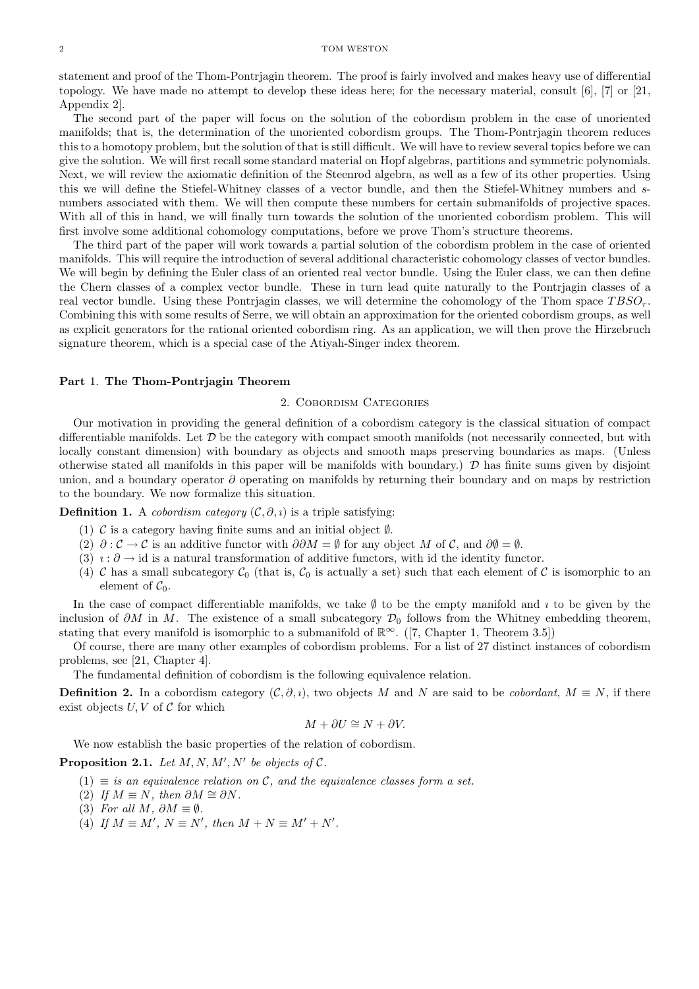#### 2 TOM WESTON

statement and proof of the Thom-Pontrjagin theorem. The proof is fairly involved and makes heavy use of differential topology. We have made no attempt to develop these ideas here; for the necessary material, consult [6], [7] or [21, Appendix 2].

The second part of the paper will focus on the solution of the cobordism problem in the case of unoriented manifolds; that is, the determination of the unoriented cobordism groups. The Thom-Pontrjagin theorem reduces this to a homotopy problem, but the solution of that is still difficult. We will have to review several topics before we can give the solution. We will first recall some standard material on Hopf algebras, partitions and symmetric polynomials. Next, we will review the axiomatic definition of the Steenrod algebra, as well as a few of its other properties. Using this we will define the Stiefel-Whitney classes of a vector bundle, and then the Stiefel-Whitney numbers and snumbers associated with them. We will then compute these numbers for certain submanifolds of projective spaces. With all of this in hand, we will finally turn towards the solution of the unoriented cobordism problem. This will first involve some additional cohomology computations, before we prove Thom's structure theorems.

The third part of the paper will work towards a partial solution of the cobordism problem in the case of oriented manifolds. This will require the introduction of several additional characteristic cohomology classes of vector bundles. We will begin by defining the Euler class of an oriented real vector bundle. Using the Euler class, we can then define the Chern classes of a complex vector bundle. These in turn lead quite naturally to the Pontrjagin classes of a real vector bundle. Using these Pontrjagin classes, we will determine the cohomology of the Thom space  $TBSO<sub>r</sub>$ . Combining this with some results of Serre, we will obtain an approximation for the oriented cobordism groups, as well as explicit generators for the rational oriented cobordism ring. As an application, we will then prove the Hirzebruch signature theorem, which is a special case of the Atiyah-Singer index theorem.

## Part 1. The Thom-Pontrjagin Theorem

#### 2. Cobordism Categories

Our motivation in providing the general definition of a cobordism category is the classical situation of compact differentiable manifolds. Let  $D$  be the category with compact smooth manifolds (not necessarily connected, but with locally constant dimension) with boundary as objects and smooth maps preserving boundaries as maps. (Unless otherwise stated all manifolds in this paper will be manifolds with boundary.)  $\mathcal D$  has finite sums given by disjoint union, and a boundary operator ∂ operating on manifolds by returning their boundary and on maps by restriction to the boundary. We now formalize this situation.

**Definition 1.** A *cobordism category*  $(C, \partial, \iota)$  is a triple satisfying:

- (1) C is a category having finite sums and an initial object  $\emptyset$ .
- (2)  $\partial: \mathcal{C} \to \mathcal{C}$  is an additive functor with  $\partial \partial M = \emptyset$  for any object M of  $\mathcal{C}$ , and  $\partial \emptyset = \emptyset$ .
- (3)  $\iota : \partial \to id$  is a natural transformation of additive functors, with id the identity functor.
- (4) C has a small subcategory  $C_0$  (that is,  $C_0$  is actually a set) such that each element of C is isomorphic to an element of  $C_0$ .

In the case of compact differentiable manifolds, we take  $\emptyset$  to be the empty manifold and  $\iota$  to be given by the inclusion of  $\partial M$  in M. The existence of a small subcategory  $\mathcal{D}_0$  follows from the Whitney embedding theorem, stating that every manifold is isomorphic to a submanifold of  $\mathbb{R}^{\infty}$ . ([7, Chapter 1, Theorem 3.5])

Of course, there are many other examples of cobordism problems. For a list of 27 distinct instances of cobordism problems, see [21, Chapter 4].

The fundamental definition of cobordism is the following equivalence relation.

**Definition 2.** In a cobordism category  $(C, \partial, \iota)$ , two objects M and N are said to be *cobordant*,  $M \equiv N$ , if there exist objects  $U, V$  of  $\mathcal C$  for which

$$
M + \partial U \cong N + \partial V.
$$

We now establish the basic properties of the relation of cobordism.

**Proposition 2.1.** Let  $M, N, M', N'$  be objects of C.

- $(1) \equiv i$ s an equivalence relation on C, and the equivalence classes form a set.
- (2) If  $M \equiv N$ , then  $\partial M \cong \partial N$ .
- (3) For all M,  $\partial M \equiv \emptyset$ .
- (4) If  $M \equiv M'$ ,  $N \equiv N'$ , then  $M + N \equiv M' + N'$ .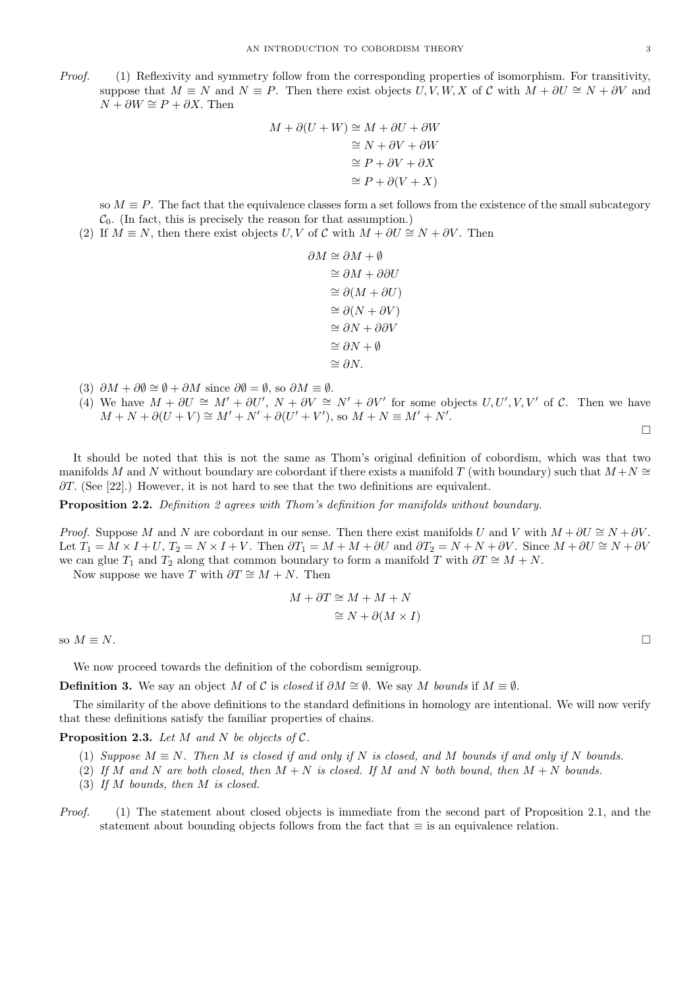Proof. (1) Reflexivity and symmetry follow from the corresponding properties of isomorphism. For transitivity, suppose that  $M \equiv N$  and  $N \equiv P$ . Then there exist objects U, V, W, X of C with  $M + \partial U \cong N + \partial V$  and  $N + \partial W \cong P + \partial X$ . Then

$$
M + \partial(U + W) \cong M + \partial U + \partial W
$$
  
\n
$$
\cong N + \partial V + \partial W
$$
  
\n
$$
\cong P + \partial V + \partial X
$$
  
\n
$$
\cong P + \partial(V + X)
$$

so  $M \equiv P$ . The fact that the equivalence classes form a set follows from the existence of the small subcategory  $\mathcal{C}_0$ . (In fact, this is precisely the reason for that assumption.)

(2) If  $M \equiv N$ , then there exist objects U, V of C with  $M + \partial U \cong N + \partial V$ . Then

$$
\partial M \cong \partial M + \emptyset
$$
  
\n
$$
\cong \partial M + \partial \partial U
$$
  
\n
$$
\cong \partial (M + \partial U)
$$
  
\n
$$
\cong \partial (N + \partial V)
$$
  
\n
$$
\cong \partial N + \partial \partial V
$$
  
\n
$$
\cong \partial N + \emptyset
$$
  
\n
$$
\cong \partial N.
$$

- (3)  $\partial M + \partial \emptyset \cong \emptyset + \partial M$  since  $\partial \emptyset = \emptyset$ , so  $\partial M \equiv \emptyset$ .
- (4) We have  $M + \partial U \cong M' + \partial U'$ ,  $N + \partial V \cong N' + \partial V'$  for some objects  $U, U', V, V'$  of C. Then we have  $M + N + \partial(U + V) \cong M' + N' + \partial(U' + V')$ , so  $M + N \cong M' + N'$ .

 $\Box$ 

It should be noted that this is not the same as Thom's original definition of cobordism, which was that two manifolds M and N without boundary are cobordant if there exists a manifold T (with boundary) such that  $M + N \approx$  $\partial T$ . (See [22].) However, it is not hard to see that the two definitions are equivalent.

Proposition 2.2. Definition 2 agrees with Thom's definition for manifolds without boundary.

*Proof.* Suppose M and N are cobordant in our sense. Then there exist manifolds U and V with  $M + \partial U \cong N + \partial V$ . Let  $T_1 = M \times I + U$ ,  $T_2 = N \times I + V$ . Then  $\partial T_1 = M + M + \partial U$  and  $\partial T_2 = N + N + \partial V$ . Since  $M + \partial U \cong N + \partial V$ we can glue  $T_1$  and  $T_2$  along that common boundary to form a manifold T with  $\partial T \cong M + N$ .

Now suppose we have T with  $\partial T \cong M + N$ . Then

$$
M + \partial T \cong M + M + N
$$

$$
\cong N + \partial(M \times I)
$$

so  $M \equiv N$ .

We now proceed towards the definition of the cobordism semigroup.

**Definition 3.** We say an object M of C is closed if  $\partial M \cong \emptyset$ . We say M bounds if  $M \equiv \emptyset$ .

The similarity of the above definitions to the standard definitions in homology are intentional. We will now verify that these definitions satisfy the familiar properties of chains.

**Proposition 2.3.** Let M and N be objects of  $C$ .

- (1) Suppose  $M \equiv N$ . Then M is closed if and only if N is closed, and M bounds if and only if N bounds.
- (2) If M and N are both closed, then  $M + N$  is closed. If M and N both bound, then  $M + N$  bounds.
- (3) If M bounds, then M is closed.

Proof. (1) The statement about closed objects is immediate from the second part of Proposition 2.1, and the statement about bounding objects follows from the fact that  $\equiv$  is an equivalence relation.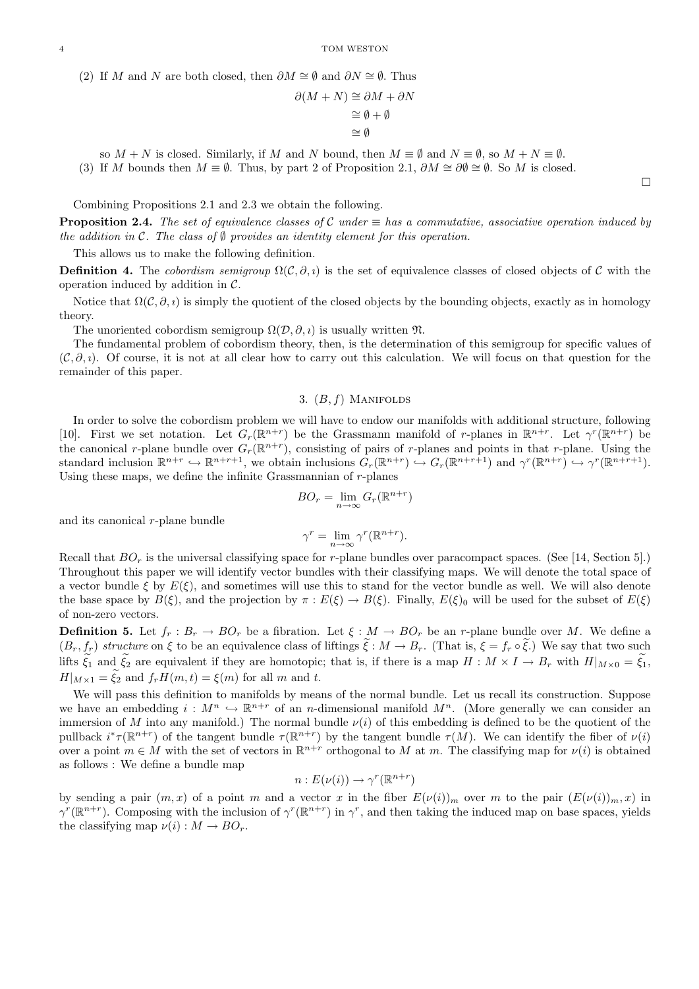(2) If M and N are both closed, then  $\partial M \cong \emptyset$  and  $\partial N \cong \emptyset$ . Thus

$$
\partial(M+N) \cong \partial M + \partial N
$$
  
\n
$$
\cong \emptyset + \emptyset
$$
  
\n
$$
\cong \emptyset
$$

so  $M + N$  is closed. Similarly, if M and N bound, then  $M \equiv \emptyset$  and  $N \equiv \emptyset$ , so  $M + N \equiv \emptyset$ .

(3) If M bounds then  $M \equiv \emptyset$ . Thus, by part 2 of Proposition 2.1,  $\partial M \cong \partial \emptyset \cong \emptyset$ . So M is closed.

Combining Propositions 2.1 and 2.3 we obtain the following.

**Proposition 2.4.** The set of equivalence classes of C under  $\equiv$  has a commutative, associative operation induced by the addition in C. The class of  $\emptyset$  provides an identity element for this operation.

This allows us to make the following definition.

**Definition 4.** The cobordism semigroup  $\Omega(C, \partial, \iota)$  is the set of equivalence classes of closed objects of C with the operation induced by addition in  $\mathcal{C}$ .

Notice that  $\Omega(C, \partial, \iota)$  is simply the quotient of the closed objects by the bounding objects, exactly as in homology theory.

The unoriented cobordism semigroup  $\Omega(\mathcal{D}, \partial, \iota)$  is usually written  $\mathfrak{N}$ .

The fundamental problem of cobordism theory, then, is the determination of this semigroup for specific values of  $(C, \partial, \iota)$ . Of course, it is not at all clear how to carry out this calculation. We will focus on that question for the remainder of this paper.

## 3.  $(B, f)$  MANIFOLDS

In order to solve the cobordism problem we will have to endow our manifolds with additional structure, following [10]. First we set notation. Let  $G_r(\mathbb{R}^{n+r})$  be the Grassmann manifold of r-planes in  $\mathbb{R}^{n+r}$ . Let  $\gamma^r(\mathbb{R}^{n+r})$  be the canonical r-plane bundle over  $G_r(\mathbb{R}^{n+r})$ , consisting of pairs of r-planes and points in that r-plane. Using the standard inclusion  $\mathbb{R}^{n+r} \hookrightarrow \mathbb{R}^{n+r+1}$ , we obtain inclusions  $G_r(\mathbb{R}^{n+r}) \hookrightarrow G_r(\mathbb{R}^{n+r+1})$  and  $\gamma^r(\mathbb{R}^{n+r}) \hookrightarrow \gamma^r(\mathbb{R}^{n+r+1})$ . Using these maps, we define the infinite Grassmannian of  $r$ -planes

$$
BO_r = \lim_{n \to \infty} G_r(\mathbb{R}^{n+r})
$$

and its canonical r-plane bundle

$$
\gamma^r = \lim_{n \to \infty} \gamma^r(\mathbb{R}^{n+r}).
$$

Recall that  $BO_r$  is the universal classifying space for r-plane bundles over paracompact spaces. (See [14, Section 5].) Throughout this paper we will identify vector bundles with their classifying maps. We will denote the total space of a vector bundle  $\xi$  by  $E(\xi)$ , and sometimes will use this to stand for the vector bundle as well. We will also denote the base space by  $B(\xi)$ , and the projection by  $\pi : E(\xi) \to B(\xi)$ . Finally,  $E(\xi)$  will be used for the subset of  $E(\xi)$ of non-zero vectors.

**Definition 5.** Let  $f_r : B_r \to BO_r$  be a fibration. Let  $\xi : M \to BO_r$  be an r-plane bundle over M. We define a  $(B_r, f_r)$  structure on  $\xi$  to be an equivalence class of liftings  $\xi: M \to B_r$ . (That is,  $\xi = f_r \circ \xi$ .) We say that two such lifts  $\tilde{\xi}_1$  and  $\tilde{\xi}_2$  are equivalent if they are homotopic; that is, if there is a map  $H : M \times I \to B_r$  with  $H|_{M\times 0} = \tilde{\xi}_1$ ,  $H|_{M\times 1} = \xi_2$  and  $f_r H(m, t) = \xi(m)$  for all m and t.

We will pass this definition to manifolds by means of the normal bundle. Let us recall its construction. Suppose we have an embedding  $i : M^n \hookrightarrow \mathbb{R}^{n+r}$  of an *n*-dimensional manifold  $M^n$ . (More generally we can consider an immersion of M into any manifold.) The normal bundle  $\nu(i)$  of this embedding is defined to be the quotient of the pullback  $i^*\tau(\mathbb{R}^{n+r})$  of the tangent bundle  $\tau(\mathbb{R}^{n+r})$  by the tangent bundle  $\tau(M)$ . We can identify the fiber of  $\nu(i)$ over a point  $m \in M$  with the set of vectors in  $\mathbb{R}^{n+r}$  orthogonal to M at m. The classifying map for  $\nu(i)$  is obtained as follows : We define a bundle map

$$
n: E(\nu(i)) \to \gamma^r(\mathbb{R}^{n+r})
$$

by sending a pair  $(m, x)$  of a point m and a vector x in the fiber  $E(\nu(i))_m$  over m to the pair  $(E(\nu(i))_m, x)$  in  $\gamma^r(\mathbb{R}^{n+r})$ . Composing with the inclusion of  $\gamma^r(\mathbb{R}^{n+r})$  in  $\gamma^r$ , and then taking the induced map on base spaces, yields the classifying map  $\nu(i) : M \to BO_r$ .

 $\Box$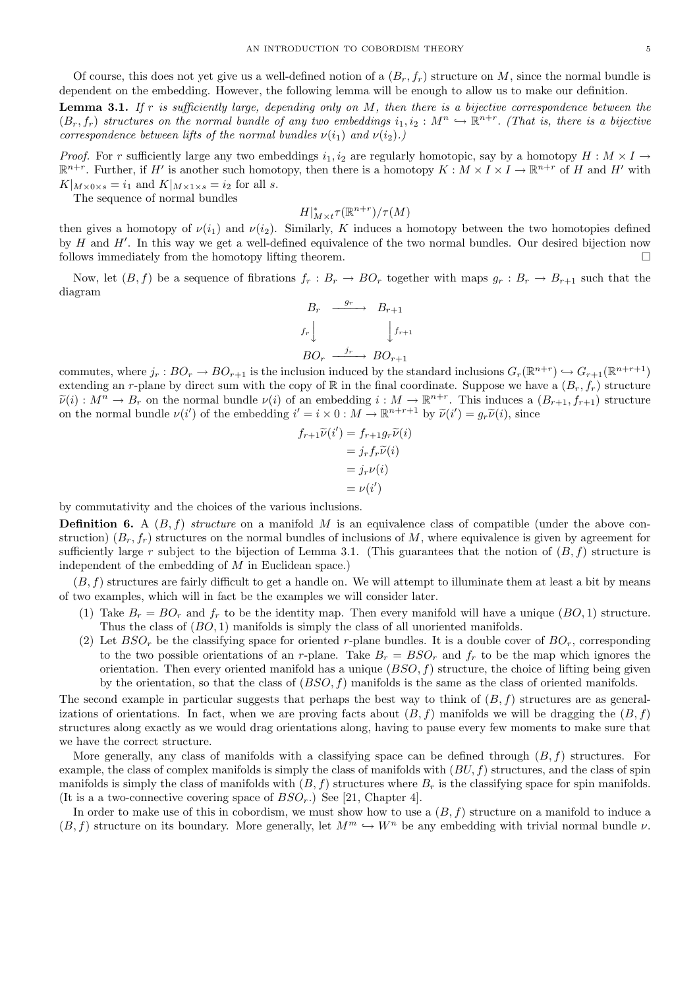**Lemma 3.1.** If r is sufficiently large, depending only on  $M$ , then there is a bijective correspondence between the  $(B_r, f_r)$  structures on the normal bundle of any two embeddings  $i_1, i_2 : M^n \hookrightarrow \mathbb{R}^{n+r}$ . (That is, there is a bijective correspondence between lifts of the normal bundles  $\nu(i_1)$  and  $\nu(i_2)$ .)

*Proof.* For r sufficiently large any two embeddings  $i_1, i_2$  are regularly homotopic, say by a homotopy  $H : M \times I \to$  $\mathbb{R}^{n+r}$ . Further, if H' is another such homotopy, then there is a homotopy  $K : M \times I \times I \to \mathbb{R}^{n+r}$  of H and H' with  $K|_{M\times0\times s} = i_1$  and  $K|_{M\times1\times s} = i_2$  for all s.

The sequence of normal bundles

$$
H|_{M\times t}^* \tau(\mathbb{R}^{n+r})/\tau(M)
$$

then gives a homotopy of  $\nu(i_1)$  and  $\nu(i_2)$ . Similarly, K induces a homotopy between the two homotopies defined by  $H$  and  $H'$ . In this way we get a well-defined equivalence of the two normal bundles. Our desired bijection now follows immediately from the homotopy lifting theorem.

Now, let  $(B, f)$  be a sequence of fibrations  $f_r : B_r \to BO_r$  together with maps  $g_r : B_r \to B_{r+1}$  such that the diagram

$$
B_r \xrightarrow{g_r} B_{r+1}
$$
  

$$
f_r \downarrow \qquad \qquad \downarrow f_{r+1}
$$
  

$$
BO_r \xrightarrow{j_r} BO_{r+1}
$$

commutes, where  $j_r : BO_r \to BO_{r+1}$  is the inclusion induced by the standard inclusions  $G_r(\mathbb{R}^{n+r}) \hookrightarrow G_{r+1}(\mathbb{R}^{n+r+1})$ extending an r-plane by direct sum with the copy of R in the final coordinate. Suppose we have a  $(B_r, f_r)$  structure  $\widetilde{\nu}(i) : M^n \to B_r$  on the normal bundle  $\nu(i)$  of an embedding  $i : M \to \mathbb{R}^{n+r}$ . This induces a  $(B_{r+1}, f_{r+1})$  structure<br>on the normal bundle  $\nu(i')$  of the embedding  $i' = i \times 0 \cdot M \to \mathbb{R}^{n+r+1}$  by  $\widetilde{\nu}(i') = a \widetilde{\nu}(i)$  on the normal bundle  $\nu(i')$  of the embedding  $i' = i \times 0 : M \to \mathbb{R}^{n+r+1}$  by  $\tilde{\nu}(i') = g_r \tilde{\nu}(i)$ , since

$$
f_{r+1}\widetilde{\nu}(i') = f_{r+1}g_r\widetilde{\nu}(i)
$$
  
=  $j_r f_r \widetilde{\nu}(i)$   
=  $j_r \nu(i)$   
=  $\nu(i')$ 

by commutativity and the choices of the various inclusions.

**Definition 6.** A  $(B, f)$  structure on a manifold M is an equivalence class of compatible (under the above construction)  $(B_r, f_r)$  structures on the normal bundles of inclusions of M, where equivalence is given by agreement for sufficiently large r subject to the bijection of Lemma 3.1. (This guarantees that the notion of  $(B, f)$  structure is independent of the embedding of  $M$  in Euclidean space.)

 $(B, f)$  structures are fairly difficult to get a handle on. We will attempt to illuminate them at least a bit by means of two examples, which will in fact be the examples we will consider later.

- (1) Take  $B_r = BO_r$  and  $f_r$  to be the identity map. Then every manifold will have a unique (BO, 1) structure. Thus the class of  $(BO, 1)$  manifolds is simply the class of all unoriented manifolds.
- (2) Let  $BSO_r$  be the classifying space for oriented r-plane bundles. It is a double cover of  $BO_r$ , corresponding to the two possible orientations of an r-plane. Take  $B_r = BSO_r$  and  $f_r$  to be the map which ignores the orientation. Then every oriented manifold has a unique  $(BSO, f)$  structure, the choice of lifting being given by the orientation, so that the class of  $(BSO, f)$  manifolds is the same as the class of oriented manifolds.

The second example in particular suggests that perhaps the best way to think of  $(B, f)$  structures are as generalizations of orientations. In fact, when we are proving facts about  $(B, f)$  manifolds we will be dragging the  $(B, f)$ structures along exactly as we would drag orientations along, having to pause every few moments to make sure that we have the correct structure.

More generally, any class of manifolds with a classifying space can be defined through  $(B, f)$  structures. For example, the class of complex manifolds is simply the class of manifolds with  $(BU, f)$  structures, and the class of spin manifolds is simply the class of manifolds with  $(B, f)$  structures where  $B_r$  is the classifying space for spin manifolds. (It is a a two-connective covering space of  $BSO_r$ .) See [21, Chapter 4].

In order to make use of this in cobordism, we must show how to use a  $(B, f)$  structure on a manifold to induce a  $(B, f)$  structure on its boundary. More generally, let  $M^m \hookrightarrow W^n$  be any embedding with trivial normal bundle  $\nu$ .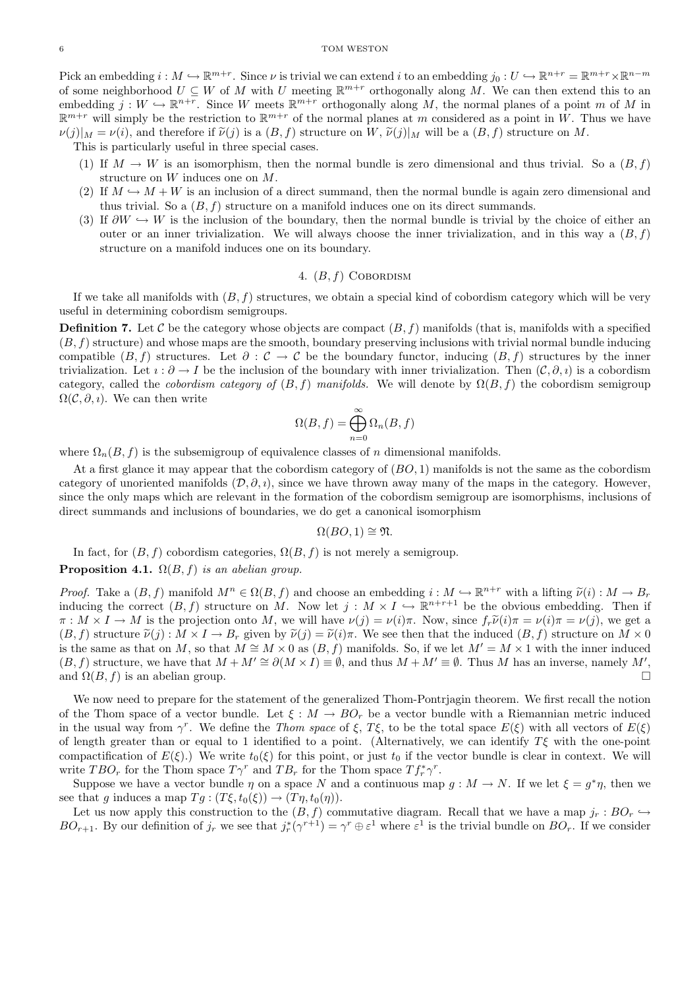Pick an embedding  $i : M \hookrightarrow \mathbb{R}^{m+r}$ . Since  $\nu$  is trivial we can extend i to an embedding  $j_0 : U \hookrightarrow \mathbb{R}^{n+r} = \mathbb{R}^{m+r} \times \mathbb{R}^{n-m}$ of some neighborhood  $U \subseteq W$  of M with U meeting  $\mathbb{R}^{m+r}$  orthogonally along M. We can then extend this to an embedding  $j: W \hookrightarrow \mathbb{R}^{n+r}$ . Since W meets  $\mathbb{R}^{m+r}$  orthogonally along M, the normal planes of a point m of M in  $\mathbb{R}^{m+r}$  will simply be the restriction to  $\mathbb{R}^{m+r}$  of the normal planes at m considered as a point in W. Thus we have  $\nu(j)|_M = \nu(i)$ , and therefore if  $\tilde{\nu}(j)$  is a  $(B, f)$  structure on W,  $\tilde{\nu}(j)|_M$  will be a  $(B, f)$  structure on M.

This is particularly useful in three special cases.

- (1) If  $M \to W$  is an isomorphism, then the normal bundle is zero dimensional and thus trivial. So a  $(B, f)$ structure on W induces one on M.
- (2) If  $M \hookrightarrow M + W$  is an inclusion of a direct summand, then the normal bundle is again zero dimensional and thus trivial. So a  $(B, f)$  structure on a manifold induces one on its direct summands.
- (3) If  $\partial W \hookrightarrow W$  is the inclusion of the boundary, then the normal bundle is trivial by the choice of either an outer or an inner trivialization. We will always choose the inner trivialization, and in this way a  $(B, f)$ structure on a manifold induces one on its boundary.

# 4.  $(B, f)$  COBORDISM

If we take all manifolds with  $(B, f)$  structures, we obtain a special kind of cobordism category which will be very useful in determining cobordism semigroups.

**Definition 7.** Let C be the category whose objects are compact  $(B, f)$  manifolds (that is, manifolds with a specified  $(B, f)$  structure) and whose maps are the smooth, boundary preserving inclusions with trivial normal bundle inducing compatible  $(B, f)$  structures. Let  $\partial : \mathcal{C} \to \mathcal{C}$  be the boundary functor, inducing  $(B, f)$  structures by the inner trivialization. Let  $\iota : \partial \to I$  be the inclusion of the boundary with inner trivialization. Then  $(\mathcal{C}, \partial, \iota)$  is a cobordism category, called the *cobordism category of*  $(B, f)$  manifolds. We will denote by  $\Omega(B, f)$  the cobordism semigroup  $\Omega(\mathcal{C}, \partial, \iota)$ . We can then write

$$
\Omega(B, f) = \bigoplus_{n=0}^{\infty} \Omega_n(B, f)
$$

where  $\Omega_n(B, f)$  is the subsemigroup of equivalence classes of n dimensional manifolds.

At a first glance it may appear that the cobordism category of  $(BO, 1)$  manifolds is not the same as the cobordism category of unoriented manifolds  $(D, \partial, \iota)$ , since we have thrown away many of the maps in the category. However, since the only maps which are relevant in the formation of the cobordism semigroup are isomorphisms, inclusions of direct summands and inclusions of boundaries, we do get a canonical isomorphism

$$
\Omega(BO,1) \cong \mathfrak{N}.
$$

In fact, for  $(B, f)$  cobordism categories,  $\Omega(B, f)$  is not merely a semigroup.

**Proposition 4.1.**  $\Omega(B, f)$  is an abelian group.

*Proof.* Take a  $(B, f)$  manifold  $M^n \in \Omega(B, f)$  and choose an embedding  $i : M \hookrightarrow \mathbb{R}^{n+r}$  with a lifting  $\widetilde{\nu}(i) : M \to B_r$ <br>inducing the correct  $(B, f)$  structure on M. Now let  $i : M \times I \hookrightarrow \mathbb{R}^{n+r+1}$  be the obvious embedding inducing the correct  $(B, f)$  structure on M. Now let  $j : M \times I \hookrightarrow \mathbb{R}^{n+r+1}$  be the obvious embedding. Then if  $\pi : M \times I \to M$  is the projection onto M, we will have  $\nu(j) = \nu(i)\pi$ . Now, since  $f_r\tilde{\nu}(i)\pi = \nu(i)\pi = \nu(j)$ , we get a  $(B, f)$  structure  $\tilde{\nu}(j) : M \times I \to B_r$  given by  $\tilde{\nu}(j) = \tilde{\nu}(i)\pi$ . We see then that the induced  $(B, f)$  structure on  $M \times 0$ is the same as that on M, so that  $M \cong M \times 0$  as  $(B, f)$  manifolds. So, if we let  $M' = M \times 1$  with the inner induced (B, f) structure, we have that  $M + M' \cong \partial(M \times I) \equiv \emptyset$ , and thus  $M + M' \equiv \emptyset$ . Thus M has an inverse, namely M', and  $\Omega(B, f)$  is an abelian group.

We now need to prepare for the statement of the generalized Thom-Pontrjagin theorem. We first recall the notion of the Thom space of a vector bundle. Let  $\xi : M \to BO_r$  be a vector bundle with a Riemannian metric induced in the usual way from  $\gamma^r$ . We define the Thom space of  $\xi$ ,  $T\xi$ , to be the total space  $E(\xi)$  with all vectors of  $E(\xi)$ of length greater than or equal to 1 identified to a point. (Alternatively, we can identify  $T\xi$  with the one-point compactification of  $E(\xi)$ .) We write  $t_0(\xi)$  for this point, or just  $t_0$  if the vector bundle is clear in context. We will write  $TBO_r$  for the Thom space  $T\gamma^r$  and  $TB_r$  for the Thom space  $Tf_r^*\gamma^r$ .

Suppose we have a vector bundle  $\eta$  on a space N and a continuous map  $g : M \to N$ . If we let  $\xi = g^* \eta$ , then we see that q induces a map  $Tg : (T\xi, t_0(\xi)) \to (T\eta, t_0(\eta))$ .

Let us now apply this construction to the  $(B, f)$  commutative diagram. Recall that we have a map  $j_r : BO_r \hookrightarrow$  $BO_{r+1}$ . By our definition of  $j_r$  we see that  $j_r^*(\gamma^{r+1}) = \gamma^r \oplus \varepsilon^1$  where  $\varepsilon^1$  is the trivial bundle on  $BO_r$ . If we consider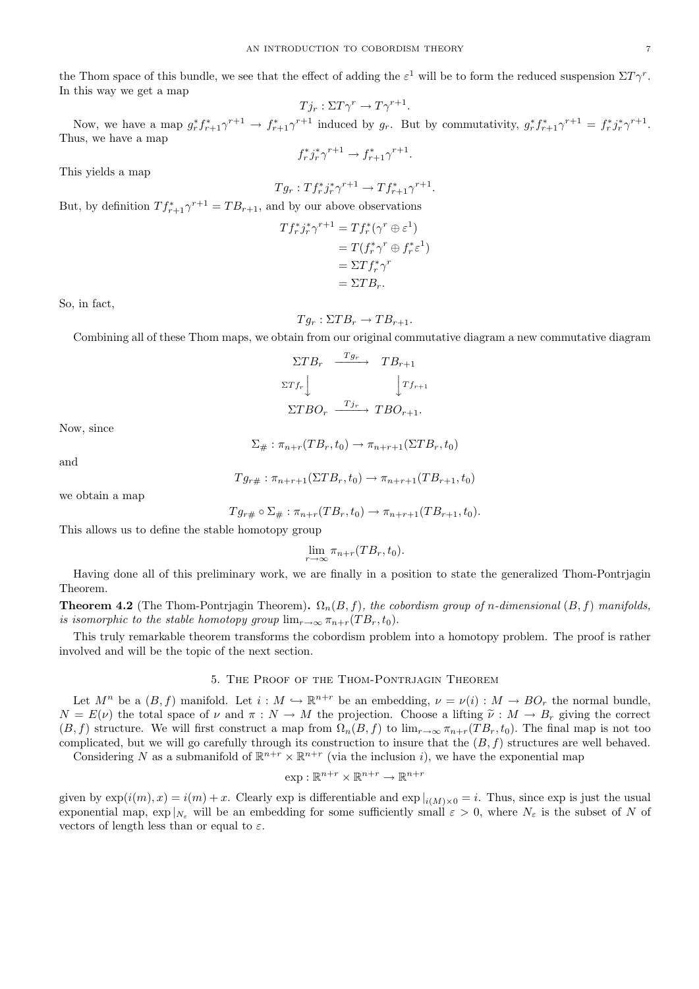the Thom space of this bundle, we see that the effect of adding the  $\varepsilon^1$  will be to form the reduced suspension  $\Sigma T\gamma^r$ . In this way we get a map

$$
Tj_r: \Sigma T\gamma^r \to T\gamma^{r+1}.
$$

Now, we have a map  $g_r^* f_{r+1}^* \gamma^{r+1} \to f_{r+1}^* \gamma^{r+1}$  induced by  $g_r$ . But by commutativity,  $g_r^* f_{r+1}^* \gamma^{r+1} = f_r^* j_r^* \gamma^{r+1}$ . Thus, we have a map

 $f_r^*$  $f_r^* j_r^* \gamma^{r+1} \to f_{r+1}^* \gamma^{r+1}.$ 

This yields a map

$$
Tg_r: Tf_r^* j_r^* \gamma^{r+1} \to Tf_{r+1}^* \gamma^{r+1}.
$$

But, by definition  $Tf_{r+1}^*\gamma^{r+1} = TB_{r+1}$ , and by our above observations

 $T$ 

$$
f_r^* j_r^* \gamma^{r+1} = T f_r^* (\gamma^r \oplus \varepsilon^1)
$$
  
=  $T(f_r^* \gamma^r \oplus f_r^* \varepsilon^1)$   
=  $\Sigma T f_r^* \gamma^r$   
=  $\Sigma T B_r$ .

So, in fact,

$$
Tg_r: \Sigma T B_r \to T B_{r+1}.
$$

Combining all of these Thom maps, we obtain from our original commutative diagram a new commutative diagram

$$
\Sigma T B_r \xrightarrow{T g_r} T B_{r+1}
$$
  

$$
\Sigma T f_r \downarrow \qquad \qquad \downarrow T f_{r+1}
$$
  

$$
\Sigma T B O_r \xrightarrow{T j_r} T B O_{r+1}.
$$

Now, since

$$
\Sigma_{\#} : \pi_{n+r}(TB_r, t_0) \to \pi_{n+r+1}(\Sigma TB_r, t_0)
$$

and

$$
Tg_{r\#} : \pi_{n+r+1}(\Sigma TB_r, t_0) \to \pi_{n+r+1}(TB_{r+1}, t_0)
$$

we obtain a map

$$
Tg_{r\#} \circ \Sigma_{\#} : \pi_{n+r}(TB_r, t_0) \to \pi_{n+r+1}(TB_{r+1}, t_0).
$$

This allows us to define the stable homotopy group

$$
\lim_{r \to \infty} \pi_{n+r}(TB_r, t_0).
$$

Having done all of this preliminary work, we are finally in a position to state the generalized Thom-Pontrjagin Theorem.

**Theorem 4.2** (The Thom-Pontrjagin Theorem).  $\Omega_n(B, f)$ , the cobordism group of n-dimensional  $(B, f)$  manifolds, is isomorphic to the stable homotopy group  $\lim_{r\to\infty} \pi_{n+r}(TB_r, t_0)$ .

This truly remarkable theorem transforms the cobordism problem into a homotopy problem. The proof is rather involved and will be the topic of the next section.

## 5. The Proof of the Thom-Pontrjagin Theorem

Let  $M^n$  be a  $(B, f)$  manifold. Let  $i : M \hookrightarrow \mathbb{R}^{n+r}$  be an embedding,  $\nu = \nu(i) : M \to BO_r$  the normal bundle,  $N = E(\nu)$  the total space of  $\nu$  and  $\pi : N \to M$  the projection. Choose a lifting  $\tilde{\nu} : M \to B_r$  giving the correct  $(B, f)$  structure. We will first construct a map from  $\Omega_n(B, f)$  to  $\lim_{r\to\infty} \pi_{n+r}(TB_r, t_0)$ . The final map is not too complicated, but we will go carefully through its construction to insure that the  $(B, f)$  structures are well behaved.

Considering N as a submanifold of  $\mathbb{R}^{n+r} \times \mathbb{R}^{n+r}$  (via the inclusion *i*), we have the exponential map

$$
\exp: \mathbb{R}^{n+r} \times \mathbb{R}^{n+r} \to \mathbb{R}^{n+r}
$$

given by  $exp(i(m), x) = i(m) + x$ . Clearly exp is differentiable and  $exp|_{i(M) \times 0} = i$ . Thus, since exp is just the usual exponential map,  $\exp|_{N_{\varepsilon}}$  will be an embedding for some sufficiently small  $\varepsilon > 0$ , where  $N_{\varepsilon}$  is the subset of N of vectors of length less than or equal to  $\varepsilon$ .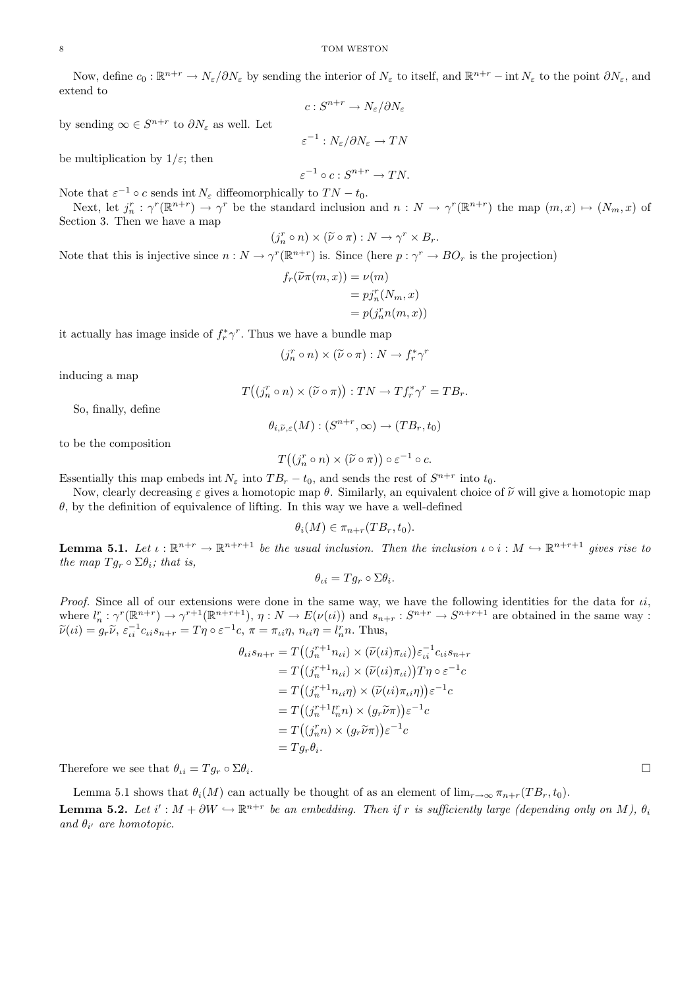Now, define  $c_0 : \mathbb{R}^{n+r} \to N_{\varepsilon}/\partial N_{\varepsilon}$  by sending the interior of  $N_{\varepsilon}$  to itself, and  $\mathbb{R}^{n+r}$  – int  $N_{\varepsilon}$  to the point  $\partial N_{\varepsilon}$ , and extend to

$$
c: S^{n+r} \to N_{\varepsilon}/\partial N_{\varepsilon}
$$

by sending  $\infty \in S^{n+r}$  to  $\partial N_{\varepsilon}$  as well. Let

$$
\varepsilon^{-1}:N_\varepsilon/\partial N_\varepsilon\to TN
$$

be multiplication by  $1/\varepsilon$ ; then

 $\varepsilon^{-1} \circ c : S^{n+r} \to TN.$ 

Note that  $\varepsilon^{-1} \circ c$  sends int  $N_{\varepsilon}$  diffeomorphically to  $TN - t_0$ .

Next, let  $j_n^r : \gamma^r(\mathbb{R}^{n+r}) \to \gamma^r$  be the standard inclusion and  $n : N \to \gamma^r(\mathbb{R}^{n+r})$  the map  $(m, x) \mapsto (N_m, x)$  of Section 3. Then we have a map

$$
(j_n^r \circ n) \times (\widetilde{\nu} \circ \pi) : N \to \gamma^r \times B_r.
$$

Note that this is injective since  $n: N \to \gamma^r(\mathbb{R}^{n+r})$  is. Since (here  $p: \gamma^r \to BO_r$  is the projection)

$$
f_r(\widetilde{\nu}\pi(m,x)) = \nu(m)
$$
  
=  $p j_n^r(N_m, x)$   
=  $p(j_n^r n(m,x))$ 

it actually has image inside of  $f^*_{r} \gamma^r$ . Thus we have a bundle map

$$
(j_n^r \circ n) \times (\widetilde{\nu} \circ \pi) : N \to f_r^* \gamma^r
$$

inducing a map

$$
T((j_n^r \circ n) \times (\widetilde{\nu} \circ \pi)) : TN \to Tf_r^* \gamma^r = TB_r.
$$

So, finally, define

 $\theta_{i,\widetilde{\nu},\varepsilon}(M) : (S^{n+r},\infty) \to (TB_r,t_0)$ 

to be the composition

$$
T((j_n^r \circ n) \times (\widetilde{\nu} \circ \pi)) \circ \varepsilon^{-1} \circ c.
$$

Essentially this map embeds int  $N_{\varepsilon}$  into  $TB_r - t_0$ , and sends the rest of  $S^{n+r}$  into  $t_0$ .

Now, clearly decreasing  $\varepsilon$  gives a homotopic map  $\theta$ . Similarly, an equivalent choice of  $\tilde{\nu}$  will give a homotopic map  $\theta$ , by the definition of equivalence of lifting. In this way we have a well-defined

$$
\theta_i(M) \in \pi_{n+r}(TB_r, t_0).
$$

**Lemma 5.1.** Let  $\iota : \mathbb{R}^{n+r} \to \mathbb{R}^{n+r+1}$  be the usual inclusion. Then the inclusion  $\iota \circ i : M \hookrightarrow \mathbb{R}^{n+r+1}$  gives rise to the map  $T g_r \circ \Sigma \theta_i$ ; that is,

$$
\theta_{ii} = Tg_r \circ \Sigma \theta_i.
$$

Proof. Since all of our extensions were done in the same way, we have the following identities for the data for  $i$ , where  $l_n^r : \gamma^r(\mathbb{R}^{n+r}) \to \gamma^{r+1}(\mathbb{R}^{n+r+1}), \eta : N \to E(\nu(i))$  and  $s_{n+r} : S^{n+r} \to S^{n+r+1}$  are obtained in the same way :  $\widetilde{\nu}(ii) = g_r \widetilde{\nu}, \ \varepsilon_{ii}^{-1} c_{ii} s_{n+r} = T \eta \circ \varepsilon^{-1} c, \ \pi = \pi_{ii} \eta, \ n_{ii} \eta = l_n^r n.$  Thus,

$$
\theta_{ii} s_{n+r} = T((j_n^{r+1} n_{ii}) \times (\widetilde{\nu}(u) \pi_{ii})) \varepsilon_{ii}^{-1} c_{ii} s_{n+r}
$$
  
\n
$$
= T((j_n^{r+1} n_{ii}) \times (\widetilde{\nu}(u) \pi_{ii})) T \eta \circ \varepsilon^{-1} c
$$
  
\n
$$
= T((j_n^{r+1} n_{ii} \eta) \times (\widetilde{\nu}(u) \pi_{ii} \eta)) \varepsilon^{-1} c
$$
  
\n
$$
= T((j_n^{r+1} l_n^r n) \times (g_r \widetilde{\nu} \pi)) \varepsilon^{-1} c
$$
  
\n
$$
= T((j_n^r n) \times (g_r \widetilde{\nu} \pi)) \varepsilon^{-1} c
$$
  
\n
$$
= T g_r \theta_i.
$$

Therefore we see that  $\theta_{ii} = T g_r \circ \Sigma \theta_i$ .

Lemma 5.1 shows that  $\theta_i(M)$  can actually be thought of as an element of  $\lim_{r\to\infty} \pi_{n+r}(TB_r, t_0)$ . **Lemma 5.2.** Let  $i': M + \partial W \hookrightarrow \mathbb{R}^{n+r}$  be an embedding. Then if r is sufficiently large (depending only on M),  $\theta_i$ and  $\theta_{i'}$  are homotopic.

.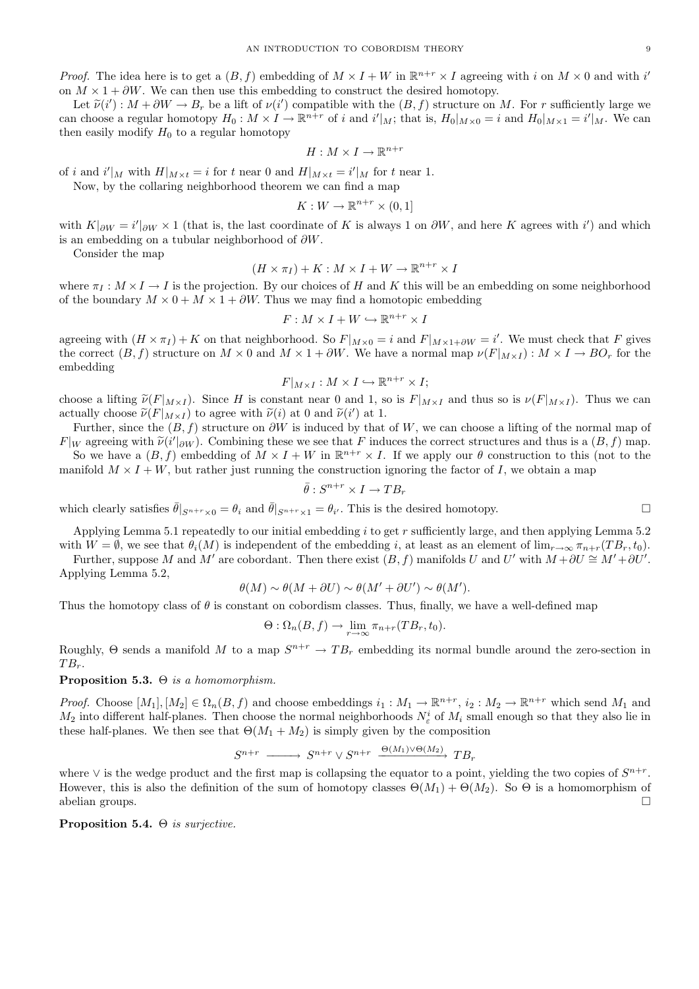*Proof.* The idea here is to get a  $(B, f)$  embedding of  $M \times I + W$  in  $\mathbb{R}^{n+r} \times I$  agreeing with i on  $M \times 0$  and with i on  $M \times 1 + \partial W$ . We can then use this embedding to construct the desired homotopy.

Let  $\tilde{\nu}(i') : M + \partial W \to B_r$  be a lift of  $\nu(i')$  compatible with the  $(B, f)$  structure on M. For r sufficiently large we<br>choose a regular homotopy  $H_0 : M \times I \to \mathbb{R}^{n+r}$  of *i* and *i*<sup>1</sup> w that is  $H_2|_{M \times G} = i$  and  $H_2|_{M \times$ can choose a regular homotopy  $H_0: M \times I \to \mathbb{R}^{n+r}$  of i and  $i'|_M$ ; that is,  $H_0|_{M\times 0} = i$  and  $H_0|_{M\times 1} = i'|_M$ . We can then easily modify  $H_0$  to a regular homotopy

$$
H:M\times I\to\mathbb{R}^{n+r}
$$

of i and  $i'|_M$  with  $H|_{M\times t} = i$  for t near 0 and  $H|_{M\times t} = i'|_M$  for t near 1.

Now, by the collaring neighborhood theorem we can find a map

$$
K: W \to \mathbb{R}^{n+r} \times (0,1]
$$

with  $K|_{\partial W} = i'|_{\partial W} \times 1$  (that is, the last coordinate of K is always 1 on  $\partial W$ , and here K agrees with i') and which is an embedding on a tubular neighborhood of  $\partial W$ .

Consider the map

$$
(H \times \pi_I) + K : M \times I + W \to \mathbb{R}^{n+r} \times I
$$

where  $\pi_I : M \times I \to I$  is the projection. By our choices of H and K this will be an embedding on some neighborhood of the boundary  $M \times 0 + M \times 1 + \partial W$ . Thus we may find a homotopic embedding

 $F: M \times I + W \hookrightarrow \mathbb{R}^{n+r} \times I$ 

agreeing with  $(H \times \pi_I) + K$  on that neighborhood. So  $F|_{M\times 0} = i$  and  $F|_{M\times 1+\partial W} = i'$ . We must check that F gives the correct  $(B, f)$  structure on  $M \times 0$  and  $M \times 1 + \partial W$ . We have a normal map  $\nu(F|_{M \times I}) : M \times I \to BO_r$  for the embedding

$$
F|_{M\times I}:M\times I\hookrightarrow \mathbb{R}^{n+r}\times I;
$$

choose a lifting  $\tilde{\nu}(F|_{M\times I})$ . Since H is constant near 0 and 1, so is  $F|_{M\times I}$  and thus so is  $\nu(F|_{M\times I})$ . Thus we can actually choose  $\tilde{\nu}(F|_{M\times I})$  to agree with  $\tilde{\nu}(i)$  at 0 and  $\tilde{\nu}(i')$  at 1.<br>Further, since the  $(B, f)$  structure on  $\partial W$  is induced by that

Further, since the  $(B, f)$  structure on  $\partial W$  is induced by that of W, we can choose a lifting of the normal map of  $F|_W$  agreeing with  $\tilde{\nu}(i'|_{\partial W})$ . Combining these we see that F induces the correct structures and thus is a  $(B, f)$  map.<br>So we have a  $(B, f)$  embedding of  $M \times I + W$  in  $\mathbb{R}^{n+r} \times I$ . If we apply our  $\theta$  construction

So we have a  $(B, f)$  embedding of  $M \times I + W$  in  $\mathbb{R}^{n+r} \times I$ . If we apply our  $\theta$  construction to this (not to the manifold  $M \times I + W$ , but rather just running the construction ignoring the factor of I, we obtain a map

$$
\bar{\theta}: S^{n+r} \times I \to TB_r
$$

which clearly satisfies  $\bar{\theta}|_{S^{n+r}\times 0} = \theta_i$  and  $\bar{\theta}|_{S^{n+r}\times 1} = \theta_{i'}$ . This is the desired homotopy.

Applying Lemma 5.1 repeatedly to our initial embedding  $i$  to get  $r$  sufficiently large, and then applying Lemma 5.2 with  $W = \emptyset$ , we see that  $\theta_i(M)$  is independent of the embedding i, at least as an element of  $\lim_{r\to\infty} \pi_{n+r}(TB_r, t_0)$ .

Further, suppose M and M' are cobordant. Then there exist  $(B, f)$  manifolds U and U' with  $M + ∂U \cong M' + ∂U'$ . Applying Lemma 5.2,

$$
\theta(M) \sim \theta(M + \partial U) \sim \theta(M' + \partial U') \sim \theta(M').
$$

Thus the homotopy class of  $\theta$  is constant on cobordism classes. Thus, finally, we have a well-defined map

$$
\Theta: \Omega_n(B, f) \to \lim_{r \to \infty} \pi_{n+r}(TB_r, t_0).
$$

Roughly,  $\Theta$  sends a manifold M to a map  $S^{n+r} \to TB_r$  embedding its normal bundle around the zero-section in  $TB_r$ .

**Proposition 5.3.** Θ is a homomorphism.

*Proof.* Choose  $[M_1], [M_2] \in \Omega_n(B, f)$  and choose embeddings  $i_1 : M_1 \to \mathbb{R}^{n+r}$ ,  $i_2 : M_2 \to \mathbb{R}^{n+r}$  which send  $M_1$  and  $M_2$  into different half-planes. Then choose the normal neighborhoods  $N_{\varepsilon}^i$  of  $M_i$  small enough so that they also lie in these half-planes. We then see that  $\Theta(M_1 + M_2)$  is simply given by the composition

$$
S^{n+r} \xrightarrow{\qquad \qquad } S^{n+r} \vee S^{n+r} \xrightarrow{\qquad \qquad \Theta(M_1)\vee \Theta(M_2)} T B_r
$$

where  $\vee$  is the wedge product and the first map is collapsing the equator to a point, yielding the two copies of  $S^{n+r}$ . However, this is also the definition of the sum of homotopy classes  $\Theta(M_1) + \Theta(M_2)$ . So  $\Theta$  is a homomorphism of abelian groups.  $\square$ 

**Proposition 5.4.**  $\Theta$  is surjective.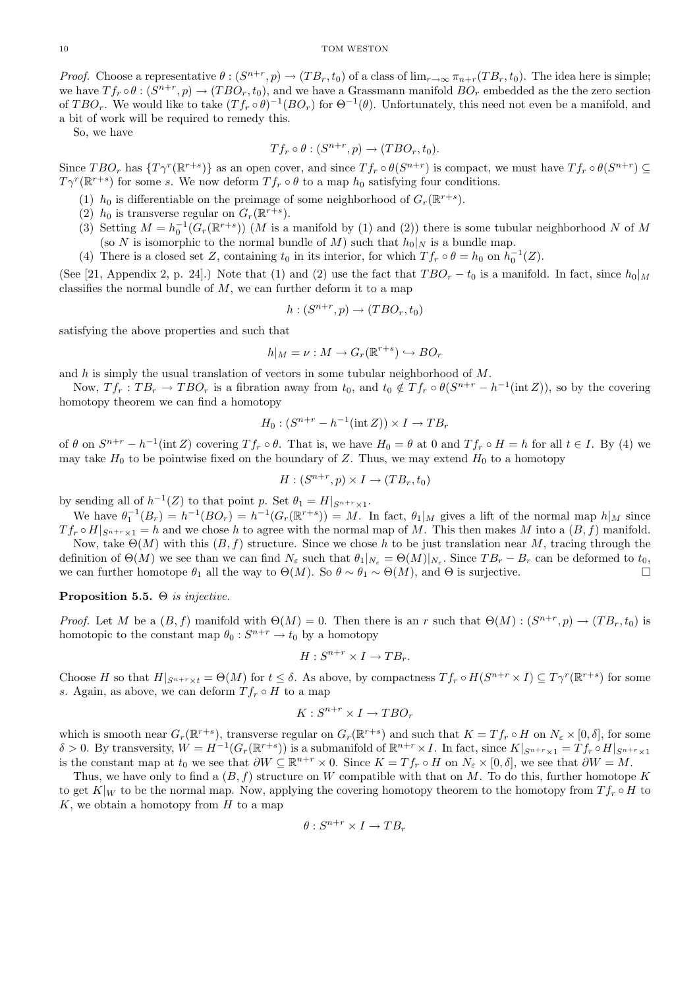*Proof.* Choose a representative  $\theta$ :  $(S^{n+r}, p) \to (TB_r, t_0)$  of a class of  $\lim_{r \to \infty} \pi_{n+r}(TB_r, t_0)$ . The idea here is simple; we have  $Tf_r \circ \theta : (S^{n+r}, p) \to (TBO_r, t_0)$ , and we have a Grassmann manifold  $BO_r$  embedded as the the zero section of  $TBO_r$ . We would like to take  $(Tf_r \circ \theta)^{-1}(BO_r)$  for  $\Theta^{-1}(\theta)$ . Unfortunately, this need not even be a manifold, and a bit of work will be required to remedy this.

So, we have

$$
Tf_r \circ \theta : (S^{n+r}, p) \to (TBO_r, t_0).
$$

Since  $TBO_r$  has  $\{T\gamma^r(\mathbb{R}^{r+s})\}$  as an open cover, and since  $Tf_r \circ \theta(S^{n+r})$  is compact, we must have  $Tf_r \circ \theta(S^{n+r}) \subseteq$  $T\gamma^r(\mathbb{R}^{r+s})$  for some s. We now deform  $Tf_r \circ \theta$  to a map  $h_0$  satisfying four conditions.

- (1)  $h_0$  is differentiable on the preimage of some neighborhood of  $G_r(\mathbb{R}^{r+s})$ .
- (2)  $h_0$  is transverse regular on  $G_r(\mathbb{R}^{r+s})$ .
- (3) Setting  $M = h_0^{-1}(G_r(\mathbb{R}^{r+s}))$   $(M \text{ is a manifold by (1) and (2)})$  there is some tubular neighborhood N of M (so N is isomorphic to the normal bundle of M) such that  $h_0|_N$  is a bundle map.
- (4) There is a closed set Z, containing  $t_0$  in its interior, for which  $T f_r \circ \theta = h_0$  on  $h_0^{-1}(Z)$ .

(See [21, Appendix 2, p. 24].) Note that (1) and (2) use the fact that  $TBO<sub>r</sub> - t<sub>0</sub>$  is a manifold. In fact, since  $h<sub>0</sub>|<sub>M</sub>$ classifies the normal bundle of  $M$ , we can further deform it to a map

$$
h:(S^{n+r},p)\to(TBO_r,t_0)
$$

satisfying the above properties and such that

$$
h|_M = \nu : M \to G_r(\mathbb{R}^{r+s}) \hookrightarrow BO_r
$$

and h is simply the usual translation of vectors in some tubular neighborhood of  $M$ .

Now,  $T f_r : T B_r \to T B O_r$  is a fibration away from  $t_0$ , and  $t_0 \notin T f_r \circ \theta(S^{n+r} - h^{-1}(\text{int } Z))$ , so by the covering homotopy theorem we can find a homotopy

$$
H_0: (S^{n+r} - h^{-1}(\text{int }Z)) \times I \to TB_r
$$

of  $\theta$  on  $S^{n+r} - h^{-1}(\text{int }Z)$  covering  $Tf_r \circ \theta$ . That is, we have  $H_0 = \theta$  at 0 and  $Tf_r \circ H = h$  for all  $t \in I$ . By (4) we may take  $H_0$  to be pointwise fixed on the boundary of Z. Thus, we may extend  $H_0$  to a homotopy

$$
H: (S^{n+r}, p) \times I \to (TB_r, t_0)
$$

by sending all of  $h^{-1}(Z)$  to that point p. Set  $\theta_1 = H|_{S^{n+r}\times 1}$ .

We have  $\theta_1^{-1}(B_r) = h^{-1}(BO_r) = h^{-1}(G_r(\mathbb{R}^{r+s})) = M$ . In fact,  $\theta_1|_M$  gives a lift of the normal map  $h|_M$  since  $T f_r \circ H |_{S^{n+r} \times 1} = h$  and we chose h to agree with the normal map of M. This then makes M into a  $(B, f)$  manifold.

Now, take  $\Theta(M)$  with this  $(B, f)$  structure. Since we chose h to be just translation near M, tracing through the definition of  $\Theta(M)$  we see than we can find  $N_{\varepsilon}$  such that  $\theta_1|_{N_{\varepsilon}} = \Theta(M)|_{N_{\varepsilon}}$ . Since  $TB_r - B_r$  can be deformed to  $t_0$ , we can further homotope  $\theta_1$  all the way to  $\Theta(M)$ . So  $\theta \sim \theta_1 \sim \Theta(M)$ , and  $\Theta$  is surjective.

**Proposition 5.5.**  $\Theta$  is injective.

*Proof.* Let M be a  $(B, f)$  manifold with  $\Theta(M) = 0$ . Then there is an r such that  $\Theta(M) : (S^{n+r}, p) \to (TB_r, t_0)$  is homotopic to the constant map  $\theta_0: S^{n+r} \to t_0$  by a homotopy

$$
H: S^{n+r} \times I \to TB_r.
$$

Choose H so that  $H|_{S^{n+r}\times t} = \Theta(M)$  for  $t \leq \delta$ . As above, by compactness  $Tf_r \circ H(S^{n+r}\times I) \subseteq T\gamma^r(\mathbb{R}^{r+s})$  for some s. Again, as above, we can deform  $T f_r \circ H$  to a map

$$
K: S^{n+r} \times I \to TBO_r
$$

which is smooth near  $G_r(\mathbb{R}^{r+s})$ , transverse regular on  $G_r(\mathbb{R}^{r+s})$  and such that  $K = Tf_r \circ H$  on  $N_\varepsilon \times [0, \delta]$ , for some  $\delta > 0$ . By transversity,  $W = H^{-1}(G_r(\mathbb{R}^{r+s}))$  is a submanifold of  $\mathbb{R}^{n+r} \times I$ . In fact, since  $K|_{S^{n+r} \times 1} = Tf_r \circ H|_{S^{n+r} \times 1}$ is the constant map at  $t_0$  we see that  $\partial W \subseteq \mathbb{R}^{n+r} \times 0$ . Since  $K = Tf_r \circ H$  on  $N_{\varepsilon} \times [0, \delta]$ , we see that  $\partial W = M$ .

Thus, we have only to find a  $(B, f)$  structure on W compatible with that on M. To do this, further homotope K to get  $K|_W$  to be the normal map. Now, applying the covering homotopy theorem to the homotopy from  $T f_r \circ H$  to  $K$ , we obtain a homotopy from  $H$  to a map

$$
\theta: S^{n+r} \times I \to TB_r
$$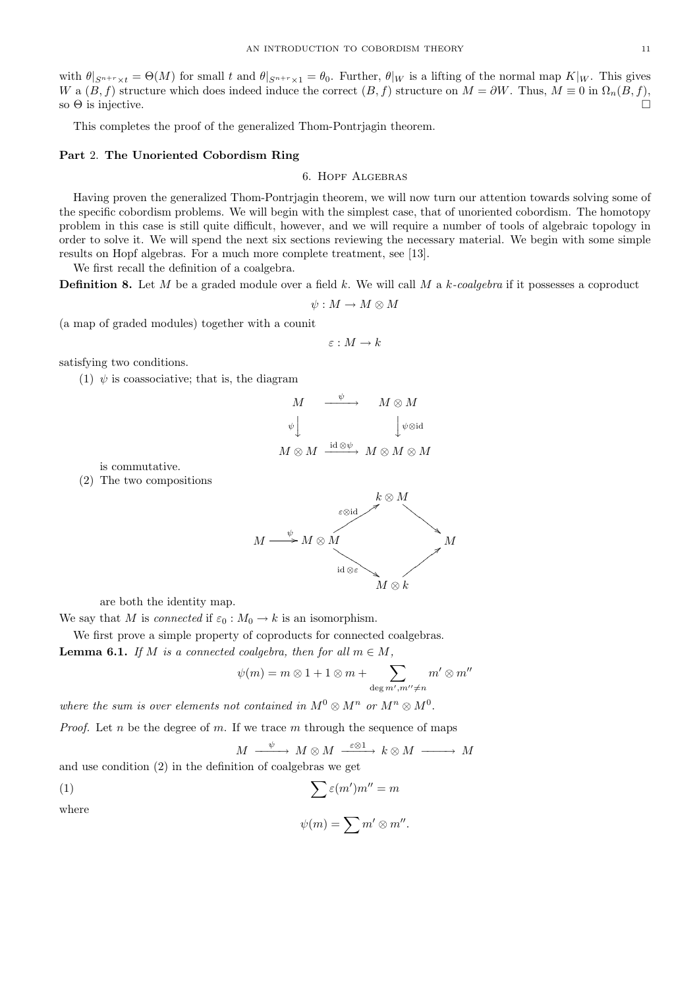with  $\theta|_{S^{n+r}\times t} = \Theta(M)$  for small t and  $\theta|_{S^{n+r}\times 1} = \theta_0$ . Further,  $\theta|_W$  is a lifting of the normal map  $K|_W$ . This gives W a  $(B, f)$  structure which does indeed induce the correct  $(B, f)$  structure on  $M = \partial W$ . Thus,  $M \equiv 0$  in  $\Omega_n(B, f)$ , so  $\Theta$  is injective.

This completes the proof of the generalized Thom-Pontrjagin theorem.

### Part 2. The Unoriented Cobordism Ring

#### 6. Hopf Algebras

Having proven the generalized Thom-Pontrjagin theorem, we will now turn our attention towards solving some of the specific cobordism problems. We will begin with the simplest case, that of unoriented cobordism. The homotopy problem in this case is still quite difficult, however, and we will require a number of tools of algebraic topology in order to solve it. We will spend the next six sections reviewing the necessary material. We begin with some simple results on Hopf algebras. For a much more complete treatment, see [13].

We first recall the definition of a coalgebra.

**Definition 8.** Let M be a graded module over a field k. We will call M a k-coalgebra if it possesses a coproduct

 $\psi: M \to M \otimes M$ 

(a map of graded modules) together with a counit

$$
\varepsilon:M\to k
$$

satisfying two conditions.

(1)  $\psi$  is coassociative; that is, the diagram

$$
\begin{array}{ccc}\nM & \xrightarrow{\psi} & M \otimes M \\
\psi & & \downarrow{\psi \otimes \mathrm{id}} \\
M \otimes M & \xrightarrow{\mathrm{id} \otimes \psi} & M \otimes M \otimes M\n\end{array}
$$

is commutative.

(2) The two compositions



are both the identity map.

We say that M is connected if  $\varepsilon_0 : M_0 \to k$  is an isomorphism.

We first prove a simple property of coproducts for connected coalgebras.

**Lemma 6.1.** If M is a connected coalgebra, then for all  $m \in M$ ,

$$
\psi(m) = m \otimes 1 + 1 \otimes m + \sum_{\deg m', m'' \neq n} m' \otimes m''
$$

where the sum is over elements not contained in  $M^0\otimes M^n$  or  $M^n\otimes M^0$ .

*Proof.* Let n be the degree of m. If we trace m through the sequence of maps

$$
M \xrightarrow{\psi} M \otimes M \xrightarrow{\varepsilon \otimes 1} k \otimes M \xrightarrow{\qquad} M
$$

and use condition (2) in the definition of coalgebras we get

(1) 
$$
\sum \varepsilon(m')m'' = m
$$

where

$$
\psi(m) = \sum m' \otimes m''.
$$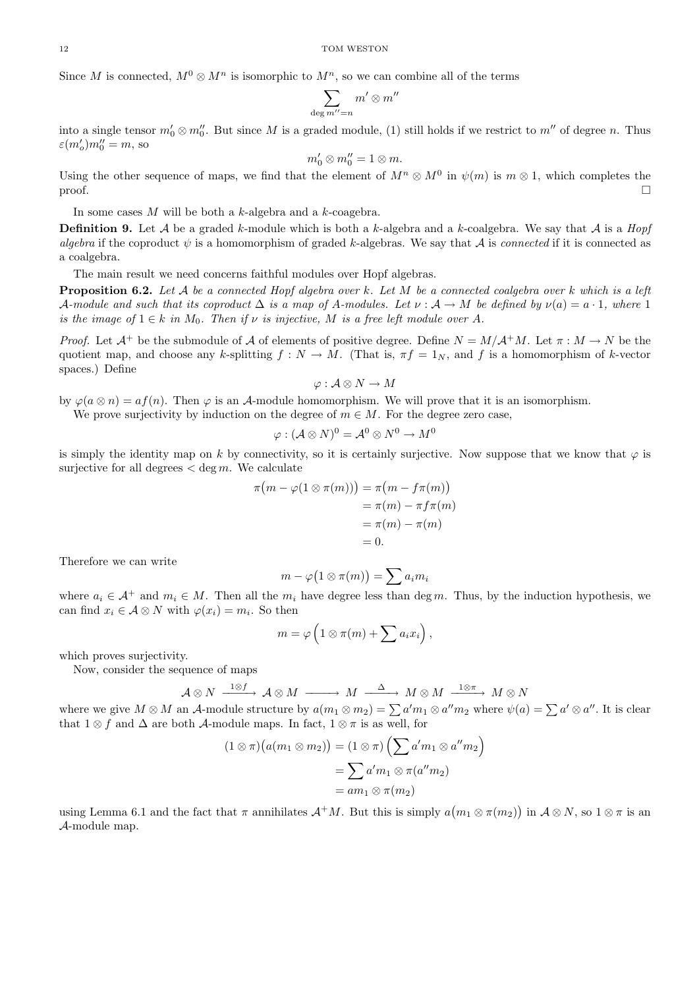Since M is connected,  $M^0 \otimes M^n$  is isomorphic to  $M^n$ , so we can combine all of the terms

$$
\sum_{\deg m''=n} m'\otimes m''
$$

into a single tensor  $m'_0 \otimes m''_0$ . But since M is a graded module, (1) still holds if we restrict to  $m''$  of degree n. Thus  $\varepsilon(m_o')m_0'' = m$ , so

$$
m'_0\otimes m''_0=1\otimes m.
$$

Using the other sequence of maps, we find that the element of  $M^n \otimes M^0$  in  $\psi(m)$  is  $m \otimes 1$ , which completes the  $\Box$ 

In some cases M will be both a k-algebra and a k-coagebra.

**Definition 9.** Let A be a graded k-module which is both a k-algebra and a k-coalgebra. We say that A is a *Hopf* algebra if the coproduct  $\psi$  is a homomorphism of graded k-algebras. We say that A is connected if it is connected as a coalgebra.

The main result we need concerns faithful modules over Hopf algebras.

**Proposition 6.2.** Let A be a connected Hopf algebra over k. Let M be a connected coalgebra over k which is a left A-module and such that its coproduct  $\Delta$  is a map of A-modules. Let  $\nu : \mathcal{A} \to M$  be defined by  $\nu(a) = a \cdot 1$ , where 1 is the image of  $1 \in k$  in  $M_0$ . Then if  $\nu$  is injective, M is a free left module over A.

*Proof.* Let  $A^+$  be the submodule of A of elements of positive degree. Define  $N = M/A^+M$ . Let  $\pi : M \to N$  be the quotient map, and choose any k-splitting  $f : N \to M$ . (That is,  $\pi f = 1_N$ , and f is a homomorphism of k-vector spaces.) Define

 $\varphi: \mathcal{A} \otimes N \to M$ 

by  $\varphi(a \otimes n) = af(n)$ . Then  $\varphi$  is an A-module homomorphism. We will prove that it is an isomorphism.

We prove surjectivity by induction on the degree of  $m \in M$ . For the degree zero case,

$$
\varphi: (\mathcal{A}\otimes N)^0=\mathcal{A}^0\otimes N^0\to M^0
$$

is simply the identity map on k by connectivity, so it is certainly surjective. Now suppose that we know that  $\varphi$  is surjective for all degrees  $\langle \text{deg } m \rangle$ . We calculate

$$
\pi(m - \varphi(1 \otimes \pi(m))) = \pi(m - f\pi(m))
$$
  
=  $\pi(m) - \pi f\pi(m)$   
=  $\pi(m) - \pi(m)$   
= 0.

Therefore we can write

$$
m-\varphi\bigl(1\otimes \pi(m)\bigr)=\sum a_im_i
$$

where  $a_i \in A^+$  and  $m_i \in M$ . Then all the  $m_i$  have degree less than deg m. Thus, by the induction hypothesis, we can find  $x_i \in \mathcal{A} \otimes N$  with  $\varphi(x_i) = m_i$ . So then

$$
m = \varphi\left(1\otimes\pi(m) + \sum a_i x_i\right),\,
$$

which proves surjectivity.

Now, consider the sequence of maps

$$
\mathcal{A}\otimes N\ \xrightarrow{\phantom{A}\mathcal{A}\otimes f\phantom{A}}\mathcal{A}\otimes M\ \xrightarrow{\phantom{A}\mathcal{A}}\quad M\ \xrightarrow{\phantom{A}\mathcal{A}}\quad M\otimes M\ \xrightarrow{\phantom{A}\mathcal{A}\otimes \pi\phantom{A}}\hspace{-.25cm}M\otimes N
$$

where we give  $M \otimes M$  an A-module structure by  $a(m_1 \otimes m_2) = \sum a' m_1 \otimes a'' m_2$  where  $\psi(a) = \sum a' \otimes a''$ . It is clear that  $1 \otimes f$  and  $\Delta$  are both A-module maps. In fact,  $1 \otimes \pi$  is as well, for

$$
(1 \otimes \pi)(a(m_1 \otimes m_2)) = (1 \otimes \pi)\left(\sum a'm_1 \otimes a''m_2\right)
$$

$$
= \sum a'm_1 \otimes \pi(a''m_2)
$$

$$
= am_1 \otimes \pi(m_2)
$$

using Lemma 6.1 and the fact that  $\pi$  annihilates  $\mathcal{A}^+M$ . But this is simply  $a(m_1 \otimes \pi(m_2))$  in  $\mathcal{A} \otimes N$ , so  $1 \otimes \pi$  is an A-module map.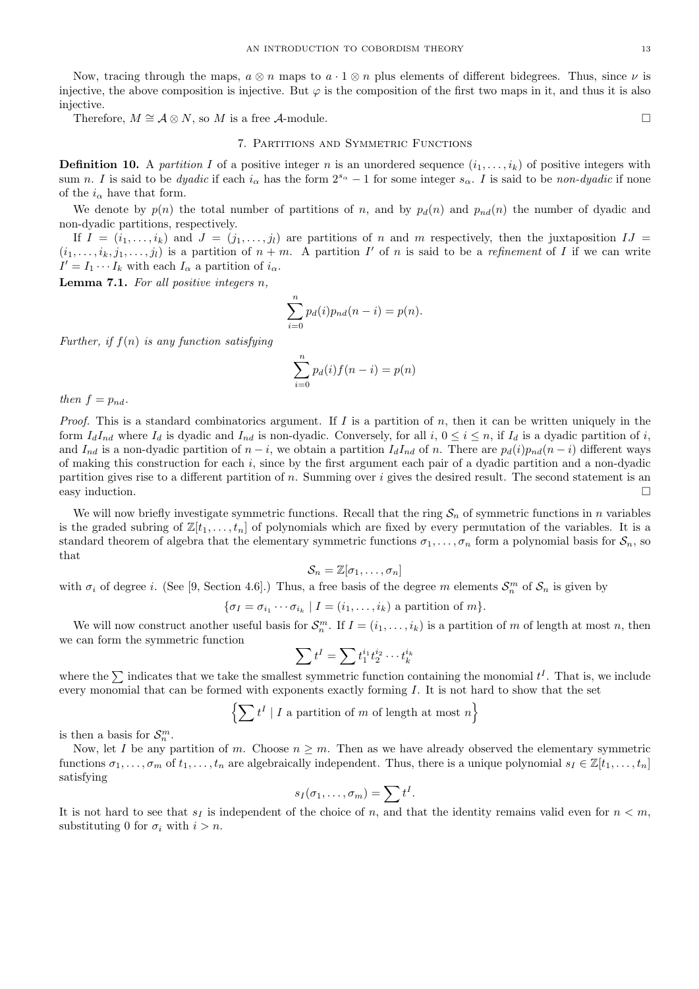Now, tracing through the maps,  $a \otimes n$  maps to  $a \cdot 1 \otimes n$  plus elements of different bidegrees. Thus, since  $\nu$  is injective, the above composition is injective. But  $\varphi$  is the composition of the first two maps in it, and thus it is also injective.

Therefore,  $M \cong A \otimes N$ , so M is a free A-module.

### 7. Partitions and Symmetric Functions

**Definition 10.** A partition I of a positive integer n is an unordered sequence  $(i_1, \ldots, i_k)$  of positive integers with sum n. I is said to be dyadic if each  $i_{\alpha}$  has the form  $2^{s_{\alpha}} - 1$  for some integer  $s_{\alpha}$ . I is said to be non-dyadic if none of the  $i_\alpha$  have that form.

We denote by  $p(n)$  the total number of partitions of n, and by  $p_d(n)$  and  $p_{nd}(n)$  the number of dyadic and non-dyadic partitions, respectively.

If  $I = (i_1, \ldots, i_k)$  and  $J = (j_1, \ldots, j_l)$  are partitions of n and m respectively, then the juxtaposition  $IJ =$  $(i_1, \ldots, i_k, j_1, \ldots, j_l)$  is a partition of  $n + m$ . A partition I' of n is said to be a refinement of I if we can write  $I' = I_1 \cdots I_k$  with each  $I_\alpha$  a partition of  $i_\alpha$ .

**Lemma 7.1.** For all positive integers  $n$ ,

$$
\sum_{i=0}^{n} p_d(i)p_{nd}(n-i) = p(n).
$$

Further, if  $f(n)$  is any function satisfying

$$
\sum_{i=0}^{n} p_d(i) f(n-i) = p(n)
$$

then  $f = p_{nd}$ .

*Proof.* This is a standard combinatorics argument. If I is a partition of  $n$ , then it can be written uniquely in the form  $I_dI_{nd}$  where  $I_d$  is dyadic and  $I_{nd}$  is non-dyadic. Conversely, for all i,  $0 \le i \le n$ , if  $I_d$  is a dyadic partition of i, and  $I_{nd}$  is a non-dyadic partition of  $n-i$ , we obtain a partition  $I_dI_{nd}$  of n. There are  $p_d(i)p_{nd}(n-i)$  different ways of making this construction for each i, since by the first argument each pair of a dyadic partition and a non-dyadic partition gives rise to a different partition of n. Summing over  $i$  gives the desired result. The second statement is an easy induction.

We will now briefly investigate symmetric functions. Recall that the ring  $S_n$  of symmetric functions in n variables is the graded subring of  $\mathbb{Z}[t_1,\ldots,t_n]$  of polynomials which are fixed by every permutation of the variables. It is a standard theorem of algebra that the elementary symmetric functions  $\sigma_1, \ldots, \sigma_n$  form a polynomial basis for  $S_n$ , so that

$$
\mathcal{S}_n = \mathbb{Z}[\sigma_1,\ldots,\sigma_n]
$$

with  $\sigma_i$  of degree i. (See [9, Section 4.6].) Thus, a free basis of the degree m elements  $\mathcal{S}_n^m$  of  $\mathcal{S}_n$  is given by

$$
\{\sigma_I = \sigma_{i_1} \cdots \sigma_{i_k} \mid I = (i_1, \ldots, i_k) \text{ a partition of } m\}.
$$

We will now construct another useful basis for  $\mathcal{S}_n^m$ . If  $I = (i_1, \ldots, i_k)$  is a partition of m of length at most n, then we can form the symmetric function

$$
\sum t^I = \sum t_1^{i_1} t_2^{i_2} \cdots t_k^{i_k}
$$

where the  $\Sigma$  indicates that we take the smallest symmetric function containing the monomial  $t^I$ . That is, we include every monomial that can be formed with exponents exactly forming  $I$ . It is not hard to show that the set

$$
\left\{ \sum t^I \mid I \text{ a partition of } m \text{ of length at most } n \right\}
$$

is then a basis for  $\mathcal{S}_n^m$ .

Now, let I be any partition of m. Choose  $n \geq m$ . Then as we have already observed the elementary symmetric functions  $\sigma_1, \ldots, \sigma_m$  of  $t_1, \ldots, t_n$  are algebraically independent. Thus, there is a unique polynomial  $s_I \in \mathbb{Z}[t_1, \ldots, t_n]$ satisfying

$$
s_I(\sigma_1,\ldots,\sigma_m)=\sum t^I.
$$

It is not hard to see that  $s_I$  is independent of the choice of n, and that the identity remains valid even for  $n < m$ , substituting 0 for  $\sigma_i$  with  $i > n$ .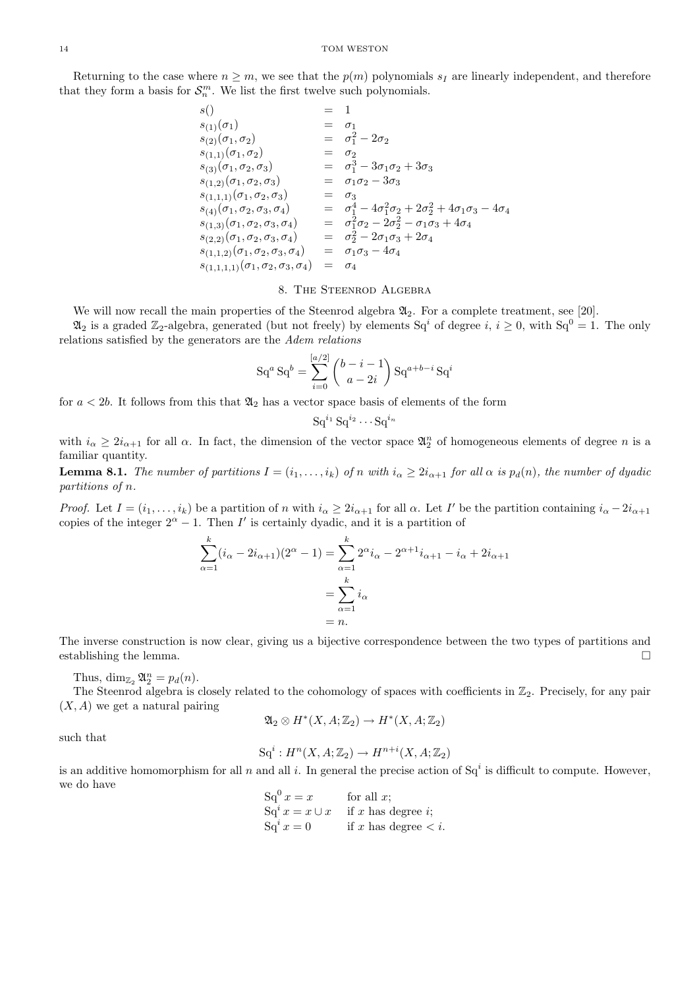Returning to the case where  $n \geq m$ , we see that the  $p(m)$  polynomials  $s<sub>I</sub>$  are linearly independent, and therefore that they form a basis for  $\mathcal{S}_n^m$ . We list the first twelve such polynomials.

$$
s( ) = 1\ns_{(1)}(\sigma_1) = \sigma_1\ns_{(2)}(\sigma_1, \sigma_2) = \sigma_1^2 - 2\sigma_2\ns_{(1,1)}(\sigma_1, \sigma_2) = \sigma_2\ns_{(3)}(\sigma_1, \sigma_2, \sigma_3) = \sigma_1^3 - 3\sigma_1\sigma_2 + 3\sigma_3\ns_{(1,2)}(\sigma_1, \sigma_2, \sigma_3) = \sigma_1\sigma_2 - 3\sigma_3\ns_{(1,1,1)}(\sigma_1, \sigma_2, \sigma_3) = \sigma_3\ns_{(4)}(\sigma_1, \sigma_2, \sigma_3, \sigma_4) = \sigma_1^4 - 4\sigma_1^2\sigma_2 + 2\sigma_2^2 + 4\sigma_1\sigma_3 - 4\sigma_4\ns_{(1,3)}(\sigma_1, \sigma_2, \sigma_3, \sigma_4) = \sigma_1^2\sigma_2 - 2\sigma_2^2 - \sigma_1\sigma_3 + 4\sigma_4\ns_{(2,2)}(\sigma_1, \sigma_2, \sigma_3, \sigma_4) = \sigma_2^2 - 2\sigma_1\sigma_3 + 2\sigma_4\ns_{(1,1,2)}(\sigma_1, \sigma_2, \sigma_3, \sigma_4) = \sigma_1\sigma_3 - 4\sigma_4\ns_{(1,1,1,1)}(\sigma_1, \sigma_2, \sigma_3, \sigma_4) = \sigma_4
$$

## 8. The Steenrod Algebra

We will now recall the main properties of the Steenrod algebra  $\mathfrak{A}_2$ . For a complete treatment, see [20].

 $\mathfrak{A}_2$  is a graded  $\mathbb{Z}_2$ -algebra, generated (but not freely) by elements Sq<sup>i</sup> of degree i, i  $\geq 0$ , with Sq<sup>0</sup> = 1. The only relations satisfied by the generators are the Adem relations

$$
Sq^{a} Sq^{b} = \sum_{i=0}^{[a/2]} {b-i-1 \choose a-2i} Sq^{a+b-i} Sq^{i}
$$

for  $a < 2b$ . It follows from this that  $\mathfrak{A}_2$  has a vector space basis of elements of the form

$$
\mathrm{Sq}^{i_1} \mathrm{Sq}^{i_2} \cdots \mathrm{Sq}^{i_n}
$$

with  $i_{\alpha} \geq 2i_{\alpha+1}$  for all  $\alpha$ . In fact, the dimension of the vector space  $\mathfrak{A}_2^n$  of homogeneous elements of degree n is a familiar quantity.

**Lemma 8.1.** The number of partitions  $I = (i_1, \ldots, i_k)$  of n with  $i_\alpha \geq 2i_{\alpha+1}$  for all  $\alpha$  is  $p_d(n)$ , the number of dyadic partitions of n.

*Proof.* Let  $I = (i_1, \ldots, i_k)$  be a partition of n with  $i_\alpha \geq 2i_{\alpha+1}$  for all  $\alpha$ . Let I' be the partition containing  $i_\alpha - 2i_{\alpha+1}$ copies of the integer  $2^{\alpha} - 1$ . Then I' is certainly dyadic, and it is a partition of

$$
\sum_{\alpha=1}^{k} (i_{\alpha} - 2i_{\alpha+1})(2^{\alpha} - 1) = \sum_{\alpha=1}^{k} 2^{\alpha} i_{\alpha} - 2^{\alpha+1} i_{\alpha+1} - i_{\alpha} + 2i_{\alpha+1}
$$

$$
= \sum_{\alpha=1}^{k} i_{\alpha}
$$

$$
= n.
$$

The inverse construction is now clear, giving us a bijective correspondence between the two types of partitions and establishing the lemma.  $\square$ 

Thus,  $\dim_{\mathbb{Z}_2} \mathfrak{A}_2^n = p_d(n)$ .

The Steenrod algebra is closely related to the cohomology of spaces with coefficients in  $\mathbb{Z}_2$ . Precisely, for any pair  $(X, A)$  we get a natural pairing

$$
\mathfrak{A}_2\otimes H^*(X,A;\mathbb{Z}_2)\to H^*(X,A;\mathbb{Z}_2)
$$

such that

$$
\mathrm{Sq}^i: H^n(X, A; \mathbb{Z}_2) \to H^{n+i}(X, A; \mathbb{Z}_2)
$$

is an additive homomorphism for all n and all i. In general the precise action of  $Sq<sup>i</sup>$  is difficult to compute. However, we do have  $\sim 0$ 

$$
Sq^{0} x = x \t\t for all x;\nSq^{i} x = x \cup x \t\t if x has degree i;\nSq^{i} x = 0 \t\t\t if x has degree < i.
$$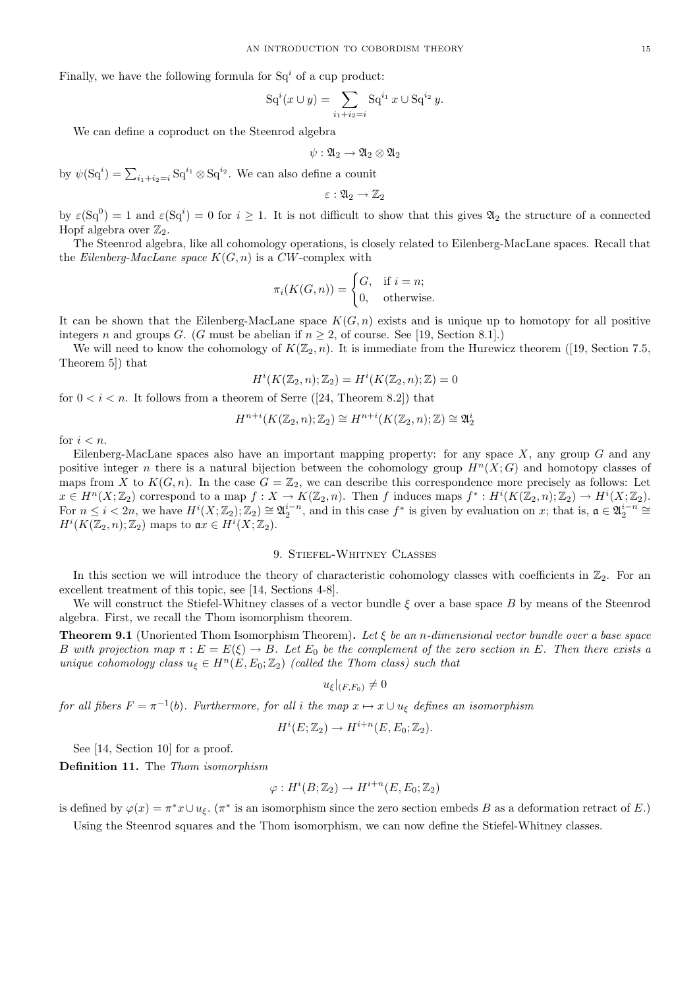Finally, we have the following formula for  $Sq<sup>i</sup>$  of a cup product:

$$
\mathrm{Sq}^i(x\cup y)=\sum_{i_1+i_2=i}\mathrm{Sq}^{i_1}\,x\cup\mathrm{Sq}^{i_2}\,y.
$$

We can define a coproduct on the Steenrod algebra

$$
\psi:\mathfrak{A}_2\to\mathfrak{A}_2\otimes\mathfrak{A}_2
$$

by  $\psi(\mathrm{Sq}^i) = \sum_{i_1+i_2=i} \mathrm{Sq}^{i_1} \otimes \mathrm{Sq}^{i_2}$ . We can also define a counit

$$
\varepsilon:\mathfrak{A}_2\to\mathbb{Z}_2
$$

by  $\varepsilon(Sq^0) = 1$  and  $\varepsilon(Sq^i) = 0$  for  $i \ge 1$ . It is not difficult to show that this gives  $\mathfrak{A}_2$  the structure of a connected Hopf algebra over  $\mathbb{Z}_2$ .

The Steenrod algebra, like all cohomology operations, is closely related to Eilenberg-MacLane spaces. Recall that the Eilenberg-MacLane space  $K(G, n)$  is a CW-complex with

$$
\pi_i(K(G, n)) = \begin{cases} G, & \text{if } i = n; \\ 0, & \text{otherwise.} \end{cases}
$$

It can be shown that the Eilenberg-MacLane space  $K(G, n)$  exists and is unique up to homotopy for all positive integers n and groups G. (G must be abelian if  $n \geq 2$ , of course. See [19, Section 8.1].)

We will need to know the cohomology of  $K(\mathbb{Z}_2, n)$ . It is immediate from the Hurewicz theorem ([19, Section 7.5, Theorem 5]) that

$$
H^i(K(\mathbb{Z}_2, n);\mathbb{Z}_2) = H^i(K(\mathbb{Z}_2, n);\mathbb{Z}) = 0
$$

for  $0 < i < n$ . It follows from a theorem of Serre ([24, Theorem 8.2]) that

$$
H^{n+i}(K(\mathbb{Z}_2,n);\mathbb{Z}_2) \cong H^{n+i}(K(\mathbb{Z}_2,n);\mathbb{Z}) \cong \mathfrak{A}_2^i
$$

for  $i < n$ .

Eilenberg-MacLane spaces also have an important mapping property: for any space  $X$ , any group  $G$  and any positive integer n there is a natural bijection between the cohomology group  $H<sup>n</sup>(X; G)$  and homotopy classes of maps from X to  $K(G, n)$ . In the case  $G = \mathbb{Z}_2$ , we can describe this correspondence more precisely as follows: Let  $x \in H^{n}(X; \mathbb{Z}_{2})$  correspond to a map  $f: X \to K(\mathbb{Z}_{2}, n)$ . Then f induces maps  $f^{*}: H^{i}(K(\mathbb{Z}_{2}, n); \mathbb{Z}_{2}) \to H^{i}(X; \mathbb{Z}_{2})$ . For  $n \leq i < 2n$ , we have  $H^{i}(X; \mathbb{Z}_2); \mathbb{Z}_2 \cong \mathfrak{A}_2^{i-n}$ , and in this case  $f^*$  is given by evaluation on x; that is,  $\mathfrak{a} \in \mathfrak{A}_2^{i-n} \cong$  $H^{i}(K(\mathbb{Z}_2,n);\mathbb{Z}_2)$  maps to  $ax \in H^{i}(X;\mathbb{Z}_2)$ .

## 9. Stiefel-Whitney Classes

In this section we will introduce the theory of characteristic cohomology classes with coefficients in  $\mathbb{Z}_2$ . For an excellent treatment of this topic, see [14, Sections 4-8].

We will construct the Stiefel-Whitney classes of a vector bundle  $\xi$  over a base space B by means of the Steenrod algebra. First, we recall the Thom isomorphism theorem.

**Theorem 9.1** (Unoriented Thom Isomorphism Theorem). Let  $\xi$  be an n-dimensional vector bundle over a base space B with projection map  $\pi : E = E(\xi) \to B$ . Let  $E_0$  be the complement of the zero section in E. Then there exists a unique cohomology class  $u_{\xi} \in H^{n}(E, E_0; \mathbb{Z}_2)$  (called the Thom class) such that

$$
u_{\xi}|_{(F,F_0)}\neq 0
$$

for all fibers  $F = \pi^{-1}(b)$ . Furthermore, for all i the map  $x \mapsto x \cup u_{\xi}$  defines an isomorphism

$$
H^i(E; \mathbb{Z}_2) \to H^{i+n}(E, E_0; \mathbb{Z}_2).
$$

See [14, Section 10] for a proof.

Definition 11. The Thom isomorphism

$$
\varphi: H^i(B; \mathbb{Z}_2) \to H^{i+n}(E, E_0; \mathbb{Z}_2)
$$

is defined by  $\varphi(x) = \pi^* x \cup u_{\xi}$ . ( $\pi^*$  is an isomorphism since the zero section embeds B as a deformation retract of E.)

Using the Steenrod squares and the Thom isomorphism, we can now define the Stiefel-Whitney classes.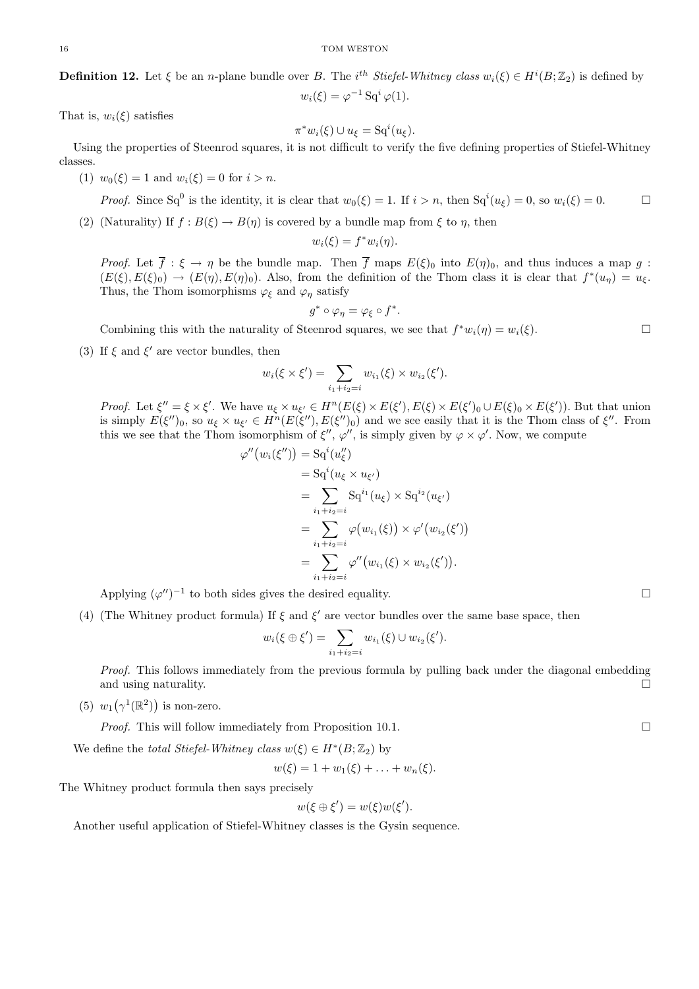**Definition 12.** Let  $\xi$  be an *n*-plane bundle over B. The i<sup>th</sup> Stiefel-Whitney class  $w_i(\xi) \in H^i(B; \mathbb{Z}_2)$  is defined by

$$
w_i(\xi) = \varphi^{-1} \operatorname{Sq}^i \varphi(1).
$$

That is,  $w_i(\xi)$  satisfies

$$
\pi^* w_i(\xi) \cup u_{\xi} = \mathrm{Sq}^i(u_{\xi}).
$$

Using the properties of Steenrod squares, it is not difficult to verify the five defining properties of Stiefel-Whitney classes.

(1) 
$$
w_0(\xi) = 1
$$
 and  $w_i(\xi) = 0$  for  $i > n$ .

*Proof.* Since  $Sq^0$  is the identity, it is clear that  $w_0(\xi) = 1$ . If  $i > n$ , then  $Sq^i(u_{\xi}) = 0$ , so  $w_i(\xi) = 0$ .

(2) (Naturality) If  $f : B(\xi) \to B(\eta)$  is covered by a bundle map from  $\xi$  to  $\eta$ , then

$$
w_i(\xi) = f^* w_i(\eta).
$$

*Proof.* Let  $\overline{f}$  :  $\xi \to \eta$  be the bundle map. Then  $\overline{f}$  maps  $E(\xi)_0$  into  $E(\eta)_0$ , and thus induces a map g :  $(E(\xi), E(\xi)_0) \to (E(\eta), E(\eta)_0)$ . Also, from the definition of the Thom class it is clear that  $f^*(u_\eta) = u_\xi$ . Thus, the Thom isomorphisms  $\varphi_{\xi}$  and  $\varphi_{\eta}$  satisfy

$$
g^*\circ \varphi_\eta=\varphi_\xi\circ f^*.
$$

Combining this with the naturality of Steenrod squares, we see that  $f^*w_i(\eta) = w_i(\xi)$ .

(3) If  $\xi$  and  $\xi'$  are vector bundles, then

$$
w_i(\xi \times \xi') = \sum_{i_1 + i_2 = i} w_{i_1}(\xi) \times w_{i_2}(\xi').
$$

Proof. Let  $\xi'' = \xi \times \xi'$ . We have  $u_{\xi} \times u_{\xi'} \in H^n(E(\xi) \times E(\xi'), E(\xi) \times E(\xi')_0 \cup E(\xi)_0 \times E(\xi')$ ). But that union is simply  $E(\xi'')_0$ , so  $u_{\xi} \times u_{\xi'} \in H^n(E(\xi''), E(\xi'')_0)$  and we see easily that it is the Thom class of  $\xi''$ . From this we see that the Thom isomorphism of  $\xi''$ ,  $\varphi''$ , is simply given by  $\varphi \times \varphi'$ . Now, we compute

$$
\varphi''(w_i(\xi'')) = \mathrm{Sq}^i(u'_{\xi})
$$
  
= 
$$
\mathrm{Sq}^i(u_{\xi} \times u_{\xi'})
$$
  
= 
$$
\sum_{i_1+i_2=i} \mathrm{Sq}^{i_1}(u_{\xi}) \times \mathrm{Sq}^{i_2}(u_{\xi'})
$$
  
= 
$$
\sum_{i_1+i_2=i} \varphi(w_{i_1}(\xi)) \times \varphi'(w_{i_2}(\xi'))
$$
  
= 
$$
\sum_{i_1+i_2=i} \varphi''(w_{i_1}(\xi) \times w_{i_2}(\xi')).
$$

Applying  $(\varphi'')^{-1}$  to both sides gives the desired equality.

(4) (The Whitney product formula) If  $\xi$  and  $\xi'$  are vector bundles over the same base space, then

$$
w_i(\xi \oplus \xi') = \sum_{i_1 + i_2 = i} w_{i_1}(\xi) \cup w_{i_2}(\xi').
$$

Proof. This follows immediately from the previous formula by pulling back under the diagonal embedding and using naturality.

(5)  $w_1(\gamma^1(\mathbb{R}^2))$  is non-zero.

*Proof.* This will follow immediately from Proposition 10.1.

We define the *total Stiefel-Whitney class*  $w(\xi) \in H^*(B; \mathbb{Z}_2)$  by

$$
w(\xi) = 1 + w_1(\xi) + \ldots + w_n(\xi).
$$

The Whitney product formula then says precisely

$$
w(\xi \oplus \xi') = w(\xi)w(\xi').
$$

Another useful application of Stiefel-Whitney classes is the Gysin sequence.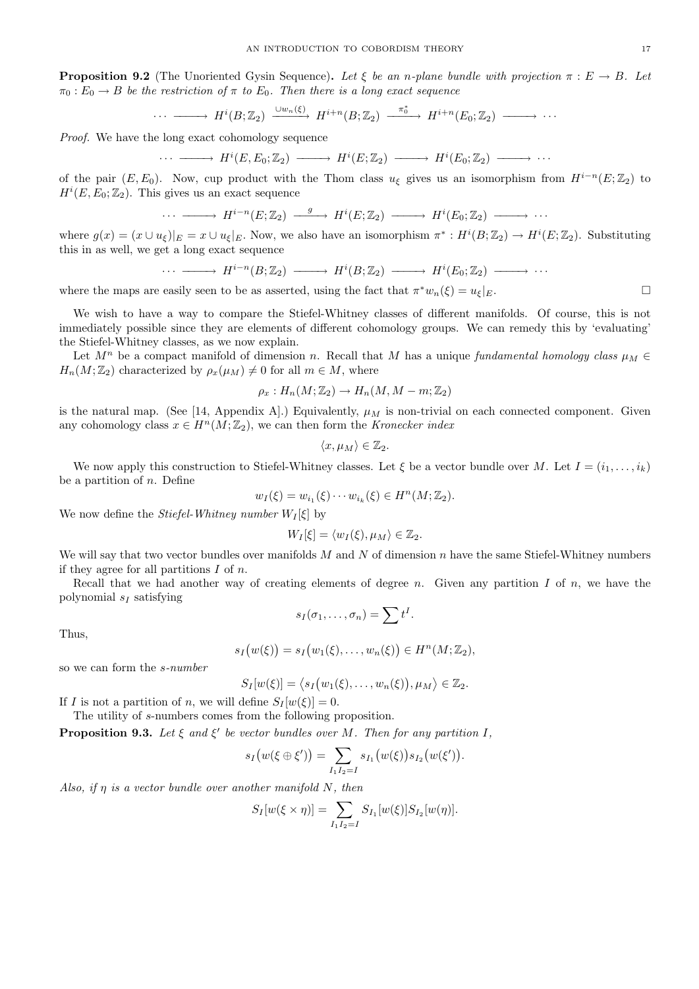**Proposition 9.2** (The Unoriented Gysin Sequence). Let  $\xi$  be an n-plane bundle with projection  $\pi : E \to B$ . Let  $\pi_0 : E_0 \to B$  be the restriction of  $\pi$  to  $E_0$ . Then there is a long exact sequence

$$
\cdots \longrightarrow H^{i}(B;\mathbb{Z}_{2}) \xrightarrow{\cup w_{n}(\xi)} H^{i+n}(B;\mathbb{Z}_{2}) \xrightarrow{\pi_{0}^{*}} H^{i+n}(E_{0};\mathbb{Z}_{2}) \longrightarrow \cdots
$$

Proof. We have the long exact cohomology sequence

$$
\cdots \longrightarrow H^{i}(E, E_{0}; \mathbb{Z}_{2}) \longrightarrow H^{i}(E; \mathbb{Z}_{2}) \longrightarrow H^{i}(E_{0}; \mathbb{Z}_{2}) \longrightarrow \cdots
$$

of the pair  $(E, E_0)$ . Now, cup product with the Thom class  $u_{\xi}$  gives us an isomorphism from  $H^{i-n}(E; \mathbb{Z}_2)$  to  $H^i(E, E_0; \mathbb{Z}_2)$ . This gives us an exact sequence

$$
\cdots \longrightarrow H^{i-n}(E;\mathbb{Z}_2) \longrightarrow H^i(E;\mathbb{Z}_2) \longrightarrow H^i(E_0;\mathbb{Z}_2) \longrightarrow \cdots
$$

where  $g(x) = (x \cup u_{\xi})|_{E} = x \cup u_{\xi}|_{E}$ . Now, we also have an isomorphism  $\pi^* : H^{i}(B; \mathbb{Z}_2) \to H^{i}(E; \mathbb{Z}_2)$ . Substituting this in as well, we get a long exact sequence

$$
\cdots \longrightarrow H^{i-n}(B;\mathbb{Z}_2) \longrightarrow H^i(B;\mathbb{Z}_2) \longrightarrow H^i(E_0;\mathbb{Z}_2) \longrightarrow \cdots
$$

where the maps are easily seen to be as asserted, using the fact that  $\pi^* w_n(\xi) = u_{\xi}|_E$ .

We wish to have a way to compare the Stiefel-Whitney classes of different manifolds. Of course, this is not immediately possible since they are elements of different cohomology groups. We can remedy this by 'evaluating' the Stiefel-Whitney classes, as we now explain.

Let  $M^n$  be a compact manifold of dimension n. Recall that M has a unique fundamental homology class  $\mu_M \in$  $H_n(M;\mathbb{Z}_2)$  characterized by  $\rho_x(\mu_M) \neq 0$  for all  $m \in M$ , where

$$
\rho_x: H_n(M; \mathbb{Z}_2) \to H_n(M, M-m; \mathbb{Z}_2)
$$

is the natural map. (See [14, Appendix A].) Equivalently,  $\mu_M$  is non-trivial on each connected component. Given any cohomology class  $x \in H^{n}(M; \mathbb{Z}_2)$ , we can then form the Kronecker index

$$
\langle x, \mu_M \rangle \in \mathbb{Z}_2.
$$

We now apply this construction to Stiefel-Whitney classes. Let  $\xi$  be a vector bundle over M. Let  $I = (i_1, \ldots, i_k)$ be a partition of  $n$ . Define

$$
w_I(\xi) = w_{i_1}(\xi) \cdots w_{i_k}(\xi) \in H^n(M; \mathbb{Z}_2).
$$

We now define the *Stiefel-Whitney number*  $W_I[\xi]$  by

$$
W_I[\xi] = \langle w_I(\xi), \mu_M \rangle \in \mathbb{Z}_2.
$$

We will say that two vector bundles over manifolds  $M$  and  $N$  of dimension  $n$  have the same Stiefel-Whitney numbers if they agree for all partitions  $I$  of  $n$ .

Recall that we had another way of creating elements of degree n. Given any partition  $I$  of n, we have the polynomial  $s_I$  satisfying

$$
s_I(\sigma_1,\ldots,\sigma_n)=\sum t^I
$$

.

Thus,

$$
s_I\big(w(\xi)\big) = s_I\big(w_1(\xi),\ldots,w_n(\xi)\big) \in H^n(M;\mathbb{Z}_2),
$$

so we can form the s-number

$$
S_I[w(\xi)] = \langle s_I(w_1(\xi), \ldots, w_n(\xi)), \mu_M \rangle \in \mathbb{Z}_2.
$$

If I is not a partition of n, we will define  $S_I[w(\xi)]=0$ .

The utility of s-numbers comes from the following proposition.

**Proposition 9.3.** Let  $\xi$  and  $\xi'$  be vector bundles over M. Then for any partition I,

$$
s_I(w(\xi \oplus \xi')) = \sum_{I_1 I_2 = I} s_{I_1}(w(\xi)) s_{I_2}(w(\xi')).
$$

Also, if  $\eta$  is a vector bundle over another manifold N, then

$$
S_I[w(\xi \times \eta)] = \sum_{I_1 I_2 = I} S_{I_1}[w(\xi)] S_{I_2}[w(\eta)].
$$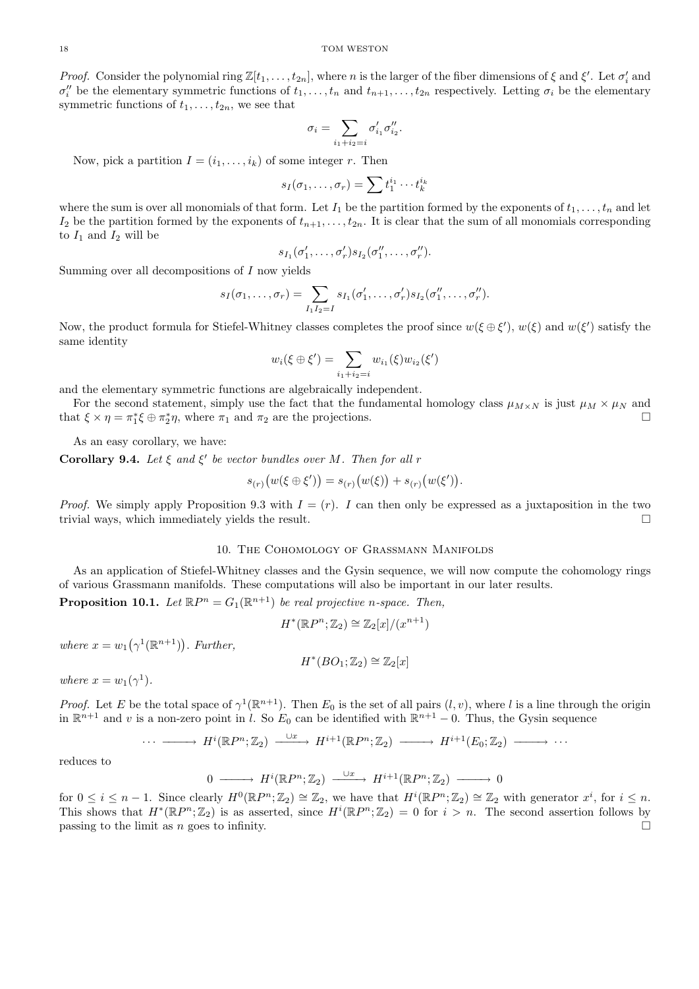*Proof.* Consider the polynomial ring  $\mathbb{Z}[t_1,\ldots,t_{2n}]$ , where n is the larger of the fiber dimensions of  $\xi$  and  $\xi'$ . Let  $\sigma'_i$  and  $\sigma''_i$  be the elementary symmetric functions of  $t_1, \ldots, t_n$  and  $t_{n+1}, \ldots, t_{2n}$  respectively. Letting  $\sigma_i$  be the elementary symmetric functions of  $t_1, \ldots, t_{2n}$ , we see that

$$
\sigma_i = \sum_{i_1+i_2=i} \sigma_{i_1}' \sigma_{i_2}''.
$$

Now, pick a partition  $I = (i_1, \ldots, i_k)$  of some integer r. Then

$$
s_I(\sigma_1,\ldots,\sigma_r)=\sum t_1^{i_1}\cdots t_k^{i_k}
$$

where the sum is over all monomials of that form. Let  $I_1$  be the partition formed by the exponents of  $t_1, \ldots, t_n$  and let  $I_2$  be the partition formed by the exponents of  $t_{n+1}, \ldots, t_{2n}$ . It is clear that the sum of all monomials corresponding to  $I_1$  and  $I_2$  will be

$$
s_{I_1}(\sigma'_1,\ldots,\sigma'_r)s_{I_2}(\sigma''_1,\ldots,\sigma''_r).
$$

Summing over all decompositions of I now yields

$$
s_I(\sigma_1,\ldots,\sigma_r)=\sum_{I_1I_2=I}s_{I_1}(\sigma'_1,\ldots,\sigma'_r)s_{I_2}(\sigma''_1,\ldots,\sigma''_r).
$$

Now, the product formula for Stiefel-Whitney classes completes the proof since  $w(\xi \oplus \xi')$ ,  $w(\xi)$  and  $w(\xi')$  satisfy the same identity

$$
w_i(\xi \oplus \xi') = \sum_{i_1 + i_2 = i} w_{i_1}(\xi) w_{i_2}(\xi')
$$

and the elementary symmetric functions are algebraically independent.

For the second statement, simply use the fact that the fundamental homology class  $\mu_{M\times N}$  is just  $\mu_M \times \mu_N$  and that  $\xi \times \eta = \pi_1^* \xi \oplus \pi_2^* \eta$ , where  $\pi_1$  and  $\pi_2$  are the projections.

As an easy corollary, we have:

Corollary 9.4. Let  $\xi$  and  $\xi'$  be vector bundles over M. Then for all r

$$
s_{(r)}(w(\xi \oplus \xi')) = s_{(r)}(w(\xi)) + s_{(r)}(w(\xi')).
$$

*Proof.* We simply apply Proposition 9.3 with  $I = (r)$ . I can then only be expressed as a juxtaposition in the two trivial ways, which immediately yields the result.

### 10. The Cohomology of Grassmann Manifolds

As an application of Stiefel-Whitney classes and the Gysin sequence, we will now compute the cohomology rings of various Grassmann manifolds. These computations will also be important in our later results.

**Proposition 10.1.** Let  $\mathbb{R}P^n = G_1(\mathbb{R}^{n+1})$  be real projective n-space. Then,

$$
H^*(\mathbb{R}P^n; \mathbb{Z}_2) \cong \mathbb{Z}_2[x]/(x^{n+1})
$$

where  $x = w_1(\gamma^1(\mathbb{R}^{n+1}))$ . Further,

$$
H^*(BO_1; \mathbb{Z}_2) \cong \mathbb{Z}_2[x]
$$

where  $x = w_1(\gamma^1)$ .

*Proof.* Let E be the total space of  $\gamma^1(\mathbb{R}^{n+1})$ . Then  $E_0$  is the set of all pairs  $(l, v)$ , where l is a line through the origin in  $\mathbb{R}^{n+1}$  and v is a non-zero point in l. So  $E_0$  can be identified with  $\mathbb{R}^{n+1} - 0$ . Thus, the Gysin sequence

$$
\cdots \longrightarrow H^i(\mathbb{R}P^n;\mathbb{Z}_2) \longrightarrow H^{i+1}(\mathbb{R}P^n;\mathbb{Z}_2) \longrightarrow H^{i+1}(E_0;\mathbb{Z}_2) \longrightarrow \cdots
$$

reduces to

$$
0 \longrightarrow H^{i}(\mathbb{R}P^{n};\mathbb{Z}_{2}) \longrightarrow H^{i+1}(\mathbb{R}P^{n};\mathbb{Z}_{2}) \longrightarrow 0
$$

for  $0 \leq i \leq n-1$ . Since clearly  $H^0(\mathbb{R}P^n;\mathbb{Z}_2) \cong \mathbb{Z}_2$ , we have that  $H^i(\mathbb{R}P^n;\mathbb{Z}_2) \cong \mathbb{Z}_2$  with generator  $x^i$ , for  $i \leq n$ . This shows that  $H^*(\mathbb{R}P^n;\mathbb{Z}_2)$  is as asserted, since  $H^i(\mathbb{R}P^n;\mathbb{Z}_2) = 0$  for  $i > n$ . The second assertion follows by passing to the limit as n goes to infinity.  $\square$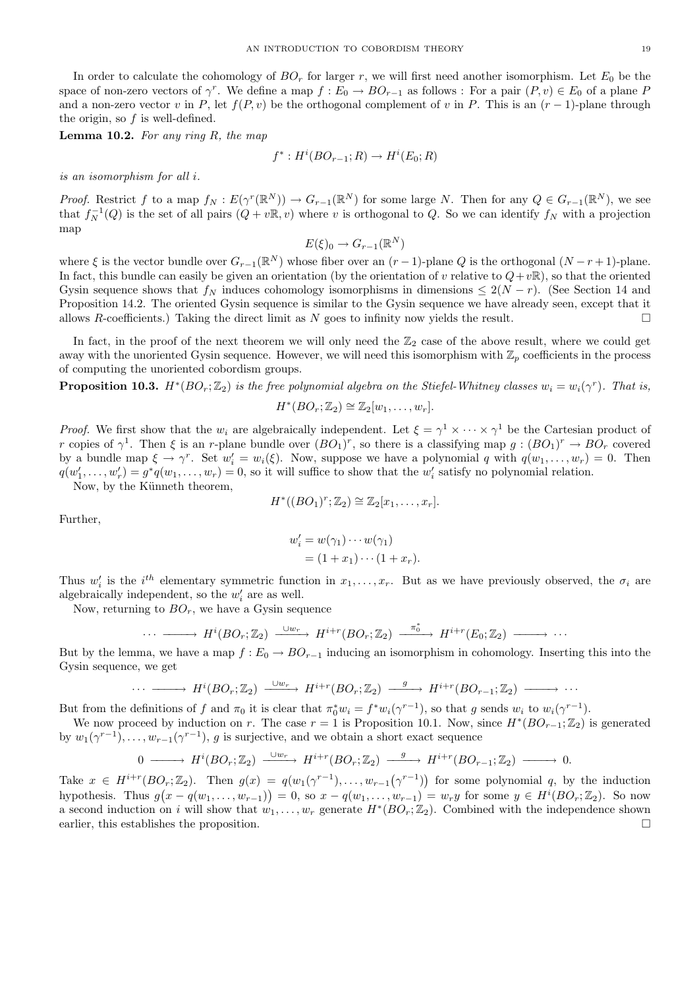In order to calculate the cohomology of  $BO<sub>r</sub>$  for larger r, we will first need another isomorphism. Let  $E<sub>0</sub>$  be the space of non-zero vectors of  $\gamma^r$ . We define a map  $f: E_0 \to BO_{r-1}$  as follows : For a pair  $(P, v) \in E_0$  of a plane P and a non-zero vector v in P, let  $f(P, v)$  be the orthogonal complement of v in P. This is an  $(r - 1)$ -plane through the origin, so  $f$  is well-defined.

**Lemma 10.2.** For any ring  $R$ , the map

$$
f^*: H^i(BO_{r-1}; R) \to H^i(E_0; R)
$$

is an isomorphism for all i.

*Proof.* Restrict f to a map  $f_N : E(\gamma^r(\mathbb{R}^N)) \to G_{r-1}(\mathbb{R}^N)$  for some large N. Then for any  $Q \in G_{r-1}(\mathbb{R}^N)$ , we see that  $f_N^{-1}(Q)$  is the set of all pairs  $(Q + v\mathbb{R}, v)$  where v is orthogonal to Q. So we can identify  $f_N$  with a projection map

$$
E(\xi)_0 \to G_{r-1}(\mathbb{R}^N)
$$

where  $\xi$  is the vector bundle over  $G_{r-1}(\mathbb{R}^N)$  whose fiber over an  $(r-1)$ -plane Q is the orthogonal  $(N-r+1)$ -plane. In fact, this bundle can easily be given an orientation (by the orientation of v relative to  $Q+v\mathbb{R}$ ), so that the oriented Gysin sequence shows that  $f_N$  induces cohomology isomorphisms in dimensions  $\leq 2(N - r)$ . (See Section 14 and Proposition 14.2. The oriented Gysin sequence is similar to the Gysin sequence we have already seen, except that it allows R-coefficients.) Taking the direct limit as N goes to infinity now yields the result.

In fact, in the proof of the next theorem we will only need the  $\mathbb{Z}_2$  case of the above result, where we could get away with the unoriented Gysin sequence. However, we will need this isomorphism with  $\mathbb{Z}_p$  coefficients in the process of computing the unoriented cobordism groups.

**Proposition 10.3.**  $H^*(BO_r; \mathbb{Z}_2)$  is the free polynomial algebra on the Stiefel-Whitney classes  $w_i = w_i(\gamma^r)$ . That is,

$$
H^*(BO_r; \mathbb{Z}_2) \cong \mathbb{Z}_2[w_1, \ldots, w_r].
$$

*Proof.* We first show that the  $w_i$  are algebraically independent. Let  $\xi = \gamma^1 \times \cdots \times \gamma^1$  be the Cartesian product of r copies of  $\gamma^1$ . Then  $\xi$  is an r-plane bundle over  $(BO_1)^r$ , so there is a classifying map  $g:(BO_1)^r \to BO_r$  covered by a bundle map  $\xi \to \gamma^r$ . Set  $w'_i = w_i(\xi)$ . Now, suppose we have a polynomial q with  $q(w_1, \ldots, w_r) = 0$ . Then  $q(w'_1,\ldots,w'_r) = g^*q(w_1,\ldots,w_r) = 0$ , so it will suffice to show that the  $w'_i$  satisfy no polynomial relation.

Now, by the Künneth theorem,

$$
H^*((BO_1)^r; \mathbb{Z}_2) \cong \mathbb{Z}_2[x_1, \ldots, x_r].
$$

Further,

$$
w'_{i} = w(\gamma_{1}) \cdots w(\gamma_{1})
$$
  
=  $(1 + x_{1}) \cdots (1 + x_{r}).$ 

Thus  $w'_i$  is the i<sup>th</sup> elementary symmetric function in  $x_1, \ldots, x_r$ . But as we have previously observed, the  $\sigma_i$  are algebraically independent, so the  $w_i'$  are as well.

Now, returning to  $BO<sub>r</sub>$ , we have a Gysin sequence

$$
\cdots \longrightarrow H^{i}(BO_{r}; \mathbb{Z}_{2}) \longrightarrow H^{i+r}(BO_{r}; \mathbb{Z}_{2}) \longrightarrow H^{i+r}(E_{0}; \mathbb{Z}_{2}) \longrightarrow \cdots
$$

But by the lemma, we have a map  $f : E_0 \to BO_{r-1}$  inducing an isomorphism in cohomology. Inserting this into the Gysin sequence, we get

$$
\cdots \longrightarrow H^{i}(BO_{r}; \mathbb{Z}_{2}) \xrightarrow{\cup w_{r}} H^{i+r}(BO_{r}; \mathbb{Z}_{2}) \xrightarrow{g} H^{i+r}(BO_{r-1}; \mathbb{Z}_{2}) \longrightarrow \cdots
$$

But from the definitions of f and  $\pi_0$  it is clear that  $\pi_0^* w_i = f^* w_i(\gamma^{r-1})$ , so that g sends  $w_i$  to  $w_i(\gamma^{r-1})$ .

We now proceed by induction on r. The case  $r = 1$  is Proposition 10.1. Now, since  $H^*(BO_{r-1}; \mathbb{Z}_2)$  is generated by  $w_1(\gamma^{r-1}), \ldots, w_{r-1}(\gamma^{r-1}), g$  is surjective, and we obtain a short exact sequence

$$
0 \longrightarrow H^{i}(BO_{r}; \mathbb{Z}_{2}) \xrightarrow{\cup w_{r}} H^{i+r}(BO_{r}; \mathbb{Z}_{2}) \xrightarrow{g} H^{i+r}(BO_{r-1}; \mathbb{Z}_{2}) \longrightarrow 0.
$$

Take  $x \in H^{i+r}(BO_r; \mathbb{Z}_2)$ . Then  $g(x) = q(w_1(\gamma^{r-1}), \ldots, w_{r-1}(\gamma^{r-1}))$  for some polynomial q, by the induction hypothesis. Thus  $g(x-q(w_1,\ldots,w_{r-1}))=0$ , so  $x-q(w_1,\ldots,w_{r-1})=w_ry$  for some  $y\in H^{i}(BO_r;\mathbb{Z}_2)$ . So now a second induction on i will show that  $w_1, \ldots, w_r$  generate  $H^*(BO_r; \mathbb{Z}_2)$ . Combined with the independence shown earlier, this establishes the proposition.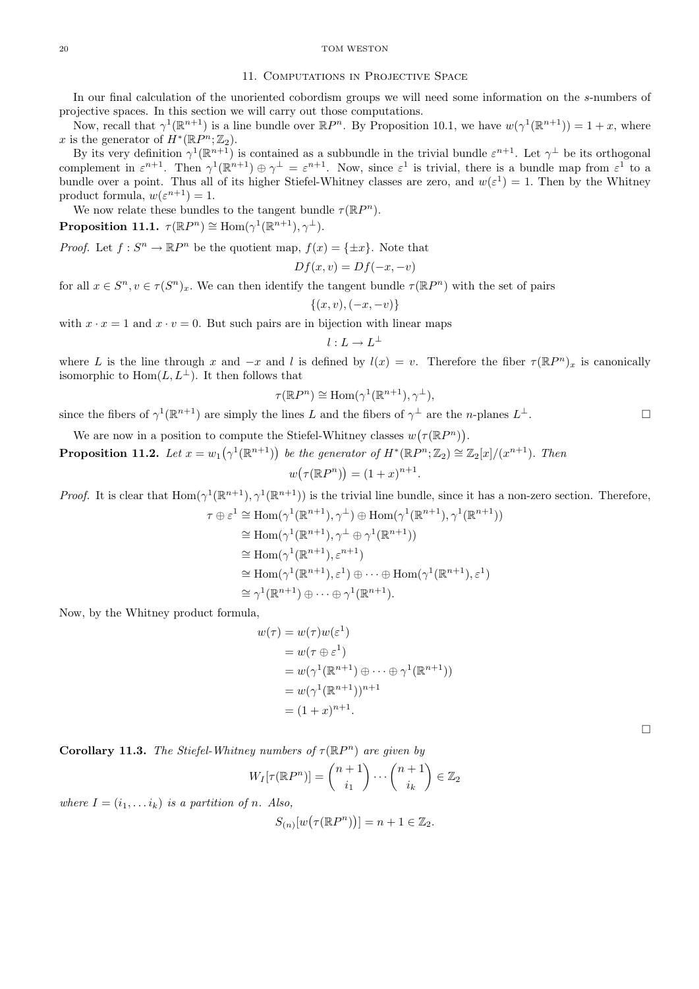#### 20 TOM WESTON

### 11. Computations in Projective Space

In our final calculation of the unoriented cobordism groups we will need some information on the s-numbers of projective spaces. In this section we will carry out those computations.

Now, recall that  $\gamma^1(\mathbb{R}^{n+1})$  is a line bundle over  $\mathbb{R}P^n$ . By Proposition 10.1, we have  $w(\gamma^1(\mathbb{R}^{n+1})) = 1 + x$ , where x is the generator of  $H^*(\mathbb{R}P^n;\mathbb{Z}_2)$ .

By its very definition  $\gamma^1(\mathbb{R}^{n+1})$  is contained as a subbundle in the trivial bundle  $\varepsilon^{n+1}$ . Let  $\gamma^{\perp}$  be its orthogonal complement in  $\varepsilon^{n+1}$ . Then  $\gamma^1(\mathbb{R}^{n+1}) \oplus \gamma^{\perp} = \varepsilon^{n+1}$ . Now, since  $\varepsilon^1$  is trivial, there is a bundle map from  $\varepsilon^1$  to a bundle over a point. Thus all of its higher Stiefel-Whitney classes are zero, and  $w(\varepsilon^1) = 1$ . Then by the Whitney product formula,  $w(\varepsilon^{n+1}) = 1$ .

We now relate these bundles to the tangent bundle  $\tau(\mathbb{R}P^n)$ .

 $\mathbf{Proposition \; 11.1.} \;\; \tau(\mathbb{R}P^n) \cong \mathrm{Hom}(\gamma^1(\mathbb{R}^{n+1}), \gamma^{\perp}).$ 

*Proof.* Let  $f : S^n \to \mathbb{R}P^n$  be the quotient map,  $f(x) = \{\pm x\}$ . Note that

$$
Df(x, v) = Df(-x, -v)
$$

for all  $x \in S^n, v \in \tau(S^n)_x$ . We can then identify the tangent bundle  $\tau(\mathbb{R}P^n)$  with the set of pairs

$$
\{(x,v), (-x, -v)\}
$$

with  $x \cdot x = 1$  and  $x \cdot y = 0$ . But such pairs are in bijection with linear maps

$$
l:L\to L^\perp
$$

where L is the line through x and  $-x$  and l is defined by  $l(x) = v$ . Therefore the fiber  $\tau(\mathbb{R}P^n)_x$  is canonically isomorphic to  $\text{Hom}(L, L^{\perp})$ . It then follows that

$$
\tau(\mathbb{R}P^n) \cong \text{Hom}(\gamma^1(\mathbb{R}^{n+1}), \gamma^{\perp}),
$$

since the fibers of  $\gamma^1(\mathbb{R}^{n+1})$  are simply the lines L and the fibers of  $\gamma^{\perp}$  are the n-planes L <sup>⊥</sup>.

We are now in a position to compute the Stiefel-Whitney classes  $w(\tau(\mathbb{R}P^n))$ .

**Proposition 11.2.** Let  $x = w_1(\gamma^1(\mathbb{R}^{n+1}))$  be the generator of  $H^*(\mathbb{R}P^n;\mathbb{Z}_2) \cong \mathbb{Z}_2[x]/(x^{n+1})$ . Then  $w(\tau(\mathbb{R}P^n)) = (1+x)^{n+1}.$ 

*Proof.* It is clear that  $\text{Hom}(\gamma^1(\mathbb{R}^{n+1}), \gamma^1(\mathbb{R}^{n+1}))$  is the trivial line bundle, since it has a non-zero section. Therefore,

$$
\tau \oplus \varepsilon^1 \cong \text{Hom}(\gamma^1(\mathbb{R}^{n+1}), \gamma^\perp) \oplus \text{Hom}(\gamma^1(\mathbb{R}^{n+1}), \gamma^1(\mathbb{R}^{n+1}))
$$
  
\n
$$
\cong \text{Hom}(\gamma^1(\mathbb{R}^{n+1}), \gamma^\perp \oplus \gamma^1(\mathbb{R}^{n+1}))
$$
  
\n
$$
\cong \text{Hom}(\gamma^1(\mathbb{R}^{n+1}), \varepsilon^{n+1})
$$
  
\n
$$
\cong \text{Hom}(\gamma^1(\mathbb{R}^{n+1}), \varepsilon^1) \oplus \cdots \oplus \text{Hom}(\gamma^1(\mathbb{R}^{n+1}), \varepsilon^1)
$$
  
\n
$$
\cong \gamma^1(\mathbb{R}^{n+1}) \oplus \cdots \oplus \gamma^1(\mathbb{R}^{n+1}).
$$

Now, by the Whitney product formula,

$$
w(\tau) = w(\tau)w(\varepsilon^1)
$$
  
=  $w(\tau \oplus \varepsilon^1)$   
=  $w(\gamma^1(\mathbb{R}^{n+1}) \oplus \cdots \oplus \gamma^1(\mathbb{R}^{n+1}))$   
=  $w(\gamma^1(\mathbb{R}^{n+1}))^{n+1}$   
=  $(1+x)^{n+1}$ .

**Corollary 11.3.** The Stiefel-Whitney numbers of  $\tau(\mathbb{R}P^n)$  are given by

$$
W_I[\tau(\mathbb{R}P^n)] = \binom{n+1}{i_1} \cdots \binom{n+1}{i_k} \in \mathbb{Z}_2
$$

where  $I = (i_1, \ldots i_k)$  is a partition of n. Also,

$$
S_{(n)}[w(\tau(\mathbb{R}P^n))] = n + 1 \in \mathbb{Z}_2.
$$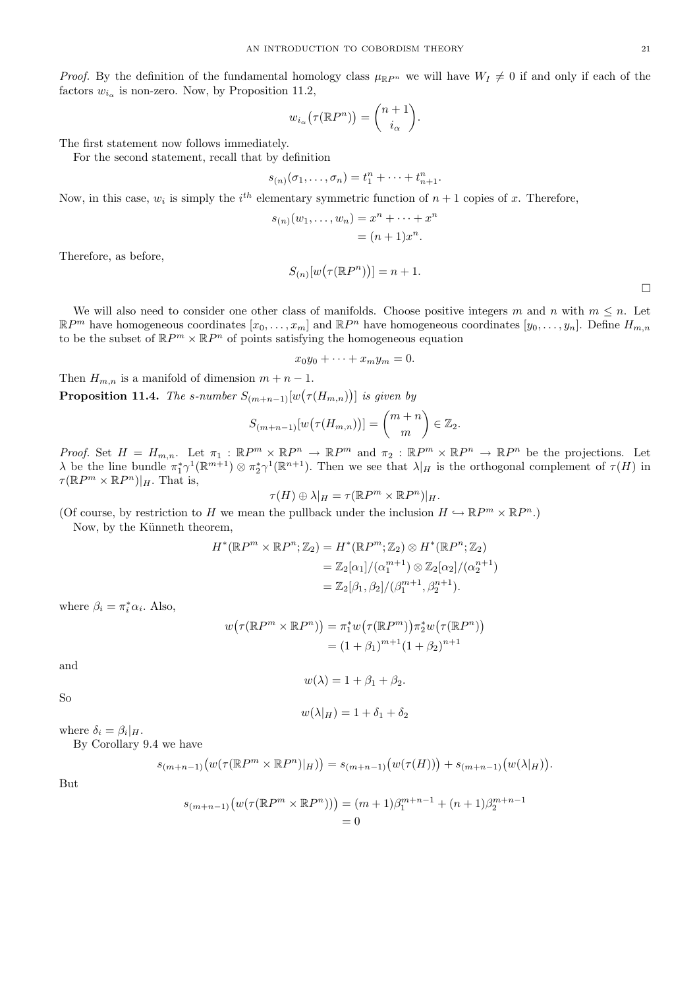*Proof.* By the definition of the fundamental homology class  $\mu_{\mathbb{R}P^n}$  we will have  $W_I \neq 0$  if and only if each of the factors  $w_{i_{\alpha}}$  is non-zero. Now, by Proposition 11.2,

$$
w_{i_{\alpha}}(\tau(\mathbb{R}P^n)) = \binom{n+1}{i_{\alpha}}.
$$

The first statement now follows immediately.

For the second statement, recall that by definition

$$
s_{(n)}(\sigma_1,\ldots,\sigma_n)=t_1^n+\cdots+t_{n+1}^n.
$$

Now, in this case,  $w_i$  is simply the  $i^{th}$  elementary symmetric function of  $n + 1$  copies of x. Therefore,

$$
s_{(n)}(w_1,\ldots,w_n) = x^n + \cdots + x^n
$$

$$
= (n+1)x^n.
$$

Therefore, as before,

$$
S_{(n)}[w(\tau(\mathbb{R}P^n))] = n+1.
$$

We will also need to consider one other class of manifolds. Choose positive integers m and n with  $m \leq n$ . Let  $\mathbb{R}P^m$  have homogeneous coordinates  $[x_0,\ldots,x_m]$  and  $\mathbb{R}P^n$  have homogeneous coordinates  $[y_0,\ldots,y_n]$ . Define  $H_{m,n}$ to be the subset of  $\mathbb{R}P^m \times \mathbb{R}P^n$  of points satisfying the homogeneous equation

$$
x_0y_0 + \cdots + x_my_m = 0.
$$

Then  $H_{m,n}$  is a manifold of dimension  $m + n - 1$ .

**Proposition 11.4.** The s-number  $S_{(m+n-1)}[w(\tau(H_{m,n}))]$  is given by

$$
S_{(m+n-1)}[w(\tau(H_{m,n}))]=\binom{m+n}{m}\in\mathbb{Z}_2.
$$

Proof. Set  $H = H_{m,n}$ . Let  $\pi_1 : \mathbb{R}P^m \times \mathbb{R}P^n \to \mathbb{R}P^m$  and  $\pi_2 : \mathbb{R}P^m \times \mathbb{R}P^n \to \mathbb{R}P^n$  be the projections. Let  $\lambda$  be the line bundle  $\pi_1^*\gamma^1(\mathbb{R}^{m+1})\otimes \pi_2^*\gamma^1(\mathbb{R}^{n+1})$ . Then we see that  $\lambda|_H$  is the orthogonal complement of  $\tau(H)$  in  $\tau(\mathbb{R}P^m\times\mathbb{R}P^n)|_H$ . That is,

$$
\tau(H) \oplus \lambda|_H = \tau(\mathbb{R}P^m \times \mathbb{R}P^n)|_H.
$$

(Of course, by restriction to H we mean the pullback under the inclusion  $H \hookrightarrow \mathbb{R}P^m \times \mathbb{R}P^n$ .)

Now, by the Künneth theorem,

$$
H^*(\mathbb{R}P^m \times \mathbb{R}P^n; \mathbb{Z}_2) = H^*(\mathbb{R}P^m; \mathbb{Z}_2) \otimes H^*(\mathbb{R}P^n; \mathbb{Z}_2)
$$
  
=  $\mathbb{Z}_2[\alpha_1]/(\alpha_1^{m+1}) \otimes \mathbb{Z}_2[\alpha_2]/(\alpha_2^{n+1})$   
=  $\mathbb{Z}_2[\beta_1, \beta_2]/(\beta_1^{m+1}, \beta_2^{n+1}).$ 

where  $\beta_i = \pi_i^* \alpha_i$ . Also,

$$
w(\tau(\mathbb{R}P^m \times \mathbb{R}P^n)) = \pi_1^* w(\tau(\mathbb{R}P^m)) \pi_2^* w(\tau(\mathbb{R}P^n))
$$
  
=  $(1 + \beta_1)^{m+1} (1 + \beta_2)^{n+1}$ 

and

$$
w(\lambda) = 1 + \beta_1 + \beta_2.
$$

 $w(\lambda|_H) = 1 + \delta_1 + \delta_2$ 

So

where 
$$
\delta_i = \beta_i|_H
$$
.

By Corollary 9.4 we have

$$
s_{(m+n-1)}(w(\tau(\mathbb{R}P^m \times \mathbb{R}P^n)|_H)) = s_{(m+n-1)}(w(\tau(H))) + s_{(m+n-1)}(w(\lambda|_H)).
$$

But

$$
s_{(m+n-1)}(w(\tau(\mathbb{R}P^m \times \mathbb{R}P^n))) = (m+1)\beta_1^{m+n-1} + (n+1)\beta_2^{m+n-1}
$$
  
= 0

 $\Box$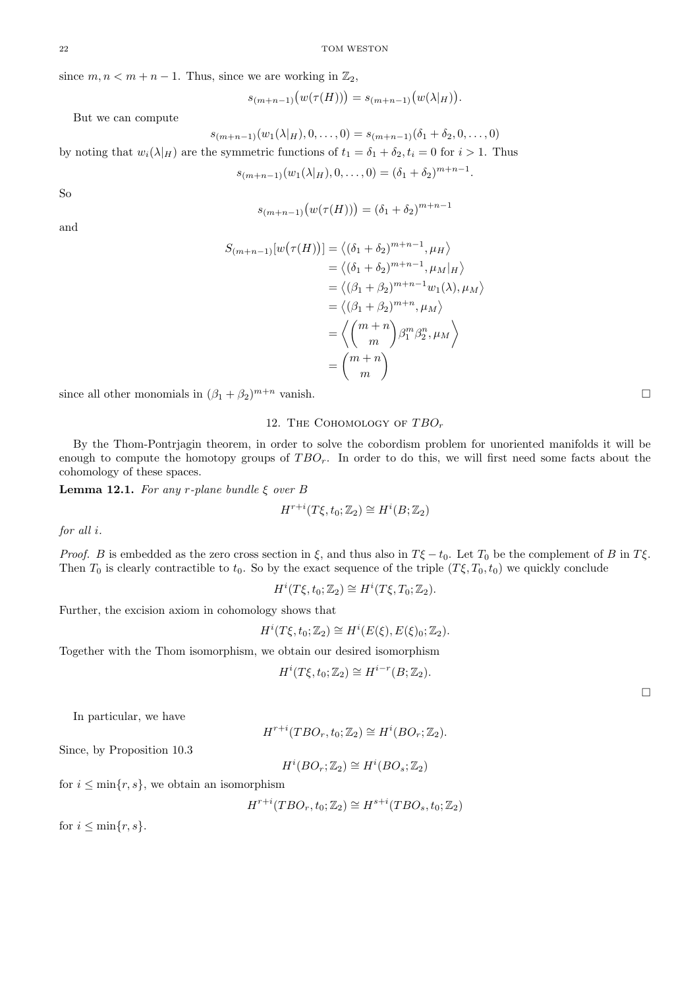since  $m, n < m + n - 1$ . Thus, since we are working in  $\mathbb{Z}_2$ ,

$$
s_{(m+n-1)}\big(w(\tau(H))\big)=s_{(m+n-1)}\big(w(\lambda|_H)\big).
$$

But we can compute

 $s_{(m+n-1)}(w_1(\lambda|_H), 0, \ldots, 0) = s_{(m+n-1)}(\delta_1 + \delta_2, 0, \ldots, 0)$ by noting that  $w_i(\lambda|_H)$  are the symmetric functions of  $t_1 = \delta_1 + \delta_2$ ,  $t_i = 0$  for  $i > 1$ . Thus

$$
s_{(m+n-1)}(w_1(\lambda|_H), 0, \ldots, 0) = (\delta_1 + \delta_2)^{m+n-1}
$$

.

So

$$
s_{(m+n-1)}(w(\tau(H))) = (\delta_1 + \delta_2)^{m+n-1}
$$

and

$$
S_{(m+n-1)}[w(\tau(H))] = \langle (\delta_1 + \delta_2)^{m+n-1}, \mu_H \rangle
$$
  
\n
$$
= \langle (\delta_1 + \delta_2)^{m+n-1}, \mu_M |_H \rangle
$$
  
\n
$$
= \langle (\beta_1 + \beta_2)^{m+n-1} w_1(\lambda), \mu_M \rangle
$$
  
\n
$$
= \langle (\beta_1 + \beta_2)^{m+n}, \mu_M \rangle
$$
  
\n
$$
= \langle {m+n \choose m} \beta_1^m \beta_2^n, \mu_M \rangle
$$
  
\n
$$
= {m+n \choose m}
$$

since all other monomials in  $(\beta_1 + \beta_2)^{m+n}$  vanish.

## 12. THE COHOMOLOGY OF  $TBO<sub>r</sub>$

By the Thom-Pontrjagin theorem, in order to solve the cobordism problem for unoriented manifolds it will be enough to compute the homotopy groups of  $TBO_r$ . In order to do this, we will first need some facts about the cohomology of these spaces.

Lemma 12.1. For any r-plane bundle  $\xi$  over B

$$
H^{r+i}(T\xi, t_0; \mathbb{Z}_2) \cong H^i(B; \mathbb{Z}_2)
$$

for all i.

*Proof.* B is embedded as the zero cross section in  $\xi$ , and thus also in  $T\xi - t_0$ . Let  $T_0$  be the complement of B in  $T\xi$ . Then  $T_0$  is clearly contractible to  $t_0$ . So by the exact sequence of the triple  $(T\xi, T_0, t_0)$  we quickly conclude

 $H^i(T\xi, t_0; \mathbb{Z}_2) \cong H^i(T\xi, T_0; \mathbb{Z}_2).$ 

Further, the excision axiom in cohomology shows that

$$
H^i(T\xi, t_0; \mathbb{Z}_2) \cong H^i(E(\xi), E(\xi)_0; \mathbb{Z}_2).
$$

Together with the Thom isomorphism, we obtain our desired isomorphism

$$
H^i(T\xi, t_0; \mathbb{Z}_2) \cong H^{i-r}(B; \mathbb{Z}_2).
$$

In particular, we have

$$
H^{r+i}(TBO_r, t_0; \mathbb{Z}_2) \cong H^i(BO_r; \mathbb{Z}_2).
$$

Since, by Proposition 10.3

$$
H^i(BO_r; \mathbb{Z}_2) \cong H^i(BO_s; \mathbb{Z}_2)
$$

for  $i \leq \min\{r, s\}$ , we obtain an isomorphism

$$
H^{r+i}(TBO_r, t_0; \mathbb{Z}_2) \cong H^{s+i}(TBO_s, t_0; \mathbb{Z}_2)
$$

for  $i \leq \min\{r, s\}.$ 

 $\Box$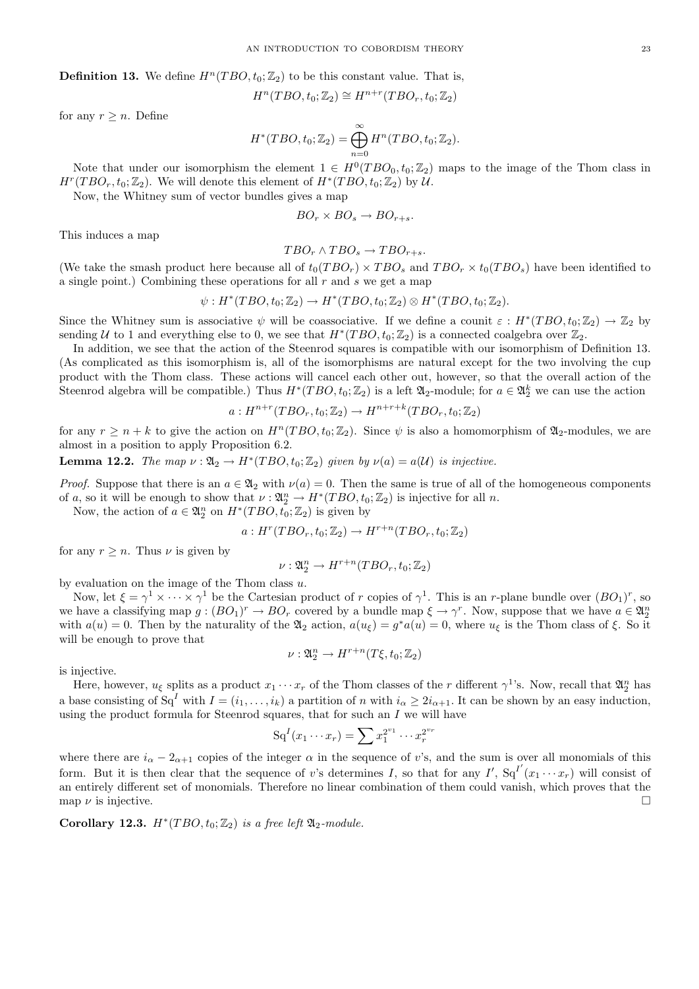**Definition 13.** We define  $H^n(TBO, t_0; \mathbb{Z}_2)$  to be this constant value. That is,

$$
H^n(TBO, t_0; \mathbb{Z}_2) \cong H^{n+r}(TBO_r, t_0; \mathbb{Z}_2)
$$

for any  $r \geq n$ . Define

$$
H^*(TBO, t_0; \mathbb{Z}_2) = \bigoplus_{n=0}^{\infty} H^n(TBO, t_0; \mathbb{Z}_2).
$$

Note that under our isomorphism the element  $1 \in H^0(TBO_0, t_0; \mathbb{Z}_2)$  maps to the image of the Thom class in  $H^r(TBO_r, t_0; \mathbb{Z}_2)$ . We will denote this element of  $H^*(TBO, t_0; \mathbb{Z}_2)$  by U.

Now, the Whitney sum of vector bundles gives a map

$$
BO_r \times BO_s \to BO_{r+s}.
$$

This induces a map

$$
TBO_r \wedge TBO_s \to TBO_{r+s}.
$$

(We take the smash product here because all of  $t_0(TBO_r) \times TBO_s$  and  $TBO_r \times t_0(TBO_s)$  have been identified to a single point.) Combining these operations for all  $r$  and  $s$  we get a map

$$
\psi: H^*(TBO, t_0; \mathbb{Z}_2) \to H^*(TBO, t_0; \mathbb{Z}_2) \otimes H^*(TBO, t_0; \mathbb{Z}_2).
$$

Since the Whitney sum is associative  $\psi$  will be coassociative. If we define a counit  $\varepsilon : H^*(TBO, t_0; \mathbb{Z}_2) \to \mathbb{Z}_2$  by sending U to 1 and everything else to 0, we see that  $H^*(TBO, t_0; \mathbb{Z}_2)$  is a connected coalgebra over  $\mathbb{Z}_2$ .

In addition, we see that the action of the Steenrod squares is compatible with our isomorphism of Definition 13. (As complicated as this isomorphism is, all of the isomorphisms are natural except for the two involving the cup product with the Thom class. These actions will cancel each other out, however, so that the overall action of the Steenrod algebra will be compatible.) Thus  $H^*(TBO, t_0; \mathbb{Z}_2)$  is a left  $\mathfrak{A}_2$ -module; for  $a \in \mathfrak{A}_2^k$  we can use the action

$$
a: H^{n+r}(TBO_r, t_0; \mathbb{Z}_2) \to H^{n+r+k}(TBO_r, t_0; \mathbb{Z}_2)
$$

for any  $r \geq n + k$  to give the action on  $H^n(TBO, t_0; \mathbb{Z}_2)$ . Since  $\psi$  is also a homomorphism of  $\mathfrak{A}_2$ -modules, we are almost in a position to apply Proposition 6.2.

**Lemma 12.2.** The map  $\nu : \mathfrak{A}_2 \to H^*(TBO, t_0; \mathbb{Z}_2)$  given by  $\nu(a) = a(\mathcal{U})$  is injective.

*Proof.* Suppose that there is an  $a \in \mathfrak{A}_2$  with  $\nu(a) = 0$ . Then the same is true of all of the homogeneous components of a, so it will be enough to show that  $\nu : \mathfrak{A}_2^n \to H^*(TBO, t_0; \mathbb{Z}_2)$  is injective for all n.

Now, the action of  $a \in \mathfrak{A}_2^n$  on  $H^*(TBO, t_0; \mathbb{Z}_2)$  is given by

$$
a: H^r(TBO_r, t_0; \mathbb{Z}_2) \to H^{r+n}(TBO_r, t_0; \mathbb{Z}_2)
$$

for any  $r \geq n$ . Thus  $\nu$  is given by

$$
\nu: \mathfrak{A}_2^n \to H^{r+n}(TBO_r, t_0; \mathbb{Z}_2)
$$

by evaluation on the image of the Thom class  $u$ .

Now, let  $\xi = \gamma^1 \times \cdots \times \gamma^1$  be the Cartesian product of r copies of  $\gamma^1$ . This is an r-plane bundle over  $(BO_1)^r$ , so we have a classifying map  $g:(BO_1)^r \to BO_r$  covered by a bundle map  $\xi \to \gamma^r$ . Now, suppose that we have  $a \in \mathfrak{A}_2^n$ with  $a(u) = 0$ . Then by the naturality of the  $\mathfrak{A}_2$  action,  $a(u_{\xi}) = g^* a(u) = 0$ , where  $u_{\xi}$  is the Thom class of  $\xi$ . So it will be enough to prove that

$$
\nu: \mathfrak{A}_2^n \to H^{r+n}(T\xi, t_0; \mathbb{Z}_2)
$$

is injective.

Here, however,  $u_{\xi}$  splits as a product  $x_1 \cdots x_r$  of the Thom classes of the r different  $\gamma^1$ 's. Now, recall that  $\mathfrak{A}_2^n$  has a base consisting of Sq<sup>I</sup> with  $I = (i_1, \ldots, i_k)$  a partition of n with  $i_\alpha \geq 2i_{\alpha+1}$ . It can be shown by an easy induction, using the product formula for Steenrod squares, that for such an  $I$  we will have

$$
\mathrm{Sq}^I(x_1 \cdots x_r) = \sum x_1^{2^{v_1}} \cdots x_r^{2^{v_r}}
$$

where there are  $i_{\alpha} - 2_{\alpha+1}$  copies of the integer  $\alpha$  in the sequence of v's, and the sum is over all monomials of this form. But it is then clear that the sequence of v's determines I, so that for any I',  $Sq^{I'}(x_1 \cdots x_r)$  will consist of an entirely different set of monomials. Therefore no linear combination of them could vanish, which proves that the map  $\nu$  is injective.

Corollary 12.3.  $H^*(TBO, t_0; \mathbb{Z}_2)$  is a free left  $\mathfrak{A}_2$ -module.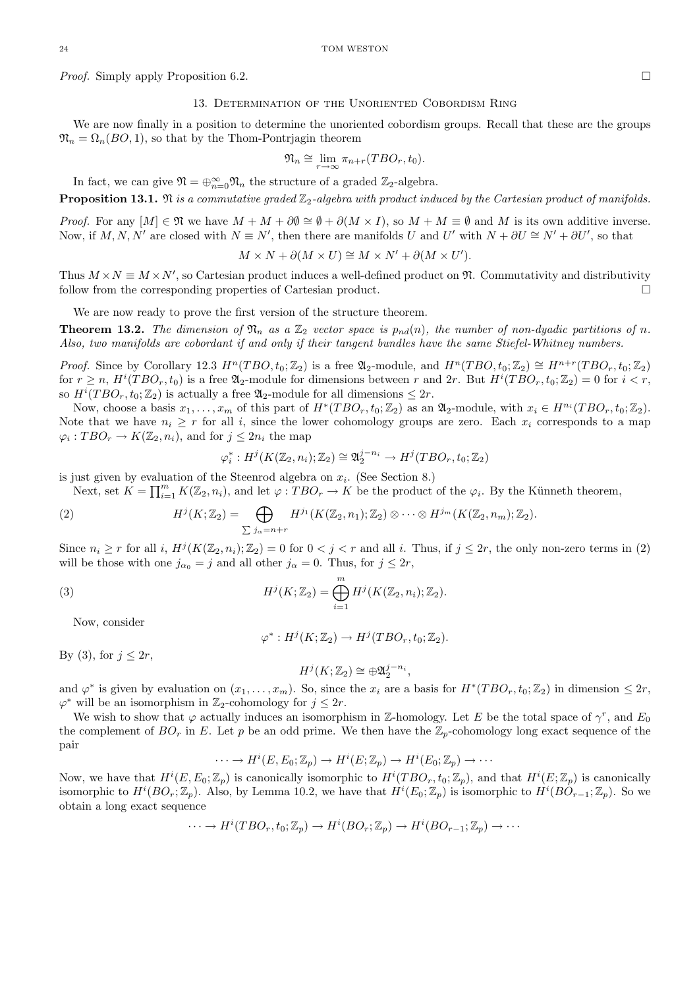*Proof.* Simply apply Proposition 6.2.

#### 13. Determination of the Unoriented Cobordism Ring

We are now finally in a position to determine the unoriented cobordism groups. Recall that these are the groups  $\mathfrak{N}_n = \Omega_n(BO, 1)$ , so that by the Thom-Pontrjagin theorem

$$
\mathfrak{N}_n \cong \lim_{r \to \infty} \pi_{n+r}(TBO_r, t_0).
$$

In fact, we can give  $\mathfrak{N} = \bigoplus_{n=0}^{\infty} \mathfrak{N}_n$  the structure of a graded  $\mathbb{Z}_2$ -algebra.

**Proposition 13.1.**  $\mathfrak{N}$  is a commutative graded  $\mathbb{Z}_2$ -algebra with product induced by the Cartesian product of manifolds.

*Proof.* For any  $[M] \in \mathfrak{N}$  we have  $M + M + \partial \emptyset \cong \emptyset + \partial(M \times I)$ , so  $M + M \equiv \emptyset$  and M is its own additive inverse. Now, if  $M, N, N'$  are closed with  $N \equiv N'$ , then there are manifolds U and U' with  $N + \partial U \cong N' + \partial U'$ , so that

$$
M \times N + \partial(M \times U) \cong M \times N' + \partial(M \times U').
$$

Thus  $M \times N \equiv M \times N'$ , so Cartesian product induces a well-defined product on  $\mathfrak{N}$ . Commutativity and distributivity follow from the corresponding properties of Cartesian product.

We are now ready to prove the first version of the structure theorem.

**Theorem 13.2.** The dimension of  $\mathfrak{N}_n$  as a  $\mathbb{Z}_2$  vector space is  $p_{nd}(n)$ , the number of non-dyadic partitions of n. Also, two manifolds are cobordant if and only if their tangent bundles have the same Stiefel-Whitney numbers.

*Proof.* Since by Corollary 12.3  $H^n(TBO, t_0; \mathbb{Z}_2)$  is a free  $\mathfrak{A}_2$ -module, and  $H^n(TBO, t_0; \mathbb{Z}_2) \cong H^{n+r}(TBO_r, t_0; \mathbb{Z}_2)$ for  $r \ge n$ ,  $H^i(TBO_r, t_0)$  is a free  $\mathfrak{A}_2$ -module for dimensions between r and 2r. But  $H^i(TBO_r, t_0; \mathbb{Z}_2) = 0$  for  $i < r$ , so  $H^i(TBO_r, t_0; \mathbb{Z}_2)$  is actually a free  $\mathfrak{A}_2$ -module for all dimensions  $\leq 2r$ .

Now, choose a basis  $x_1, \ldots, x_m$  of this part of  $H^*(TBO_r, t_0; \mathbb{Z}_2)$  as an  $\mathfrak{A}_2$ -module, with  $x_i \in H^{n_i}(TBO_r, t_0; \mathbb{Z}_2)$ . Note that we have  $n_i \geq r$  for all i, since the lower cohomology groups are zero. Each  $x_i$  corresponds to a map  $\varphi_i: TBO_r \to K(\mathbb{Z}_2, n_i)$ , and for  $j \leq 2n_i$  the map

$$
\varphi_i^*: H^j(K(\mathbb{Z}_2, n_i); \mathbb{Z}_2) \cong \mathfrak{A}_2^{j-n_i} \to H^j(TBO_r, t_0; \mathbb{Z}_2)
$$

is just given by evaluation of the Steenrod algebra on  $x_i$ . (See Section 8.)

Next, set  $K = \prod_{i=1}^{m} K(\mathbb{Z}_2, n_i)$ , and let  $\varphi: TBO_r \to K$  be the product of the  $\varphi_i$ . By the Künneth theorem,

(2) 
$$
H^{j}(K; \mathbb{Z}_{2}) = \bigoplus_{\sum j_{\alpha}=n+r} H^{j_{1}}(K(\mathbb{Z}_{2}, n_{1}); \mathbb{Z}_{2}) \otimes \cdots \otimes H^{j_{m}}(K(\mathbb{Z}_{2}, n_{m}); \mathbb{Z}_{2}).
$$

Since  $n_i \ge r$  for all i,  $H^j(K(\mathbb{Z}_2, n_i); \mathbb{Z}_2) = 0$  for  $0 < j < r$  and all i. Thus, if  $j \le 2r$ , the only non-zero terms in (2) will be those with one  $j_{\alpha 0} = j$  and all other  $j_{\alpha} = 0$ . Thus, for  $j \leq 2r$ ,

(3) 
$$
H^{j}(K; \mathbb{Z}_{2}) = \bigoplus_{i=1}^{m} H^{j}(K(\mathbb{Z}_{2}, n_{i}); \mathbb{Z}_{2}).
$$

Now, consider

$$
\varphi^*: H^j(K; \mathbb{Z}_2) \to H^j(TBO_r, t_0; \mathbb{Z}_2).
$$

By (3), for  $j \leq 2r$ ,

$$
H^j(K; \mathbb{Z}_2) \cong \oplus \mathfrak{A}_2^{j-n_i},
$$

and  $\varphi^*$  is given by evaluation on  $(x_1, \ldots, x_m)$ . So, since the  $x_i$  are a basis for  $H^*(TBO_r, t_0; \mathbb{Z}_2)$  in dimension  $\leq 2r$ ,  $\varphi^*$  will be an isomorphism in  $\mathbb{Z}_2$ -cohomology for  $j \leq 2r$ .

We wish to show that  $\varphi$  actually induces an isomorphism in Z-homology. Let E be the total space of  $\gamma^r$ , and  $E_0$ the complement of  $BO<sub>r</sub>$  in E. Let p be an odd prime. We then have the  $\mathbb{Z}_p$ -cohomology long exact sequence of the pair

$$
\cdots \to H^i(E,E_0;\mathbb{Z}_p) \to H^i(E;\mathbb{Z}_p) \to H^i(E_0;\mathbb{Z}_p) \to \cdots
$$

Now, we have that  $H^i(E, E_0; \mathbb{Z}_p)$  is canonically isomorphic to  $H^i(TBO_r, t_0; \mathbb{Z}_p)$ , and that  $H^i(E; \mathbb{Z}_p)$  is canonically isomorphic to  $H^i(BO_r; \mathbb{Z}_p)$ . Also, by Lemma 10.2, we have that  $H^i(E_0; \mathbb{Z}_p)$  is isomorphic to  $H^i(BO_{r-1}; \mathbb{Z}_p)$ . So we obtain a long exact sequence

$$
\cdots \to H^{i}(TBO_{r}, t_{0}; \mathbb{Z}_{p}) \to H^{i}(BO_{r}; \mathbb{Z}_{p}) \to H^{i}(BO_{r-1}; \mathbb{Z}_{p}) \to \cdots
$$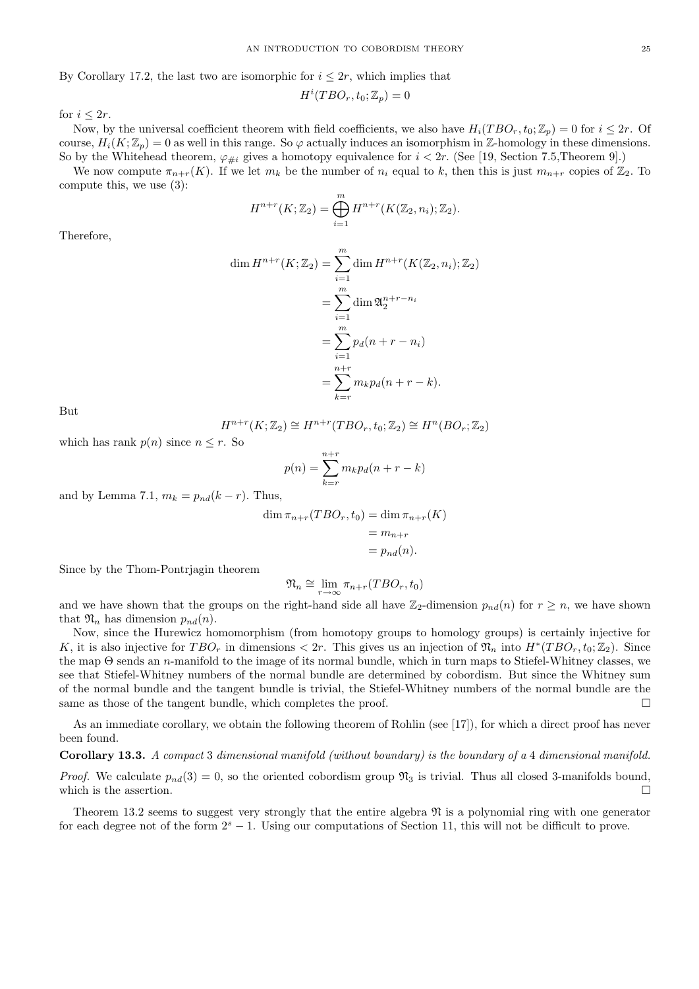By Corollary 17.2, the last two are isomorphic for  $i \leq 2r$ , which implies that

$$
H^i(TBO_r, t_0; \mathbb{Z}_p) = 0
$$

for  $i \leq 2r$ .

Now, by the universal coefficient theorem with field coefficients, we also have  $H_i(TBO_r, t_0; \mathbb{Z}_p) = 0$  for  $i \leq 2r$ . Of course,  $H_i(K;\mathbb{Z}_p) = 0$  as well in this range. So  $\varphi$  actually induces an isomorphism in Z-homology in these dimensions. So by the Whitehead theorem,  $\varphi_{\#i}$  gives a homotopy equivalence for  $i < 2r$ . (See [19, Section 7.5,Theorem 9].)

We now compute  $\pi_{n+r}(K)$ . If we let  $m_k$  be the number of  $n_i$  equal to k, then this is just  $m_{n+r}$  copies of  $\mathbb{Z}_2$ . To compute this, we use (3):

$$
H^{n+r}(K;\mathbb{Z}_2) = \bigoplus_{i=1}^m H^{n+r}(K(\mathbb{Z}_2,n_i);\mathbb{Z}_2).
$$

Therefore,

$$
\dim H^{n+r}(K; \mathbb{Z}_2) = \sum_{i=1}^m \dim H^{n+r}(K(\mathbb{Z}_2, n_i); \mathbb{Z}_2)
$$

$$
= \sum_{i=1}^m \dim \mathfrak{A}_2^{n+r-n_i}
$$

$$
= \sum_{i=1}^m p_d(n+r-n_i)
$$

$$
= \sum_{k=r}^{n+r} m_k p_d(n+r-k).
$$

But

$$
H^{n+r}(K; \mathbb{Z}_2) \cong H^{n+r}(TBO_r, t_0; \mathbb{Z}_2) \cong H^n(BO_r; \mathbb{Z}_2)
$$

which has rank  $p(n)$  since  $n \leq r$ . So

$$
p(n) = \sum_{k=r}^{n+r} m_k p_d(n+r-k)
$$

and by Lemma 7.1,  $m_k = p_{nd}(k - r)$ . Thus,

$$
\dim \pi_{n+r}(TBO_r, t_0) = \dim \pi_{n+r}(K)
$$

$$
= m_{n+r}
$$

$$
= p_{nd}(n).
$$

Since by the Thom-Pontrjagin theorem

$$
\mathfrak{N}_n \cong \lim_{r \to \infty} \pi_{n+r}(TBO_r, t_0)
$$

and we have shown that the groups on the right-hand side all have  $\mathbb{Z}_2$ -dimension  $p_{nd}(n)$  for  $r \geq n$ , we have shown that  $\mathfrak{N}_n$  has dimension  $p_{nd}(n)$ .

Now, since the Hurewicz homomorphism (from homotopy groups to homology groups) is certainly injective for K, it is also injective for  $TBO_r$  in dimensions  $\langle 2r$ . This gives us an injection of  $\mathfrak{N}_n$  into  $H^*(TBO_r, t_0; \mathbb{Z}_2)$ . Since the map Θ sends an n-manifold to the image of its normal bundle, which in turn maps to Stiefel-Whitney classes, we see that Stiefel-Whitney numbers of the normal bundle are determined by cobordism. But since the Whitney sum of the normal bundle and the tangent bundle is trivial, the Stiefel-Whitney numbers of the normal bundle are the same as those of the tangent bundle, which completes the proof.

As an immediate corollary, we obtain the following theorem of Rohlin (see [17]), for which a direct proof has never been found.

Corollary 13.3. A compact 3 dimensional manifold (without boundary) is the boundary of a 4 dimensional manifold.

*Proof.* We calculate  $p_{nd}(3) = 0$ , so the oriented cobordism group  $\mathfrak{N}_3$  is trivial. Thus all closed 3-manifolds bound, which is the assertion.  $\Box$ 

Theorem 13.2 seems to suggest very strongly that the entire algebra  $\mathfrak{N}$  is a polynomial ring with one generator for each degree not of the form  $2<sup>s</sup> - 1$ . Using our computations of Section 11, this will not be difficult to prove.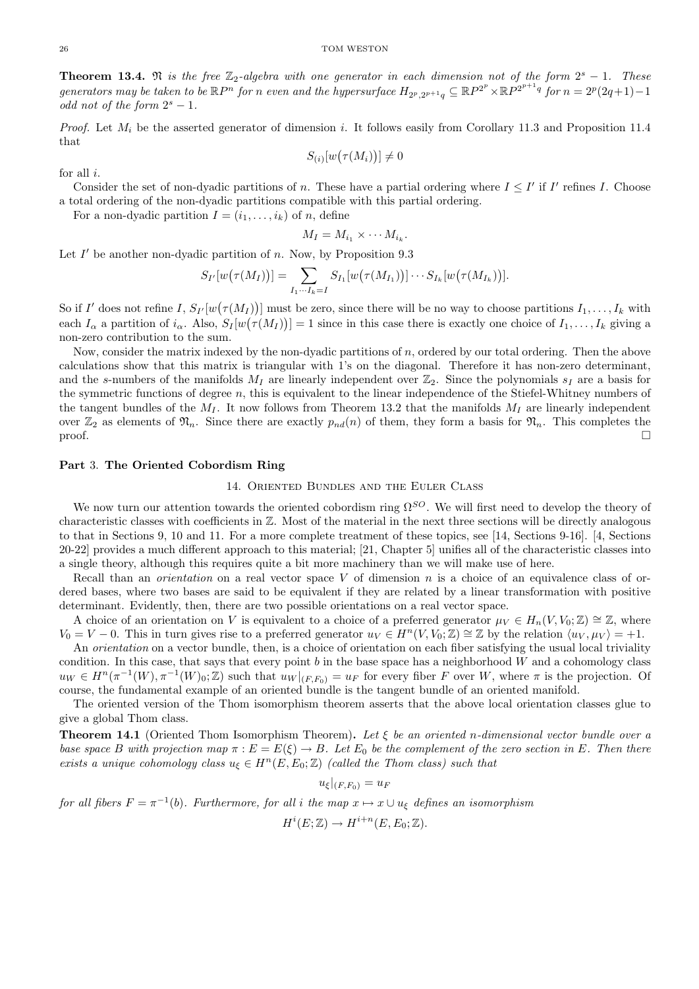**Theorem 13.4.**  $\Re$  is the free  $\mathbb{Z}_2$ -algebra with one generator in each dimension not of the form  $2^s - 1$ . These  $generators$  may be taken to be  $\mathbb{R}P^n$  for  $n$  even and the hypersurface  $H_{2^p,2^{p+1}q}\subseteq \mathbb{R}P^{2^p}\times \mathbb{R}P^{2^{p+1}q}$  for  $n=2^p(2q+1)-1$ odd not of the form  $2^s - 1$ .

*Proof.* Let  $M_i$  be the asserted generator of dimension i. It follows easily from Corollary 11.3 and Proposition 11.4 that

 $S_{(i)}[w(\tau(M_i))] \neq 0$ 

for all  $i$ .

Consider the set of non-dyadic partitions of n. These have a partial ordering where  $I \leq I'$  if I' refines I. Choose a total ordering of the non-dyadic partitions compatible with this partial ordering.

For a non-dyadic partition  $I = (i_1, \ldots, i_k)$  of n, define

$$
M_I = M_{i_1} \times \cdots M_{i_k}.
$$

Let  $I'$  be another non-dyadic partition of n. Now, by Proposition 9.3

$$
S_{I'}[w(\tau(M_I))] = \sum_{I_1\cdots I_k=I} S_{I_1}[w(\tau(M_{I_1}))]\cdots S_{I_k}[w(\tau(M_{I_k}))].
$$

So if I' does not refine I,  $S_{I'}[w(\tau(M_I))]$  must be zero, since there will be no way to choose partitions  $I_1, \ldots, I_k$  with each  $I_{\alpha}$  a partition of  $i_{\alpha}$ . Also,  $S_I[w(\tau(M_I))] = 1$  since in this case there is exactly one choice of  $I_1, \ldots, I_k$  giving a non-zero contribution to the sum.

Now, consider the matrix indexed by the non-dyadic partitions of n, ordered by our total ordering. Then the above calculations show that this matrix is triangular with 1's on the diagonal. Therefore it has non-zero determinant, and the s-numbers of the manifolds  $M_I$  are linearly independent over  $\mathbb{Z}_2$ . Since the polynomials  $s_I$  are a basis for the symmetric functions of degree n, this is equivalent to the linear independence of the Stiefel-Whitney numbers of the tangent bundles of the  $M_I$ . It now follows from Theorem 13.2 that the manifolds  $M_I$  are linearly independent over  $\mathbb{Z}_2$  as elements of  $\mathfrak{N}_n$ . Since there are exactly  $p_{nd}(n)$  of them, they form a basis for  $\mathfrak{N}_n$ . This completes the  $\Box$ 

## Part 3. The Oriented Cobordism Ring

### 14. Oriented Bundles and the Euler Class

We now turn our attention towards the oriented cobordism ring  $\Omega^{SO}$ . We will first need to develop the theory of characteristic classes with coefficients in Z. Most of the material in the next three sections will be directly analogous to that in Sections 9, 10 and 11. For a more complete treatment of these topics, see [14, Sections 9-16]. [4, Sections 20-22] provides a much different approach to this material; [21, Chapter 5] unifies all of the characteristic classes into a single theory, although this requires quite a bit more machinery than we will make use of here.

Recall than an *orientation* on a real vector space  $V$  of dimension  $n$  is a choice of an equivalence class of ordered bases, where two bases are said to be equivalent if they are related by a linear transformation with positive determinant. Evidently, then, there are two possible orientations on a real vector space.

A choice of an orientation on V is equivalent to a choice of a preferred generator  $\mu_V \in H_n(V, V_0; \mathbb{Z}) \cong \mathbb{Z}$ , where  $V_0 = V - 0$ . This in turn gives rise to a preferred generator  $u_V \in H^n(V, V_0; \mathbb{Z}) \cong \mathbb{Z}$  by the relation  $\langle u_V, \mu_V \rangle = +1$ .

An *orientation* on a vector bundle, then, is a choice of orientation on each fiber satisfying the usual local triviality condition. In this case, that says that every point  $b$  in the base space has a neighborhood  $W$  and a cohomology class  $u_W \in H^n(\pi^{-1}(W), \pi^{-1}(W)_0; \mathbb{Z})$  such that  $u_W|_{(F,F_0)} = u_F$  for every fiber F over W, where  $\pi$  is the projection. Of course, the fundamental example of an oriented bundle is the tangent bundle of an oriented manifold.

The oriented version of the Thom isomorphism theorem asserts that the above local orientation classes glue to give a global Thom class.

**Theorem 14.1** (Oriented Thom Isomorphism Theorem). Let  $\xi$  be an oriented n-dimensional vector bundle over a base space B with projection map  $\pi : E = E(\xi) \to B$ . Let  $E_0$  be the complement of the zero section in E. Then there exists a unique cohomology class  $u_{\xi} \in H^{n}(E, E_{0}; \mathbb{Z})$  (called the Thom class) such that

$$
u_{\xi}|_{(F,F_0)} = u_F
$$

for all fibers  $F = \pi^{-1}(b)$ . Furthermore, for all i the map  $x \mapsto x \cup u_{\xi}$  defines an isomorphism

$$
H^i(E; \mathbb{Z}) \to H^{i+n}(E, E_0; \mathbb{Z}).
$$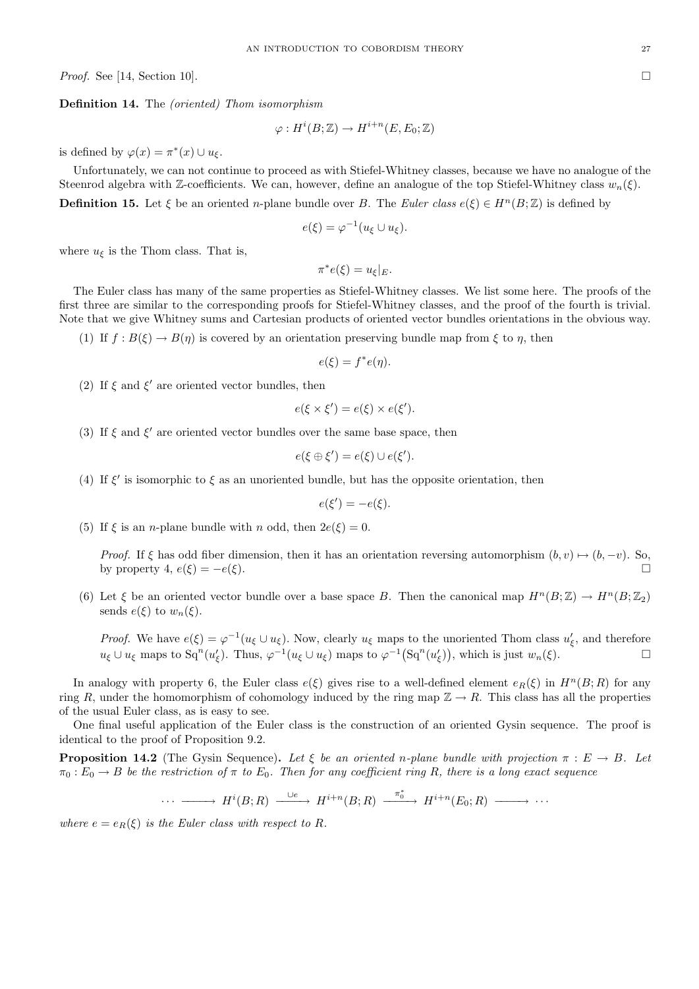*Proof.* See [14, Section 10].

### Definition 14. The (oriented) Thom isomorphism

$$
\varphi: H^i(B; \mathbb{Z}) \to H^{i+n}(E, E_0; \mathbb{Z})
$$

is defined by  $\varphi(x) = \pi^*(x) \cup u_{\xi}$ .

Unfortunately, we can not continue to proceed as with Stiefel-Whitney classes, because we have no analogue of the Steenrod algebra with Z-coefficients. We can, however, define an analogue of the top Stiefel-Whitney class  $w_n(\xi)$ . **Definition 15.** Let  $\xi$  be an oriented *n*-plane bundle over B. The Euler class  $e(\xi) \in H^n(B; \mathbb{Z})$  is defined by

$$
e(\xi) = \varphi^{-1}(u_{\xi} \cup u_{\xi}).
$$

where  $u_{\xi}$  is the Thom class. That is,

$$
\pi^*e(\xi) = u_{\xi}|_E.
$$

The Euler class has many of the same properties as Stiefel-Whitney classes. We list some here. The proofs of the first three are similar to the corresponding proofs for Stiefel-Whitney classes, and the proof of the fourth is trivial. Note that we give Whitney sums and Cartesian products of oriented vector bundles orientations in the obvious way.

(1) If  $f : B(\xi) \to B(\eta)$  is covered by an orientation preserving bundle map from  $\xi$  to  $\eta$ , then

$$
e(\xi) = f^*e(\eta).
$$

(2) If  $\xi$  and  $\xi'$  are oriented vector bundles, then

$$
e(\xi \times \xi') = e(\xi) \times e(\xi').
$$

(3) If  $\xi$  and  $\xi'$  are oriented vector bundles over the same base space, then

$$
e(\xi \oplus \xi') = e(\xi) \cup e(\xi').
$$

(4) If  $\xi'$  is isomorphic to  $\xi$  as an unoriented bundle, but has the opposite orientation, then

$$
e(\xi') = -e(\xi).
$$

(5) If  $\xi$  is an *n*-plane bundle with *n* odd, then  $2e(\xi) = 0$ .

*Proof.* If  $\xi$  has odd fiber dimension, then it has an orientation reversing automorphism  $(b, v) \mapsto (b, -v)$ . So, by property 4,  $e(\xi) = -e(\xi)$ .

(6) Let  $\xi$  be an oriented vector bundle over a base space B. Then the canonical map  $H^n(B;\mathbb{Z}) \to H^n(B;\mathbb{Z}_2)$ sends  $e(\xi)$  to  $w_n(\xi)$ .

*Proof.* We have  $e(\xi) = \varphi^{-1}(u_{\xi} \cup u_{\xi})$ . Now, clearly  $u_{\xi}$  maps to the unoriented Thom class  $u'_{\xi}$ , and therefore  $u_{\xi} \cup u_{\xi}$  maps to  $Sq^n(u'_{\xi})$ . Thus,  $\varphi^{-1}(u_{\xi} \cup u_{\xi})$  maps to  $\varphi^{-1}(Sq^n(u'_{\xi}))$ , which is just  $w_n(\xi)$ .

In analogy with property 6, the Euler class  $e(\xi)$  gives rise to a well-defined element  $e_R(\xi)$  in  $H^n(B; R)$  for any ring R, under the homomorphism of cohomology induced by the ring map  $\mathbb{Z} \to R$ . This class has all the properties of the usual Euler class, as is easy to see.

One final useful application of the Euler class is the construction of an oriented Gysin sequence. The proof is identical to the proof of Proposition 9.2.

**Proposition 14.2** (The Gysin Sequence). Let  $\xi$  be an oriented n-plane bundle with projection  $\pi : E \to B$ . Let  $\pi_0 : E_0 \to B$  be the restriction of  $\pi$  to  $E_0$ . Then for any coefficient ring R, there is a long exact sequence

$$
\cdots \longrightarrow H^{i}(B;R) \longrightarrow H^{i+n}(B;R) \longrightarrow \pi_{0}^{*} \longrightarrow H^{i+n}(E_{0};R) \longrightarrow \cdots
$$

where  $e = e_R(\xi)$  is the Euler class with respect to R.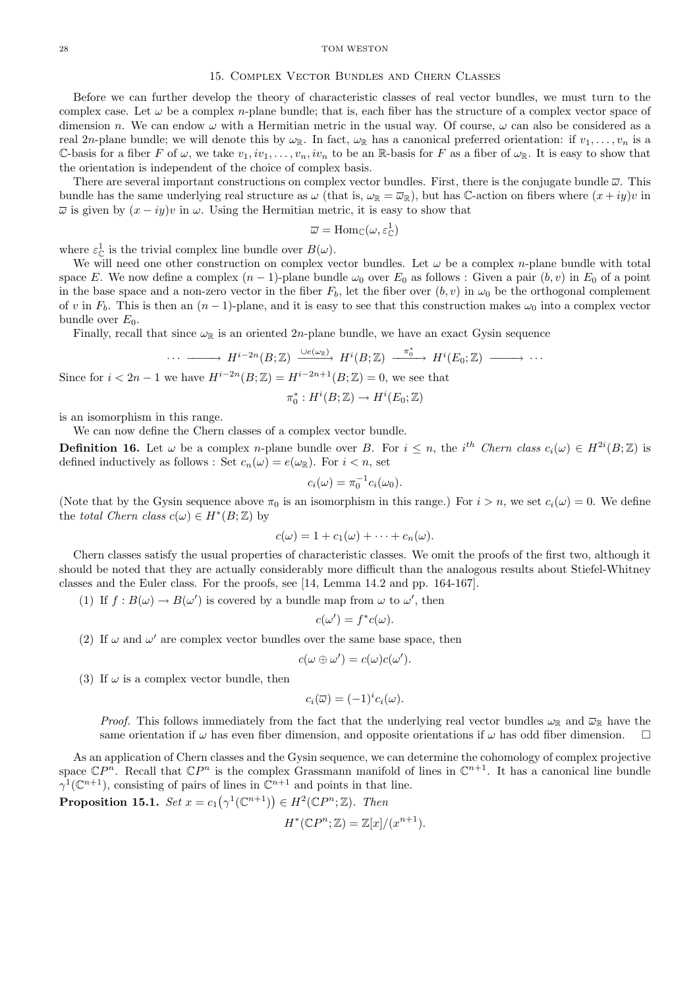#### 28 TOM WESTON

### 15. Complex Vector Bundles and Chern Classes

Before we can further develop the theory of characteristic classes of real vector bundles, we must turn to the complex case. Let  $\omega$  be a complex n-plane bundle; that is, each fiber has the structure of a complex vector space of dimension n. We can endow  $\omega$  with a Hermitian metric in the usual way. Of course,  $\omega$  can also be considered as a real 2n-plane bundle; we will denote this by  $\omega_{\mathbb{R}}$ . In fact,  $\omega_{\mathbb{R}}$  has a canonical preferred orientation: if  $v_1, \ldots, v_n$  is a C-basis for a fiber F of  $\omega$ , we take  $v_1, iv_1, \ldots, v_n, iv_n$  to be an R-basis for F as a fiber of  $\omega_{\mathbb{R}}$ . It is easy to show that the orientation is independent of the choice of complex basis.

There are several important constructions on complex vector bundles. First, there is the conjugate bundle  $\bar{\omega}$ . This bundle has the same underlying real structure as  $\omega$  (that is,  $\omega_{\mathbb{R}} = \overline{\omega}_{\mathbb{R}}$ ), but has C-action on fibers where  $(x + iy)v$  in  $\overline{\omega}$  is given by  $(x - iy)v$  in  $\omega$ . Using the Hermitian metric, it is easy to show that

$$
\overline{\omega} = \mathrm{Hom}_{\mathbb{C}}(\omega, \varepsilon_{\mathbb{C}}^1)
$$

where  $\varepsilon_{\mathbb{C}}^1$  is the trivial complex line bundle over  $B(\omega)$ .

We will need one other construction on complex vector bundles. Let  $\omega$  be a complex n-plane bundle with total space E. We now define a complex  $(n-1)$ -plane bundle  $\omega_0$  over  $E_0$  as follows : Given a pair  $(b, v)$  in  $E_0$  of a point in the base space and a non-zero vector in the fiber  $F_b$ , let the fiber over  $(b, v)$  in  $\omega_0$  be the orthogonal complement of v in  $F_b$ . This is then an  $(n-1)$ -plane, and it is easy to see that this construction makes  $\omega_0$  into a complex vector bundle over  $E_0$ .

Finally, recall that since  $\omega_{\mathbb{R}}$  is an oriented 2n-plane bundle, we have an exact Gysin sequence

$$
\cdots \longrightarrow H^{i-2n}(B;\mathbb{Z}) \xrightarrow{\cup e(\omega_{\mathbb{R}})} H^{i}(B;\mathbb{Z}) \xrightarrow{\pi_{0}^{*}} H^{i}(E_{0};\mathbb{Z}) \longrightarrow \cdots
$$
  
1 we have  $H^{i-2n}(B;\mathbb{Z}) = H^{i-2n+1}(B;\mathbb{Z}) = 0$ , we see that

$$
\pi_0^*:H^i(B;\mathbb{Z})\to H^i(E_0;\mathbb{Z})
$$

is an isomorphism in this range.

Since for  $i < 2n$  –

We can now define the Chern classes of a complex vector bundle.

**Definition 16.** Let  $\omega$  be a complex *n*-plane bundle over B. For  $i \leq n$ , the i<sup>th</sup> Chern class  $c_i(\omega) \in H^{2i}(B;\mathbb{Z})$  is defined inductively as follows : Set  $c_n(\omega) = e(\omega_{\mathbb{R}})$ . For  $i < n$ , set

$$
c_i(\omega) = \pi_0^{-1} c_i(\omega_0).
$$

(Note that by the Gysin sequence above  $\pi_0$  is an isomorphism in this range.) For  $i > n$ , we set  $c_i(\omega) = 0$ . We define the total Chern class  $c(\omega) \in H^*(B;\mathbb{Z})$  by

$$
c(\omega) = 1 + c_1(\omega) + \cdots + c_n(\omega).
$$

Chern classes satisfy the usual properties of characteristic classes. We omit the proofs of the first two, although it should be noted that they are actually considerably more difficult than the analogous results about Stiefel-Whitney classes and the Euler class. For the proofs, see [14, Lemma 14.2 and pp. 164-167].

(1) If  $f: B(\omega) \to B(\omega')$  is covered by a bundle map from  $\omega$  to  $\omega'$ , then

$$
c(\omega') = f^*c(\omega).
$$

(2) If  $\omega$  and  $\omega'$  are complex vector bundles over the same base space, then

$$
c(\omega \oplus \omega') = c(\omega)c(\omega').
$$

(3) If  $\omega$  is a complex vector bundle, then

$$
c_i(\overline{\omega}) = (-1)^i c_i(\omega).
$$

*Proof.* This follows immediately from the fact that the underlying real vector bundles  $\omega_{\mathbb{R}}$  and  $\overline{\omega}_{\mathbb{R}}$  have the same orientation if  $\omega$  has even fiber dimension, and opposite orientations if  $\omega$  has odd fiber dimension.  $\square$ 

As an application of Chern classes and the Gysin sequence, we can determine the cohomology of complex projective space  $\mathbb{C}P^n$ . Recall that  $\mathbb{C}P^n$  is the complex Grassmann manifold of lines in  $\mathbb{C}^{n+1}$ . It has a canonical line bundle  $\gamma^1(\mathbb{C}^{n+1})$ , consisting of pairs of lines in  $\mathbb{C}^{n+1}$  and points in that line.

**Proposition 15.1.** Set  $x = c_1(\gamma^1(\mathbb{C}^{n+1})) \in H^2(\mathbb{C}P^n;\mathbb{Z})$ . Then

$$
H^*(\mathbb{C}P^n; \mathbb{Z}) = \mathbb{Z}[x]/(x^{n+1}).
$$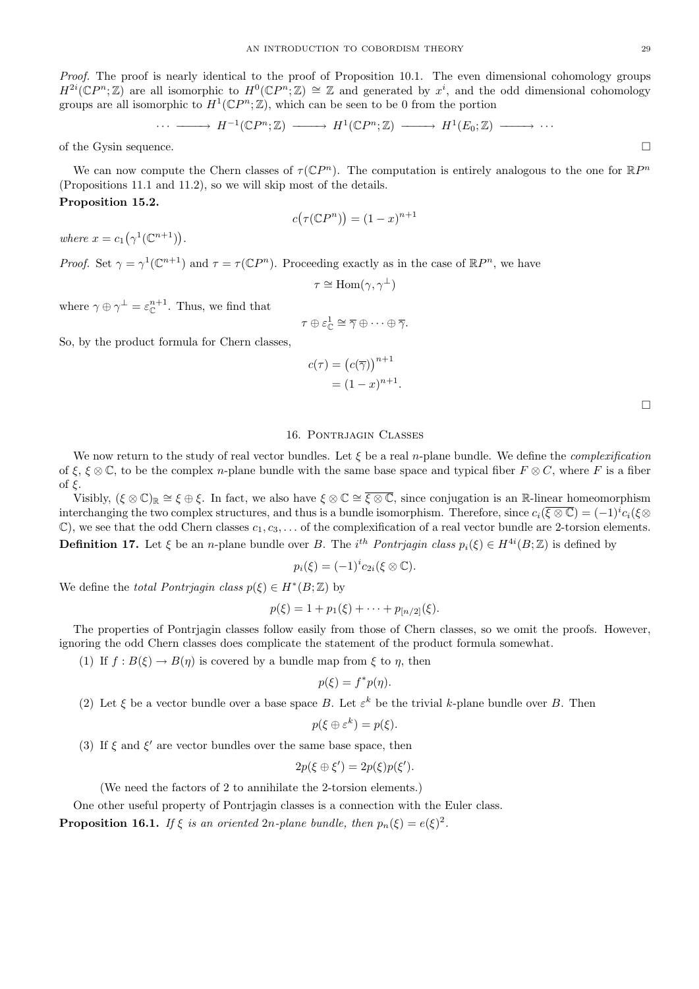Proof. The proof is nearly identical to the proof of Proposition 10.1. The even dimensional cohomology groups  $H^{2i}(\mathbb{C}P^n;\mathbb{Z})$  are all isomorphic to  $H^0(\mathbb{C}P^n;\mathbb{Z}) \cong \mathbb{Z}$  and generated by  $x^i$ , and the odd dimensional cohomology of groups are all isomorphic to  $H^1(\mathbb{C}P^n;\mathbb{Z})$ , which can be seen to be 0 from the portion

$$
\cdots \longrightarrow H^{-1}(\mathbb{C}P^n;\mathbb{Z}) \longrightarrow H^1(\mathbb{C}P^n;\mathbb{Z}) \longrightarrow H^1(E_0;\mathbb{Z}) \longrightarrow \cdots
$$
  
of the Gysin sequence.

We can now compute the Chern classes of  $\tau(\mathbb{C}P^n)$ . The computation is entirely analogous to the one for  $\mathbb{R}P^n$ (Propositions 11.1 and 11.2), so we will skip most of the details.

# Proposition 15.2.

$$
c(\tau(\mathbb{C}P^n)) = (1-x)^{n+1}
$$

where  $x = c_1(\gamma^1(\mathbb{C}^{n+1})).$ 

*Proof.* Set  $\gamma = \gamma^1(\mathbb{C}^{n+1})$  and  $\tau = \tau(\mathbb{C}P^n)$ . Proceeding exactly as in the case of  $\mathbb{R}P^n$ , we have

$$
\tau \cong \operatorname{Hom}(\gamma, \gamma^{\perp})
$$

where  $\gamma \oplus \gamma^{\perp} = \varepsilon_{\mathbb{C}}^{n+1}$ . Thus, we find that

$$
\tau \oplus \varepsilon_{\mathbb{C}}^1 \cong \overline{\gamma} \oplus \cdots \oplus \overline{\gamma}.
$$

So, by the product formula for Chern classes,

$$
c(\tau) = (c(\overline{\gamma}))^{n+1}
$$

$$
= (1-x)^{n+1}
$$

.

 $\Box$ 

## 16. PONTRJAGIN CLASSES

We now return to the study of real vector bundles. Let  $\xi$  be a real *n*-plane bundle. We define the *complexification* of  $\xi, \xi \otimes \mathbb{C}$ , to be the complex *n*-plane bundle with the same base space and typical fiber  $F \otimes C$ , where F is a fiber of  $\xi$ .

Visibly,  $(\xi \otimes \mathbb{C})_{\mathbb{R}} \cong \xi \oplus \xi$ . In fact, we also have  $\xi \otimes \mathbb{C} \cong \overline{\xi \otimes \mathbb{C}}$ , since conjugation is an R-linear homeomorphism interchanging the two complex structures, and thus is a bundle isomorphism. Therefore, since  $c_i(\overline{\xi \otimes \mathbb{C}}) = (-1)^i c_i(\xi \otimes \overline{\zeta})$  $\mathbb{C}$ , we see that the odd Chern classes  $c_1, c_3, \ldots$  of the complexification of a real vector bundle are 2-torsion elements. **Definition 17.** Let  $\xi$  be an *n*-plane bundle over B. The i<sup>th</sup> Pontrjagin class  $p_i(\xi) \in H^{4i}(B;\mathbb{Z})$  is defined by

$$
p_i(\xi) = (-1)^i c_{2i}(\xi \otimes \mathbb{C}).
$$

We define the *total Pontrjagin class*  $p(\xi) \in H^*(B; \mathbb{Z})$  by

$$
p(\xi) = 1 + p_1(\xi) + \cdots + p_{[n/2]}(\xi).
$$

The properties of Pontrjagin classes follow easily from those of Chern classes, so we omit the proofs. However, ignoring the odd Chern classes does complicate the statement of the product formula somewhat.

(1) If  $f : B(\xi) \to B(\eta)$  is covered by a bundle map from  $\xi$  to  $\eta$ , then

$$
p(\xi) = f^*p(\eta).
$$

(2) Let  $\xi$  be a vector bundle over a base space B. Let  $\varepsilon^k$  be the trivial k-plane bundle over B. Then

$$
p(\xi \oplus \varepsilon^k) = p(\xi).
$$

(3) If  $\xi$  and  $\xi'$  are vector bundles over the same base space, then

$$
2p(\xi \oplus \xi') = 2p(\xi)p(\xi').
$$

(We need the factors of 2 to annihilate the 2-torsion elements.)

One other useful property of Pontrjagin classes is a connection with the Euler class.

**Proposition 16.1.** If  $\xi$  is an oriented 2n-plane bundle, then  $p_n(\xi) = e(\xi)^2$ .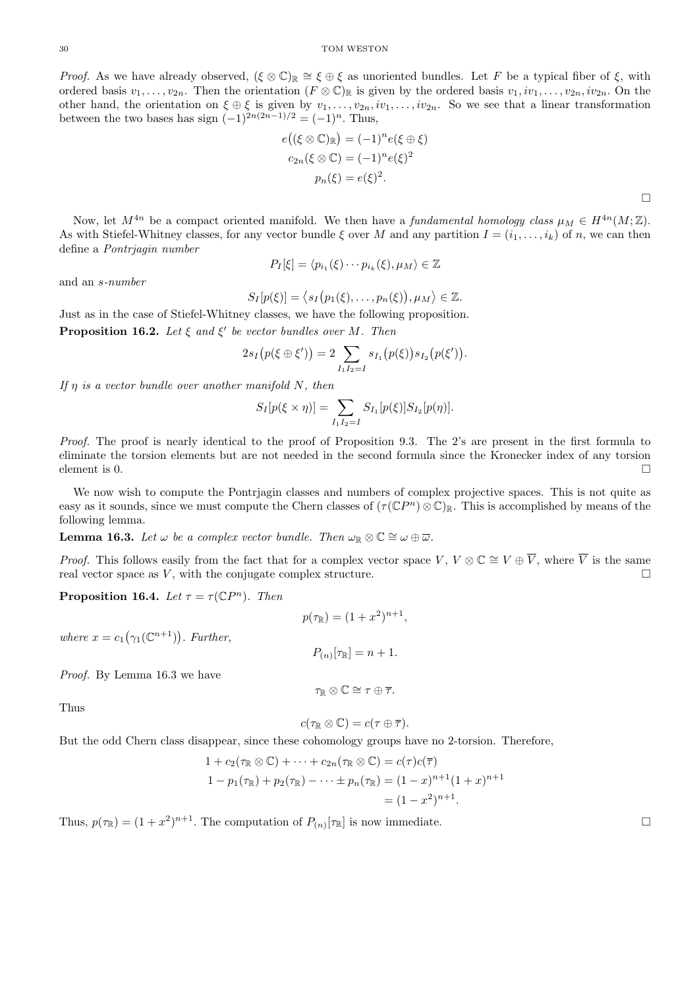*Proof.* As we have already observed,  $(\xi \otimes \mathbb{C})_{\mathbb{R}} \cong \xi \oplus \xi$  as unoriented bundles. Let F be a typical fiber of  $\xi$ , with ordered basis  $v_1, \ldots, v_{2n}$ . Then the orientation  $(F \otimes \mathbb{C})_{\mathbb{R}}$  is given by the ordered basis  $v_1, iv_1, \ldots, v_{2n}, iv_{2n}$ . On the other hand, the orientation on  $\xi \oplus \xi$  is given by  $v_1, \ldots, v_{2n}, iv_1, \ldots, iv_{2n}$ . So we see that a linear transformation between the two bases has sign  $(-1)^{2n(2n-1)/2} = (-1)^n$ . Thus,

$$
e((\xi \otimes \mathbb{C})_{\mathbb{R}}) = (-1)^{n} e(\xi \oplus \xi)
$$
  
\n
$$
c_{2n}(\xi \otimes \mathbb{C}) = (-1)^{n} e(\xi)^{2}
$$
  
\n
$$
p_{n}(\xi) = e(\xi)^{2}.
$$

Now, let  $M^{4n}$  be a compact oriented manifold. We then have a fundamental homology class  $\mu_M \in H^{4n}(M;\mathbb{Z})$ . As with Stiefel-Whitney classes, for any vector bundle  $\xi$  over M and any partition  $I = (i_1, \ldots, i_k)$  of n, we can then define a Pontrjagin number

$$
P_I[\xi] = \langle p_{i_1}(\xi) \cdots p_{i_k}(\xi), \mu_M \rangle \in \mathbb{Z}
$$

and an s-number

$$
S_I[p(\xi)] = \langle s_I(p_1(\xi), \ldots, p_n(\xi)), \mu_M \rangle \in \mathbb{Z}.
$$

Just as in the case of Stiefel-Whitney classes, we have the following proposition. **Proposition 16.2.** Let  $\xi$  and  $\xi'$  be vector bundles over M. Then

$$
2s_I(p(\xi \oplus \xi')) = 2 \sum_{I_1 I_2 = I} s_{I_1}(p(\xi)) s_{I_2}(p(\xi')).
$$

If  $\eta$  is a vector bundle over another manifold N, then

$$
S_I[p(\xi \times \eta)] = \sum_{I_1 I_2 = I} S_{I_1}[p(\xi)] S_{I_2}[p(\eta)].
$$

Proof. The proof is nearly identical to the proof of Proposition 9.3. The 2's are present in the first formula to eliminate the torsion elements but are not needed in the second formula since the Kronecker index of any torsion element is 0.

We now wish to compute the Pontrjagin classes and numbers of complex projective spaces. This is not quite as easy as it sounds, since we must compute the Chern classes of  $(\tau(\mathbb{C}P^n)\otimes\mathbb{C})_{\mathbb{R}}$ . This is accomplished by means of the following lemma.

**Lemma 16.3.** Let  $\omega$  be a complex vector bundle. Then  $\omega_{\mathbb{R}} \otimes \mathbb{C} \cong \omega \oplus \overline{\omega}$ .

*Proof.* This follows easily from the fact that for a complex vector space V,  $V \otimes \mathbb{C} \cong V \oplus \overline{V}$ , where  $\overline{V}$  is the same real vector space as  $V$ , with the conjugate complex structure.

**Proposition 16.4.** Let  $\tau = \tau(\mathbb{C}P^n)$ . Then

$$
p(\tau_{\mathbb{R}}) = (1+x^2)^{n+1},
$$
  

$$
P_{(n)}[\tau_{\mathbb{R}}] = n+1.
$$

Proof. By Lemma 16.3 we have

where  $x = c_1(\gamma_1(\mathbb{C}^{n+1}))$ . Further,

$$
\tau_{\mathbb{R}} \otimes \mathbb{C} \cong \tau \oplus \overline{\tau}.
$$

Thus

$$
c(\tau_{\mathbb{R}} \otimes \mathbb{C}) = c(\tau \oplus \overline{\tau}).
$$

But the odd Chern class disappear, since these cohomology groups have no 2-torsion. Therefore,

$$
1 + c_2(\tau_{\mathbb{R}} \otimes \mathbb{C}) + \dots + c_{2n}(\tau_{\mathbb{R}} \otimes \mathbb{C}) = c(\tau)c(\overline{\tau})
$$
  
\n
$$
1 - p_1(\tau_{\mathbb{R}}) + p_2(\tau_{\mathbb{R}}) - \dots + p_n(\tau_{\mathbb{R}}) = (1 - x)^{n+1}(1 + x)^{n+1}
$$
  
\n
$$
= (1 - x^2)^{n+1}.
$$

Thus,  $p(\tau_{\mathbb{R}}) = (1+x^2)^{n+1}$ . The computation of  $P_{(n)}[\tau_{\mathbb{R}}]$  is now immediate.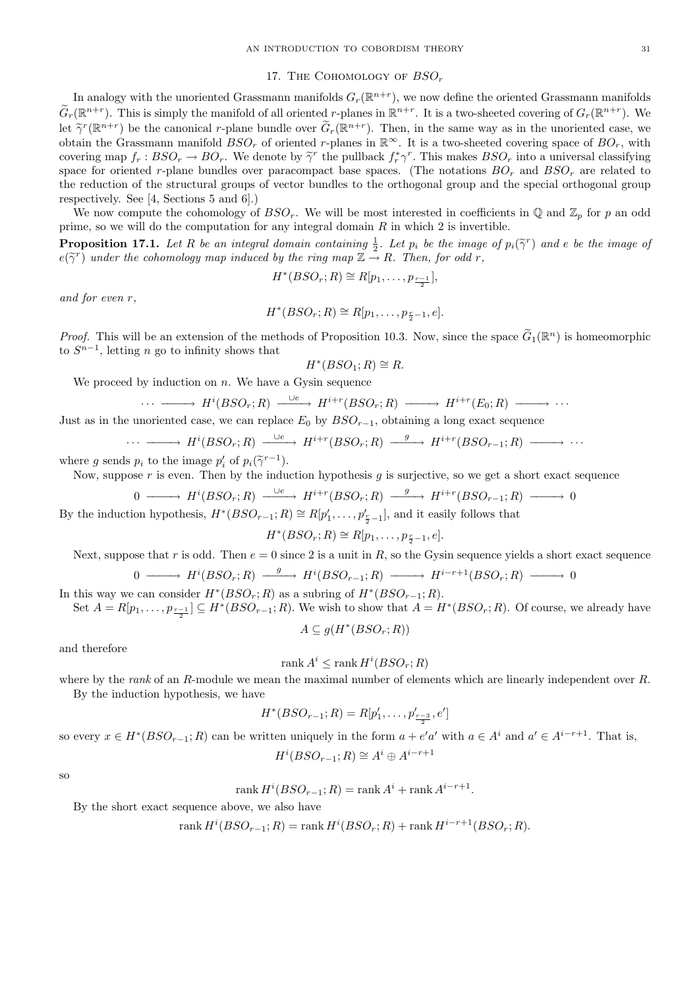#### 17. THE COHOMOLOGY OF  $BSO<sub>r</sub>$

In analogy with the unoriented Grassmann manifolds  $G_r(\mathbb{R}^{n+r})$ , we now define the oriented Grassmann manifolds  $\widetilde{G}_r(\mathbb{R}^{n+r})$ . This is simply the manifold of all oriented r-planes in  $\mathbb{R}^{n+r}$ . It is a two-sheeted covering of  $G_r(\mathbb{R}^{n+r})$ . We let  $\tilde{\gamma}^r(\mathbb{R}^{n+r})$  be the canonical r-plane bundle over  $\tilde{G}_r(\mathbb{R}^{n+r})$ . Then, in the same way as in the unoriented case, we<br>obtain the Grassmann manifold *BSO* of oriented r-planes in  $\mathbb{R}^{\infty}$ . It is a two obtain the Grassmann manifold  $BSO_r$  of oriented r-planes in  $\mathbb{R}^\infty$ . It is a two-sheeted covering space of  $BO_r$ , with covering map  $f_r : BSO_r \to BO_r$ . We denote by  $\tilde{\gamma}^r$  the pullback  $f_r^* \gamma^r$ . This makes  $BSO_r$  into a universal classifying<br>space for criented r-plane bundles over paracompact base spaces. (The notations  $BO$  and  $BSO$  are re space for oriented r-plane bundles over paracompact base spaces. (The notations  $BO<sub>r</sub>$  and  $BSO<sub>r</sub>$  are related to the reduction of the structural groups of vector bundles to the orthogonal group and the special orthogonal group respectively. See [4, Sections 5 and 6].)

We now compute the cohomology of  $BSO_r$ . We will be most interested in coefficients in Q and  $\mathbb{Z}_p$  for p an odd prime, so we will do the computation for any integral domain  $R$  in which 2 is invertible.

**Proposition 17.1.** Let R be an integral domain containing  $\frac{1}{2}$ . Let  $p_i$  be the image of  $p_i(\tilde{\gamma}^r)$  and e be the image of  $e(\tilde{\gamma}^r)$  under the cohomology man induced by the ring man  $\mathbb{Z} \to B$ . Then, for odd r  $e(\widetilde{\gamma}^r)$  under the cohomology map induced by the ring map  $\mathbb{Z} \xrightarrow{\sim} R$ . Then, for odd r,

$$
H^*(BSO_r; R) \cong R[p_1, \ldots, p_{\frac{r-1}{2}}],
$$

and for even r,

$$
H^*(BSO_r; R) \cong R[p_1, \ldots, p_{\frac{r}{2}-1}, e].
$$

*Proof.* This will be an extension of the methods of Proposition 10.3. Now, since the space  $\tilde{G}_1(\mathbb{R}^n)$  is homeomorphic to  $S^{n-1}$ , letting *n* go to infinity shows that

$$
H^*(BSO_1; R) \cong R.
$$

We proceed by induction on  $n$ . We have a Gysin sequence

$$
\cdots \longrightarrow H^{i}(BSO_{r}; R) \longrightarrow H^{i+r}(BSO_{r}; R) \longrightarrow H^{i+r}(E_{0}; R) \longrightarrow \cdots
$$

Just as in the unoriented case, we can replace  $E_0$  by  $BSO_{r-1}$ , obtaining a long exact sequence

$$
\cdots \longrightarrow H^{i}(BSO_{r};R) \longrightarrow H^{i+r}(BSO_{r};R) \longrightarrow H^{i+r}(BSO_{r-1};R) \longrightarrow \cdots
$$

where g sends  $p_i$  to the image  $p'_i$  of  $p_i(\widetilde{\gamma}^{r-1})$ .<br>Now suppose r is even Then by the induction

Now, suppose r is even. Then by the induction hypothesis g is surjective, so we get a short exact sequence

$$
0 \longrightarrow H^{i}(BSO_{r}; R) \longrightarrow H^{i+r}(BSO_{r}; R) \longrightarrow H^{i+r}(BSO_{r-1}; R) \longrightarrow 0
$$

By the induction hypothesis,  $H^*(BSO_{r-1}; R) \cong R[p'_1, \ldots, p'_{\frac{r}{2}-1}]$ , and it easily follows that

$$
H^*(BSO_r; R) \cong R[p_1, \ldots, p_{\frac{r}{2}-1}, e].
$$

Next, suppose that r is odd. Then  $e = 0$  since 2 is a unit in R, so the Gysin sequence yields a short exact sequence

$$
0 \longrightarrow H^{i}(BSO_{r}; R) \longrightarrow H^{i}(BSO_{r-1}; R) \longrightarrow H^{i-r+1}(BSO_{r}; R) \longrightarrow 0
$$

In this way we can consider  $H^*(BSO_r; R)$  as a subring of  $H^*(BSO_{r-1}; R)$ . Set  $A = R[p_1, \ldots, p_{\frac{r-1}{2}}] \subseteq H^*(BSO_{r-1}; R)$ . We wish to show that  $A = H^*(BSO_r; R)$ . Of course, we already have

$$
A \subseteq g(H^*(BSO_r; R))
$$

and therefore

$$
rank A^i \le rank H^i(BSO_r;R)
$$

where by the *rank* of an R-module we mean the maximal number of elements which are linearly independent over R. By the induction hypothesis, we have

$$
H^*(BSO_{r-1}; R) = R[p'_1, \ldots, p'_{\frac{r-3}{2}}, e']
$$

so every  $x \in H^*(BSO_{r-1}; R)$  can be written uniquely in the form  $a + e'a'$  with  $a \in A^i$  and  $a' \in A^{i-r+1}$ . That is,

$$
H^i(BSO_{r-1};R) \cong A^i \oplus A^{i-r+1}
$$

so

$$
rank H^{i}(BSO_{r-1}; R) = rank A^{i} + rank A^{i-r+1}.
$$

By the short exact sequence above, we also have

$$
rank Hi(BSOr-1; R) = rank Hi(BSOr; R) + rank Hi-r+1(BSOr; R).
$$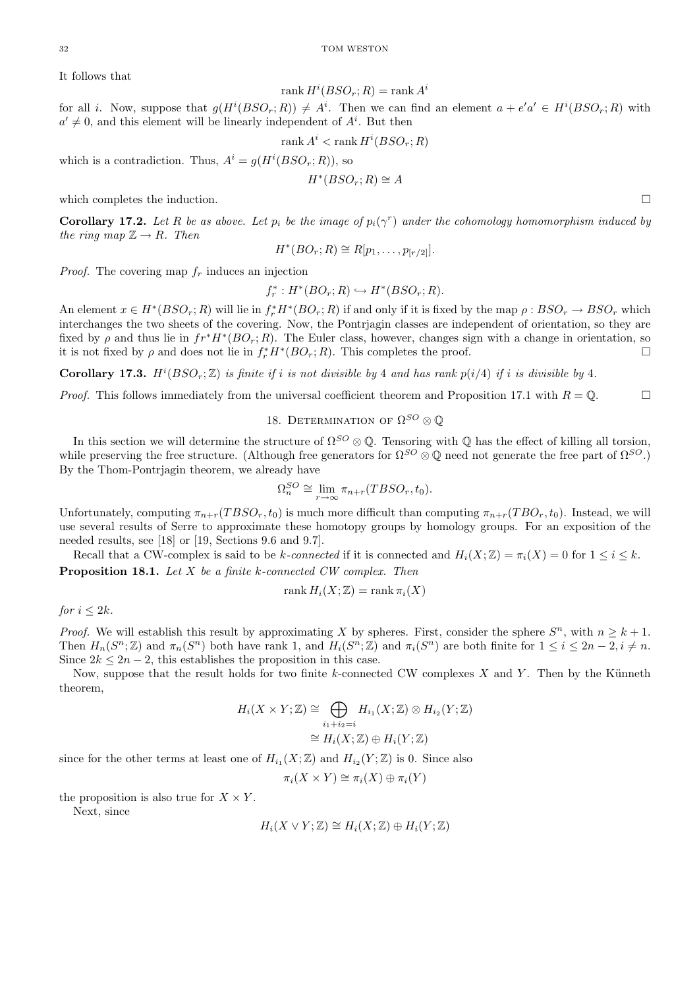It follows that

$$
rank H^i(BSO_r;R) = rank A^i
$$

for all *i*. Now, suppose that  $g(H^{i}(BSO_{r}; R)) \neq A^{i}$ . Then we can find an element  $a + e'a' \in H^{i}(BSO_{r}; R)$  with  $a' \neq 0$ , and this element will be linearly independent of  $A<sup>i</sup>$ . But then

$$
\operatorname{rank} A^i < \operatorname{rank} H^i(BSO_r;R)
$$

which is a contradiction. Thus,  $A^i = g(H^i(BSO_r;R))$ , so

 $H^*(BSO_r; R) \cong A$ 

which completes the induction.  $\Box$ 

**Corollary 17.2.** Let R be as above. Let  $p_i$  be the image of  $p_i(\gamma^r)$  under the cohomology homomorphism induced by the ring map  $\mathbb{Z} \to R$ . Then

$$
H^*(BO_r; R) \cong R[p_1, \ldots, p_{r/2}].
$$

*Proof.* The covering map  $f_r$  induces an injection

$$
f_r^*: H^*(BO_r; R) \hookrightarrow H^*(BSO_r; R).
$$

An element  $x \in H^*(BSO_r; R)$  will lie in  $f_r^*H^*(BO_r; R)$  if and only if it is fixed by the map  $\rho: BSO_r \to BSO_r$  which interchanges the two sheets of the covering. Now, the Pontrjagin classes are independent of orientation, so they are fixed by  $\rho$  and thus lie in  $fr^*H^*(BO_r; R)$ . The Euler class, however, changes sign with a change in orientation, so it is not fixed by  $\rho$  and does not lie in  $f_r^*H^*(BO_r; R)$ . This completes the proof.

**Corollary 17.3.**  $H^{i}(BSO_{r};\mathbb{Z})$  is finite if i is not divisible by 4 and has rank  $p(i/4)$  if i is divisible by 4.

*Proof.* This follows immediately from the universal coefficient theorem and Proposition 17.1 with  $R = \mathbb{O}$ .

18. DETERMINATION OF  $\Omega^{SO}\otimes \mathbb{Q}$ 

In this section we will determine the structure of  $\Omega^{SO} \otimes \mathbb{Q}$ . Tensoring with  $\mathbb{Q}$  has the effect of killing all torsion, while preserving the free structure. (Although free generators for  $\Omega^{SO} \otimes \mathbb{Q}$  need not generate the free part of  $\Omega^{SO}$ .) By the Thom-Pontrjagin theorem, we already have

$$
\Omega_n^{SO} \cong \lim_{r \to \infty} \pi_{n+r}(TBSO_r, t_0).
$$

Unfortunately, computing  $\pi_{n+r}(TBSO_r, t_0)$  is much more difficult than computing  $\pi_{n+r}(TBO_r, t_0)$ . Instead, we will use several results of Serre to approximate these homotopy groups by homology groups. For an exposition of the needed results, see [18] or [19, Sections 9.6 and 9.7].

Recall that a CW-complex is said to be k-connected if it is connected and  $H_i(X;\mathbb{Z}) = \pi_i(X) = 0$  for  $1 \leq i \leq k$ . **Proposition 18.1.** Let  $X$  be a finite k-connected  $CW$  complex. Then

$$
rank H_i(X; \mathbb{Z}) = rank \pi_i(X)
$$

for  $i \leq 2k$ .

*Proof.* We will establish this result by approximating X by spheres. First, consider the sphere  $S<sup>n</sup>$ , with  $n \geq k + 1$ . Then  $H_n(S^n; \mathbb{Z})$  and  $\pi_n(S^n)$  both have rank 1, and  $H_i(S^n; \mathbb{Z})$  and  $\pi_i(S^n)$  are both finite for  $1 \leq i \leq 2n-2, i \neq n$ . Since  $2k \leq 2n-2$ , this establishes the proposition in this case.

Now, suppose that the result holds for two finite k-connected CW complexes  $X$  and  $Y$ . Then by the Künneth theorem,

$$
H_i(X \times Y; \mathbb{Z}) \cong \bigoplus_{i_1 + i_2 = i} H_{i_1}(X; \mathbb{Z}) \otimes H_{i_2}(Y; \mathbb{Z})
$$

$$
\cong H_i(X; \mathbb{Z}) \oplus H_i(Y; \mathbb{Z})
$$

since for the other terms at least one of  $H_{i_1}(X;\mathbb{Z})$  and  $H_{i_2}(Y;\mathbb{Z})$  is 0. Since also

$$
\pi_i(X \times Y) \cong \pi_i(X) \oplus \pi_i(Y)
$$

the proposition is also true for  $X \times Y$ .

Next, since

$$
H_i(X \vee Y; \mathbb{Z}) \cong H_i(X; \mathbb{Z}) \oplus H_i(Y; \mathbb{Z})
$$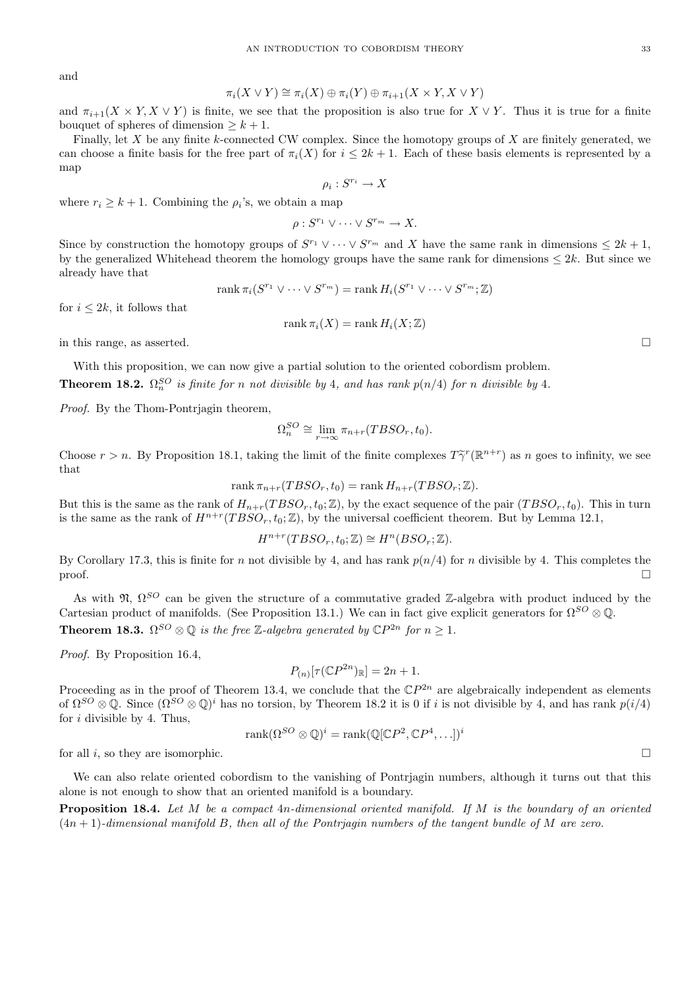and

$$
\pi_i(X \vee Y) \cong \pi_i(X) \oplus \pi_i(Y) \oplus \pi_{i+1}(X \times Y, X \vee Y)
$$

and  $\pi_{i+1}(X \times Y, X \vee Y)$  is finite, we see that the proposition is also true for  $X \vee Y$ . Thus it is true for a finite bouquet of spheres of dimension  $\geq k+1$ .

Finally, let  $X$  be any finite k-connected CW complex. Since the homotopy groups of  $X$  are finitely generated, we can choose a finite basis for the free part of  $\pi_i(X)$  for  $i \leq 2k + 1$ . Each of these basis elements is represented by a map

$$
\rho_i:S^{r_i}\to X
$$

where  $r_i \geq k+1$ . Combining the  $\rho_i$ 's, we obtain a map

$$
\rho: S^{r_1} \vee \cdots \vee S^{r_m} \to X.
$$

Since by construction the homotopy groups of  $S^{r_1} \vee \cdots \vee S^{r_m}$  and X have the same rank in dimensions  $\leq 2k+1$ , by the generalized Whitehead theorem the homology groups have the same rank for dimensions  $\leq 2k$ . But since we already have that

$$
\operatorname{rank} \pi_i(S^{r_1} \vee \dots \vee S^{r_m}) = \operatorname{rank} H_i(S^{r_1} \vee \dots \vee S^{r_m}; \mathbb{Z})
$$

for  $i \leq 2k$ , it follows that

rank  $\pi_i(X) = \text{rank } H_i(X; \mathbb{Z})$ 

in this range, as asserted.

With this proposition, we can now give a partial solution to the oriented cobordism problem. **Theorem 18.2.**  $\Omega_n^{SO}$  is finite for n not divisible by 4, and has rank  $p(n/4)$  for n divisible by 4.

Proof. By the Thom-Pontriagin theorem,

$$
\Omega_n^{SO} \cong \lim_{r \to \infty} \pi_{n+r}(TBSO_r, t_0).
$$

Choose  $r > n$ . By Proposition 18.1, taking the limit of the finite complexes  $T\tilde{\gamma}^r(\mathbb{R}^{n+r})$  as n goes to infinity, we see that

$$
rank \pi_{n+r}(TBSO_r, t_0) = rank H_{n+r}(TBSO_r; \mathbb{Z}).
$$

But this is the same as the rank of  $H_{n+r}(TBSO_r, t_0; \mathbb{Z})$ , by the exact sequence of the pair  $(TBSO_r, t_0)$ . This in turn is the same as the rank of  $H^{n+r}(TBSO_r, t_0; \mathbb{Z})$ , by the universal coefficient theorem. But by Lemma 12.1,

$$
H^{n+r}(TBSO_r, t_0; \mathbb{Z}) \cong H^n(BSO_r; \mathbb{Z}).
$$

By Corollary 17.3, this is finite for n not divisible by 4, and has rank  $p(n/4)$  for n divisible by 4. This completes the  $\Box$ 

As with  $\mathfrak{N}, \Omega^{SO}$  can be given the structure of a commutative graded Z-algebra with product induced by the Cartesian product of manifolds. (See Proposition 13.1.) We can in fact give explicit generators for  $\Omega^{SO} \otimes \mathbb{Q}$ . **Theorem 18.3.**  $\Omega^{SO} \otimes \mathbb{Q}$  is the free Z-algebra generated by  $\mathbb{C}P^{2n}$  for  $n \geq 1$ .

Proof. By Proposition 16.4,

$$
P_{(n)}[\tau(\mathbb{C}P^{2n})_{\mathbb{R}}] = 2n + 1.
$$

Proceeding as in the proof of Theorem 13.4, we conclude that the  $\mathbb{C}P^{2n}$  are algebraically independent as elements of  $\Omega^{SO}\otimes\mathbb{Q}$ . Since  $(\Omega^{SO}\otimes\mathbb{Q})^i$  has no torsion, by Theorem 18.2 it is 0 if i is not divisible by 4, and has rank  $p(i/4)$ for  $i$  divisible by 4. Thus,

$$
rank(\Omega^{SO} \otimes \mathbb{Q})^i = rank(\mathbb{Q}[\mathbb{C}P^2, \mathbb{C}P^4, \ldots])^i
$$

for all i, so they are isomorphic.  $\square$ 

We can also relate oriented cobordism to the vanishing of Pontrjagin numbers, although it turns out that this alone is not enough to show that an oriented manifold is a boundary.

Proposition 18.4. Let M be a compact 4n-dimensional oriented manifold. If M is the boundary of an oriented  $(4n+1)$ -dimensional manifold B, then all of the Pontriagin numbers of the tangent bundle of M are zero.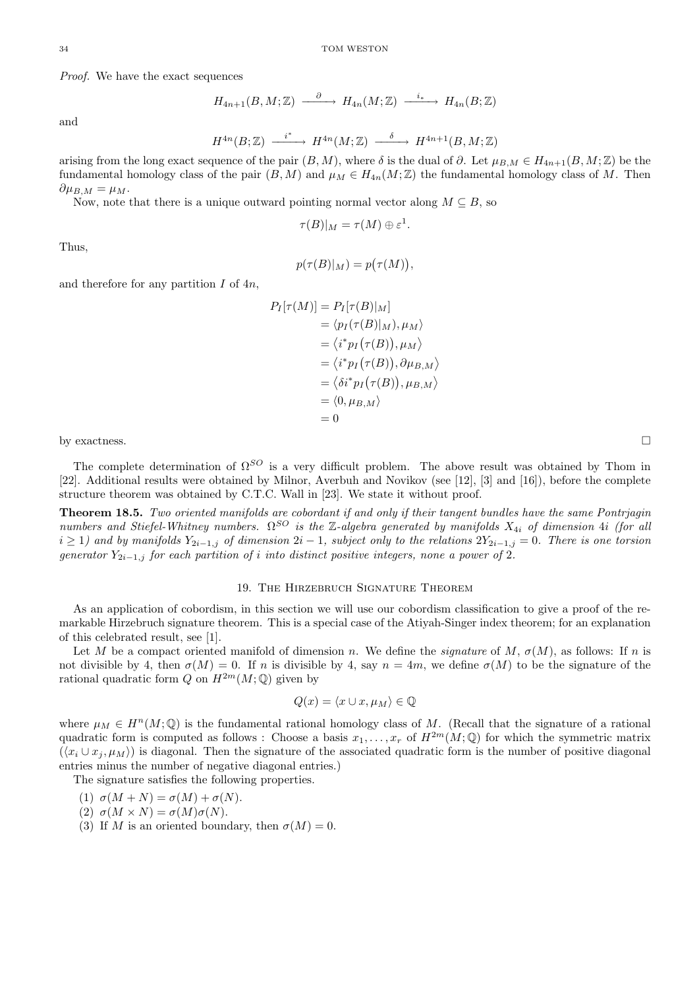Proof. We have the exact sequences

$$
H_{4n+1}(B,M;\mathbb{Z}) \longrightarrow H_{4n}(M;\mathbb{Z}) \longrightarrow H_{4n}(B;\mathbb{Z})
$$

and

$$
H^{4n}(B; \mathbb{Z}) \xrightarrow{i^*} H^{4n}(M; \mathbb{Z}) \xrightarrow{\delta} H^{4n+1}(B, M; \mathbb{Z})
$$

arising from the long exact sequence of the pair  $(B, M)$ , where  $\delta$  is the dual of  $\partial$ . Let  $\mu_{B,M} \in H_{4n+1}(B, M; \mathbb{Z})$  be the fundamental homology class of the pair  $(B, M)$  and  $\mu_M \in H_{4n}(M; \mathbb{Z})$  the fundamental homology class of M. Then  $\partial \mu_{B,M} = \mu_M.$ 

Now, note that there is a unique outward pointing normal vector along  $M \subseteq B$ , so

$$
\tau(B)|_M = \tau(M) \oplus \varepsilon^1
$$

.

Thus,

$$
p(\tau(B)|_M) = p(\tau(M)),
$$

and therefore for any partition  $I$  of  $4n$ ,

$$
P_I[\tau(M)] = P_I[\tau(B)|_M]
$$
  
=  $\langle p_I(\tau(B)|_M), \mu_M \rangle$   
=  $\langle i^* p_I(\tau(B)), \mu_M \rangle$   
=  $\langle i^* p_I(\tau(B)), \partial \mu_{B,M} \rangle$   
=  $\langle \delta i^* p_I(\tau(B)), \mu_{B,M} \rangle$   
=  $\langle 0, \mu_{B,M} \rangle$   
= 0

by exactness.  $\Box$ 

The complete determination of  $\Omega^{SO}$  is a very difficult problem. The above result was obtained by Thom in [22]. Additional results were obtained by Milnor, Averbuh and Novikov (see [12], [3] and [16]), before the complete structure theorem was obtained by C.T.C. Wall in [23]. We state it without proof.

Theorem 18.5. Two oriented manifolds are cobordant if and only if their tangent bundles have the same Pontriagin numbers and Stiefel-Whitney numbers.  $\Omega^{SO}$  is the Z-algebra generated by manifolds  $X_{4i}$  of dimension 4i (for all  $i \geq 1$ ) and by manifolds  $Y_{2i-1,j}$  of dimension  $2i-1$ , subject only to the relations  $2Y_{2i-1,j} = 0$ . There is one torsion generator  $Y_{2i-1,j}$  for each partition of i into distinct positive integers, none a power of 2.

### 19. The Hirzebruch Signature Theorem

As an application of cobordism, in this section we will use our cobordism classification to give a proof of the remarkable Hirzebruch signature theorem. This is a special case of the Atiyah-Singer index theorem; for an explanation of this celebrated result, see [1].

Let M be a compact oriented manifold of dimension n. We define the *signature* of M,  $\sigma(M)$ , as follows: If n is not divisible by 4, then  $\sigma(M) = 0$ . If n is divisible by 4, say  $n = 4m$ , we define  $\sigma(M)$  to be the signature of the rational quadratic form Q on  $H^{2m}(M; \mathbb{Q})$  given by

$$
Q(x) = \langle x \cup x, \mu_M \rangle \in \mathbb{Q}
$$

where  $\mu_M \in H^n(M; \mathbb{Q})$  is the fundamental rational homology class of M. (Recall that the signature of a rational quadratic form is computed as follows : Choose a basis  $x_1, \ldots, x_r$  of  $H^{2m}(M; \mathbb{Q})$  for which the symmetric matrix  $(\langle x_i \cup x_j, \mu_M \rangle)$  is diagonal. Then the signature of the associated quadratic form is the number of positive diagonal entries minus the number of negative diagonal entries.)

The signature satisfies the following properties.

- (1)  $\sigma(M+N) = \sigma(M) + \sigma(N)$ .
- (2)  $\sigma(M \times N) = \sigma(M)\sigma(N)$ .
- (3) If M is an oriented boundary, then  $\sigma(M) = 0$ .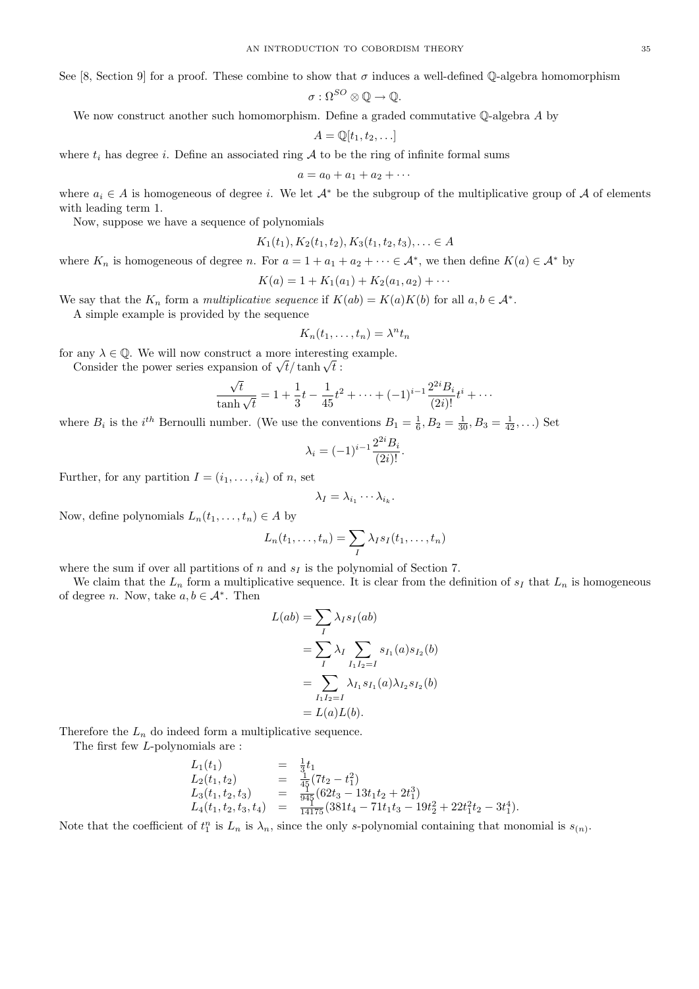See [8, Section 9] for a proof. These combine to show that  $\sigma$  induces a well-defined Q-algebra homomorphism

$$
\sigma:\Omega^{SO}\otimes \mathbb{Q}\to \mathbb{Q}.
$$

We now construct another such homomorphism. Define a graded commutative  $\mathbb Q$ -algebra A by

$$
A=\mathbb{Q}[t_1,t_2,\ldots]
$$

where  $t_i$  has degree i. Define an associated ring A to be the ring of infinite formal sums

$$
a = a_0 + a_1 + a_2 + \cdots
$$

where  $a_i \in A$  is homogeneous of degree i. We let  $A^*$  be the subgroup of the multiplicative group of A of elements with leading term 1.

Now, suppose we have a sequence of polynomials

$$
K_1(t_1), K_2(t_1, t_2), K_3(t_1, t_2, t_3), \ldots \in A
$$

where  $K_n$  is homogeneous of degree n. For  $a = 1 + a_1 + a_2 + \cdots \in \mathcal{A}^*$ , we then define  $K(a) \in \mathcal{A}^*$  by

$$
K(a) = 1 + K_1(a_1) + K_2(a_1, a_2) + \cdots
$$

We say that the  $K_n$  form a *multiplicative sequence* if  $K(ab) = K(a)K(b)$  for all  $a, b \in A^*$ .

A simple example is provided by the sequence

$$
K_n(t_1,\ldots,t_n)=\lambda^n t_n
$$

for any  $\lambda \in \mathbb{Q}$ . We will now construct a more interesting example.

any  $\lambda \in \mathbb{Q}$ . We will now construct a more interestin<br>Consider the power series expansion of  $\sqrt{t}/\tanh \sqrt{t}$ :

$$
\frac{\sqrt{t}}{\tanh\sqrt{t}} = 1 + \frac{1}{3}t - \frac{1}{45}t^2 + \dots + (-1)^{i-1}\frac{2^{2i}B_i}{(2i)!}t^i + \dots
$$

where  $B_i$  is the  $i^{th}$  Bernoulli number. (We use the conventions  $B_1 = \frac{1}{6}, B_2 = \frac{1}{30}, B_3 = \frac{1}{42}, \ldots$ ) Set

$$
\lambda_i = (-1)^{i-1} \frac{2^{2i} B_i}{(2i)!}.
$$

Further, for any partition  $I = (i_1, \ldots, i_k)$  of n, set

$$
\lambda_I = \lambda_{i_1} \cdots \lambda_{i_k}.
$$

Now, define polynomials  $L_n(t_1,\ldots,t_n) \in A$  by

$$
L_n(t_1,\ldots,t_n)=\sum_I \lambda_I s_I(t_1,\ldots,t_n)
$$

where the sum if over all partitions of  $n$  and  $s<sub>I</sub>$  is the polynomial of Section 7.

We claim that the  $L_n$  form a multiplicative sequence. It is clear from the definition of  $s_I$  that  $L_n$  is homogeneous of degree *n*. Now, take  $a, b \in A^*$ . Then

$$
L(ab) = \sum_{I} \lambda_{I} s_{I}(ab)
$$
  
= 
$$
\sum_{I} \lambda_{I} \sum_{I_{1}I_{2}=I} s_{I_{1}}(a) s_{I_{2}}(b)
$$
  
= 
$$
\sum_{I_{1}I_{2}=I} \lambda_{I_{1}} s_{I_{1}}(a) \lambda_{I_{2}} s_{I_{2}}(b)
$$
  
= 
$$
L(a)L(b).
$$

Therefore the  $L_n$  do indeed form a multiplicative sequence.

The first few L-polynomials are :

$$
L_1(t_1) = \frac{1}{45}t_1
$$
  
\n
$$
L_2(t_1, t_2) = \frac{1}{45}(7t_2 - t_1^2)
$$
  
\n
$$
L_3(t_1, t_2, t_3) = \frac{1}{945}(62t_3 - 13t_1t_2 + 2t_1^3)
$$
  
\n
$$
L_4(t_1, t_2, t_3, t_4) = \frac{1}{14175}(381t_4 - 71t_1t_3 - 19t_2^2 + 22t_1^2t_2 - 3t_1^4).
$$

Note that the coefficient of  $t_1^n$  is  $L_n$  is  $\lambda_n$ , since the only s-polynomial containing that monomial is  $s_{(n)}$ .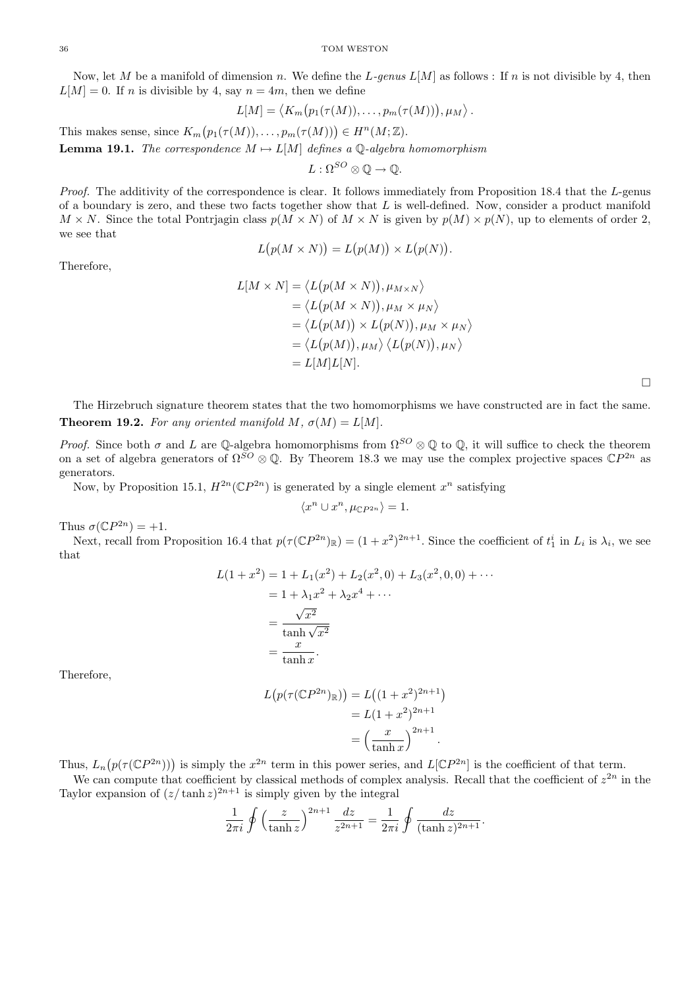Now, let M be a manifold of dimension n. We define the L-genus  $L[M]$  as follows : If n is not divisible by 4, then  $L[M] = 0$ . If *n* is divisible by 4, say  $n = 4m$ , then we define

$$
L[M] = \langle K_m(p_1(\tau(M)), \ldots, p_m(\tau(M))), \mu_M \rangle.
$$

This makes sense, since  $K_m(p_1(\tau(M)), \ldots, p_m(\tau(M))) \in H^n(M; \mathbb{Z})$ . **Lemma 19.1.** The correspondence  $M \mapsto L[M]$  defines a Q-algebra homomorphism  $L : \Omega^{SO} \otimes \mathbb{O} \to \mathbb{O}.$ 

Proof. The additivity of the correspondence is clear. It follows immediately from Proposition 18.4 that the L-genus of a boundary is zero, and these two facts together show that  $L$  is well-defined. Now, consider a product manifold  $M \times N$ . Since the total Pontriagin class  $p(M \times N)$  of  $M \times N$  is given by  $p(M) \times p(N)$ , up to elements of order 2, we see that

$$
L(p(M \times N)) = L(p(M)) \times L(p(N)).
$$

Therefore,

$$
L[M \times N] = \langle L(p(M \times N)), \mu_{M \times N} \rangle
$$
  
=  $\langle L(p(M \times N)), \mu_M \times \mu_N \rangle$   
=  $\langle L(p(M)) \times L(p(N)), \mu_M \times \mu_N \rangle$   
=  $\langle L(p(M)), \mu_M \rangle \langle L(p(N)), \mu_N \rangle$   
=  $L[M]L[N].$ 

The Hirzebruch signature theorem states that the two homomorphisms we have constructed are in fact the same. **Theorem 19.2.** For any oriented manifold M,  $\sigma(M) = L[M]$ .

Proof. Since both  $\sigma$  and L are  $\mathbb{O}$ -algebra homomorphisms from  $\Omega^{SO} \otimes \mathbb{O}$  to  $\mathbb{O}$ , it will suffice to check the theorem on a set of algebra generators of  $\Omega^{SO} \otimes \mathbb{Q}$ . By Theorem 18.3 we may use the complex projective spaces  $\mathbb{C}P^{2n}$  as generators.

Now, by Proposition 15.1,  $H^{2n}(\mathbb{C}P^{2n})$  is generated by a single element  $x^n$  satisfying

$$
\langle x^n \cup x^n, \mu_{\mathbb{C}P^{2n}} \rangle = 1.
$$

Thus  $\sigma(\mathbb{C}P^{2n}) = +1$ .

Next, recall from Proposition 16.4 that  $p(\tau(\mathbb{C}P^{2n})_{\mathbb{R}}) = (1+x^2)^{2n+1}$ . Since the coefficient of  $t_1^i$  in  $L_i$  is  $\lambda_i$ , we see that

$$
L(1+x^2) = 1 + L_1(x^2) + L_2(x^2, 0) + L_3(x^2, 0, 0) + \cdots
$$
  
= 1 + \lambda\_1 x^2 + \lambda\_2 x^4 + \cdots  
= 
$$
\frac{\sqrt{x^2}}{\tanh \sqrt{x^2}}
$$
  
= 
$$
\frac{x}{\tanh x}.
$$

Therefore,

$$
L\big(p(\tau(\mathbb{C}P^{2n})_{\mathbb{R}})\big) = L\big((1+x^2)^{2n+1}\big)
$$

$$
= L(1+x^2)^{2n+1}
$$

$$
= \left(\frac{x}{\tanh x}\right)^{2n+1}.
$$

Thus,  $L_n(p(\tau(\mathbb{C}P^{2n})))$  is simply the  $x^{2n}$  term in this power series, and  $L[\mathbb{C}P^{2n}]$  is the coefficient of that term.

We can compute that coefficient by classical methods of complex analysis. Recall that the coefficient of  $z^{2n}$  in the Taylor expansion of  $(z/\tanh z)^{2n+1}$  is simply given by the integral

$$
\frac{1}{2\pi i} \oint \left(\frac{z}{\tanh z}\right)^{2n+1} \frac{dz}{z^{2n+1}} = \frac{1}{2\pi i} \oint \frac{dz}{(\tanh z)^{2n+1}}.
$$